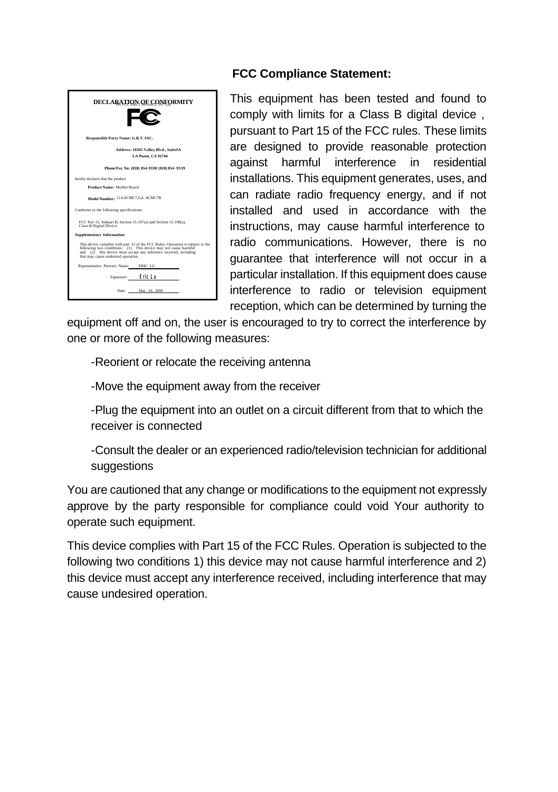

### **FCC Compliance Statement:**

This equipment has been tested and found to comply with limits for a Class B digital device , pursuant to Part 15 of the FCC rules. These limits are designed to provide reasonable protection against harmful interference in residential installations. This equipment generates, uses, and can radiate radio frequency energy, and if not installed and used in accordance with the instructions, may cause harmful interference to radio communications. However, there is no guarantee that interference will not occur in a particular installation. If this equipment does cause interference to radio or television equipment reception, which can be determined by turning the

equipment off and on, the user is encouraged to try to correct the interference by one or more of the following measures:

-Reorient or relocate the receiving antenna

-Move the equipment away from the receiver

-Plug the equipment into an outlet on a circuit different from that to which the receiver is connected

-Consult the dealer or an experienced radio/television technician for additional suggestions

You are cautioned that any change or modifications to the equipment not expressly approve by the party responsible for compliance could void Your authority to operate such equipment.

This device complies with Part 15 of the FCC Rules. Operation is subjected to the following two conditions 1) this device may not cause harmful interference and 2) this device must accept any interference received, including interference that may cause undesired operation.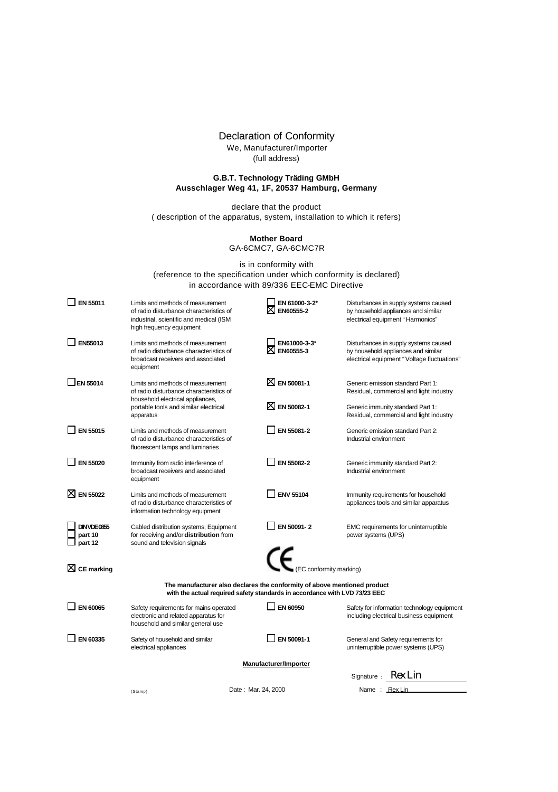#### Declaration of Conformity

We, Manufacturer/Importer

(full address)

#### **G.B.T. Technology Träding GMbH Ausschlager Weg 41, 1F, 20537 Hamburg, Germany**

declare that the product ( description of the apparatus, system, installation to which it refers)

#### **Mother Board**

GA-6CMC7, GA-6CMC7R

#### is in conformity with (reference to the specification under which conformity is declared) in accordance with 89/336 EEC-EMC Directive

| EN 55011                         | Limits and methods of measurement<br>of radio disturbance characteristics of<br>industrial, scientific and medical (ISM<br>high frequency equipment |                     | EN 61000-3-2*<br><b>FN60555-2</b>                                                                                                                      | Disturbances in supply systems caused<br>by household appliances and similar<br>electrical equipment "Harmonics"            |  |
|----------------------------------|-----------------------------------------------------------------------------------------------------------------------------------------------------|---------------------|--------------------------------------------------------------------------------------------------------------------------------------------------------|-----------------------------------------------------------------------------------------------------------------------------|--|
| FN55013                          | Limits and methods of measurement<br>of radio disturbance characteristics of<br>broadcast receivers and associated<br>equipment                     |                     | EN61000-3-3*<br>EN60555-3                                                                                                                              | Disturbances in supply systems caused<br>by household appliances and similar<br>electrical equipment "Voltage fluctuations" |  |
| EN 55014                         | Limits and methods of measurement<br>of radio disturbance characteristics of                                                                        |                     | <b>N</b> EN 50081-1                                                                                                                                    | Generic emission standard Part 1:<br>Residual, commercial and light industry                                                |  |
|                                  | household electrical appliances,<br>portable tools and similar electrical<br>apparatus                                                              |                     | $\boxtimes$ EN 50082-1                                                                                                                                 | Generic immunity standard Part 1:<br>Residual, commercial and light industry                                                |  |
| EN 55015                         | Limits and methods of measurement<br>of radio disturbance characteristics of<br>fluorescent lamps and luminaries                                    |                     | EN 55081-2                                                                                                                                             | Generic emission standard Part 2:<br>Industrial environment                                                                 |  |
| EN 55020                         | Immunity from radio interference of<br>broadcast receivers and associated<br>equipment                                                              |                     | EN 55082-2                                                                                                                                             | Generic immunity standard Part 2:<br>Industrial environment                                                                 |  |
| <b>X</b> EN 55022                | Limits and methods of measurement<br>of radio disturbance characteristics of<br>information technology equipment                                    |                     | <b>ENV 55104</b>                                                                                                                                       | Immunity requirements for household<br>appliances tools and similar apparatus                                               |  |
| DINVDE0855<br>part 10<br>part 12 | Cabled distribution systems; Equipment<br>for receiving and/or distribution from<br>sound and television signals                                    |                     | EN 50091-2<br>CE.                                                                                                                                      | EMC requirements for uninterruptible<br>power systems (UPS)                                                                 |  |
| $\boxtimes$ CE marking           |                                                                                                                                                     |                     | C conformity marking)                                                                                                                                  |                                                                                                                             |  |
|                                  |                                                                                                                                                     |                     | The manufacturer also declares the conformity of above mentioned product<br>with the actual required safety standards in accordance with LVD 73/23 EEC |                                                                                                                             |  |
| EN 60065                         | Safety requirements for mains operated<br>electronic and related apparatus for<br>household and similar general use                                 |                     | EN 60950                                                                                                                                               | Safety for information technology equipment<br>including electrical business equipment                                      |  |
| EN 60335                         | Safety of household and similar<br>electrical appliances                                                                                            |                     | EN 50091-1                                                                                                                                             | General and Safety requirements for<br>uninterruptible power systems (UPS)                                                  |  |
|                                  |                                                                                                                                                     |                     | Manufacturer/Importer                                                                                                                                  |                                                                                                                             |  |
|                                  |                                                                                                                                                     |                     |                                                                                                                                                        | Rex Lin<br>Signature -                                                                                                      |  |
|                                  | (Stamp)                                                                                                                                             | Date: Mar. 24, 2000 |                                                                                                                                                        | Name: Rex Lin                                                                                                               |  |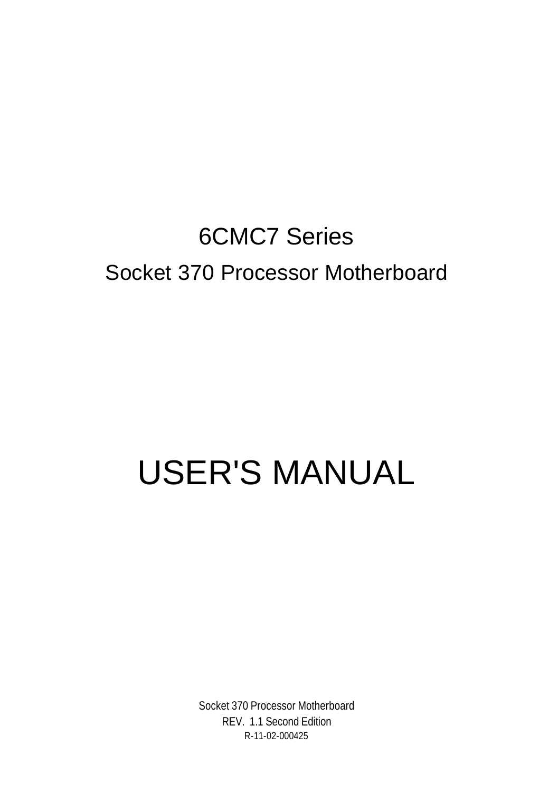# 6CMC7 Series Socket 370 Processor Motherboard

# USER'S MANUAL

Socket 370 Processor Motherboard REV. 1.1 Second Edition R-11-02-000425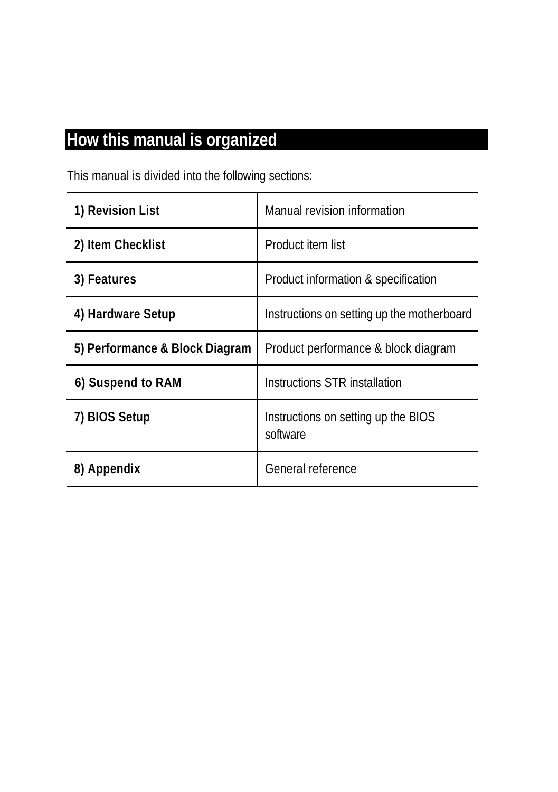# **How this manual is organized**

This manual is divided into the following sections:

| 1) Revision List                                                | Manual revision information                     |  |  |
|-----------------------------------------------------------------|-------------------------------------------------|--|--|
| 2) Item Checklist                                               | Product item list                               |  |  |
| 3) Features                                                     | Product information & specification             |  |  |
| 4) Hardware Setup<br>Instructions on setting up the motherboard |                                                 |  |  |
| 5) Performance & Block Diagram                                  | Product performance & block diagram             |  |  |
| 6) Suspend to RAM                                               | Instructions STR installation                   |  |  |
| 7) BIOS Setup                                                   | Instructions on setting up the BIOS<br>software |  |  |
| 8) Appendix                                                     | General reference                               |  |  |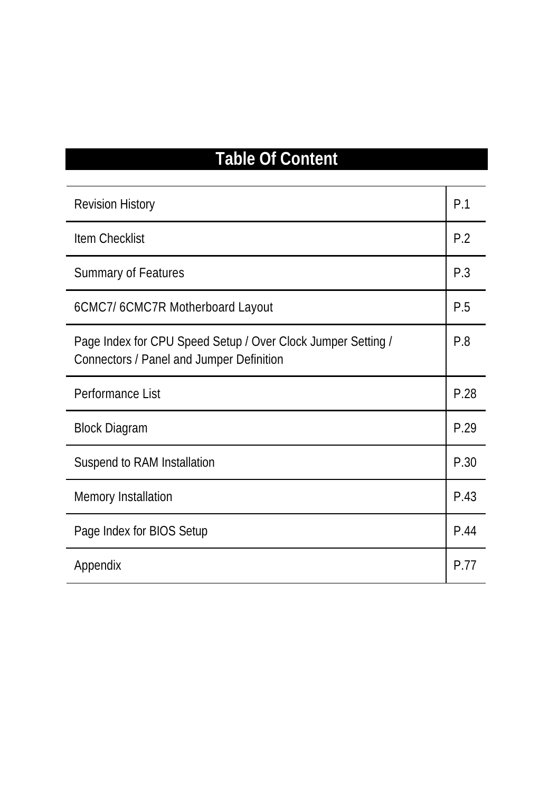# **Table Of Content**

ä,

| <b>Revision History</b>                                                                                  | P.1  |
|----------------------------------------------------------------------------------------------------------|------|
| Item Checklist                                                                                           | P.2  |
| Summary of Features                                                                                      | P.3  |
| 6CMC7/6CMC7R Motherboard Layout                                                                          | P.5  |
| Page Index for CPU Speed Setup / Over Clock Jumper Setting /<br>Connectors / Panel and Jumper Definition | P.8  |
| Performance List                                                                                         | P.28 |
| <b>Block Diagram</b>                                                                                     | P.29 |
| Suspend to RAM Installation                                                                              | P.30 |
| Memory Installation                                                                                      | P.43 |
| Page Index for BIOS Setup                                                                                | P.44 |
| Appendix                                                                                                 | P.77 |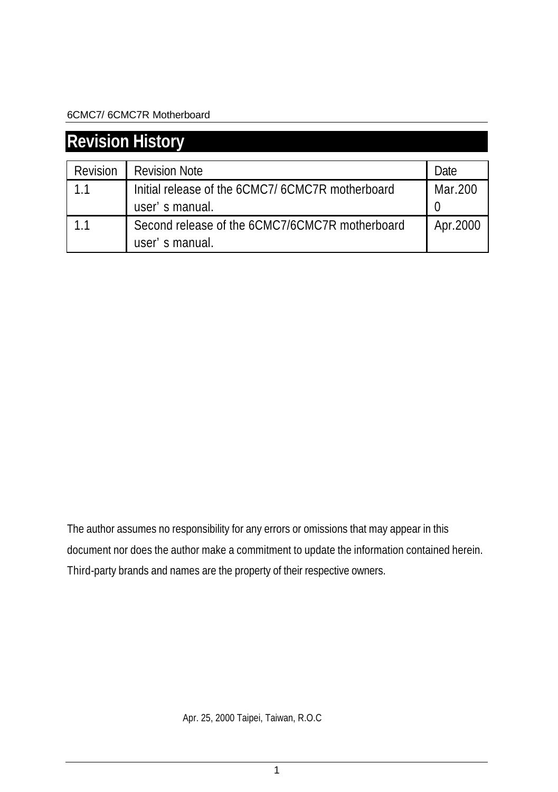|          | <b>Revision History</b>                         |          |
|----------|-------------------------------------------------|----------|
| Revision | <b>Revision Note</b>                            | Date.    |
| 11       | Initial release of the 6CMC7/6CMC7R motherboard | Mar. 200 |
|          | user's manual.                                  |          |
| 11       | Second release of the 6CMC7/6CMC7R motherboard  | Apr.2000 |
|          | user's manual.                                  |          |

The author assumes no responsibility for any errors or omissions that may appear in this document nor does the author make a commitment to update the information contained herein. Third-party brands and names are the property of their respective owners.

Apr. 25, 2000 Taipei, Taiwan, R.O.C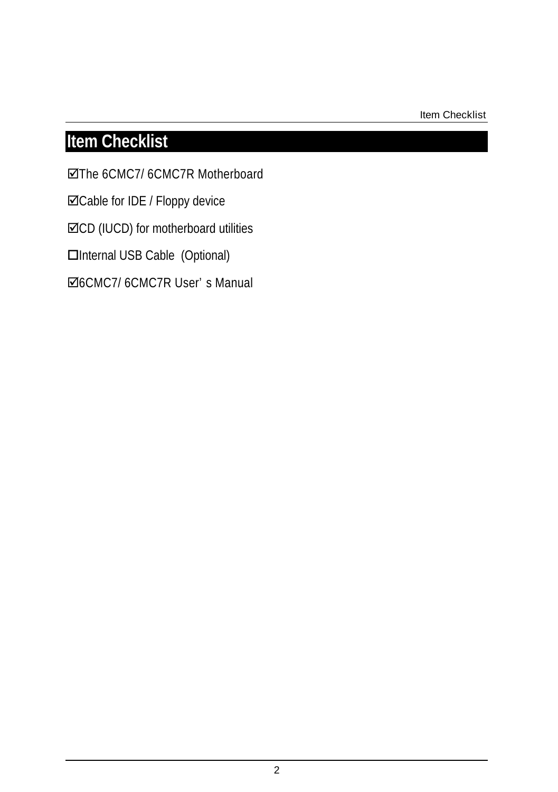Item Checklist

# **Item Checklist**

˛The 6CMC7/ 6CMC7R Motherboard

˛Cable for IDE / Floppy device

 $□$ **CD (IUCD) for motherboard utilities** 

**OInternal USB Cable (Optional)** 

˛6CMC7/ 6CMC7R User's Manual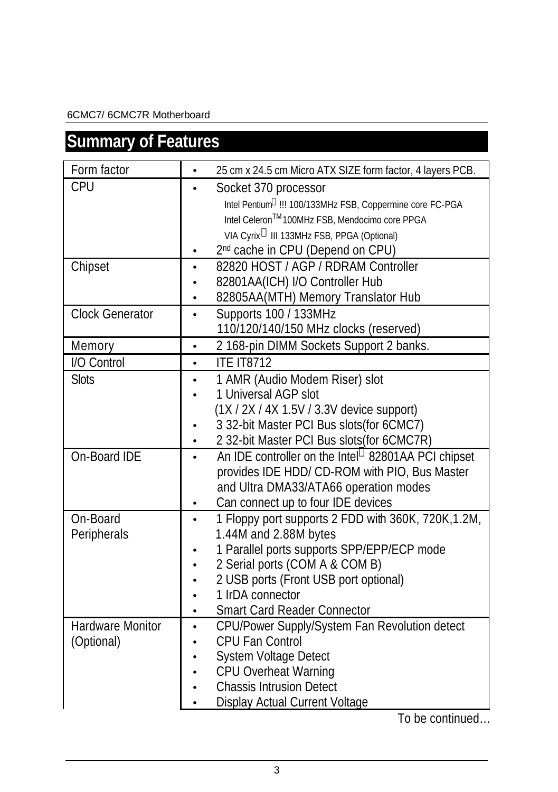# **Summary of Features**

| Form factor      | 25 cm x 24.5 cm Micro ATX SIZE form factor, 4 layers PCB.<br>$\bullet$ |
|------------------|------------------------------------------------------------------------|
| CPU              | Socket 370 processor                                                   |
|                  | Intel Pentium® !!! 100/133MHz FSB, Coppermine core FC-PGA              |
|                  | Intel Celeron <sup>TM</sup> 100MHz FSB, Mendocimo core PPGA            |
|                  | VIA Cyrix <sup>®</sup> III 133MHz FSB, PPGA (Optional)                 |
|                  | 2 <sup>nd</sup> cache in CPU (Depend on CPU)                           |
| Chipset          | 82820 HOST / AGP / RDRAM Controller                                    |
|                  | 82801AA(ICH) I/O Controller Hub                                        |
|                  | 82805AA(MTH) Memory Translator Hub                                     |
| Clock Generator  | Supports 100 / 133MHz<br>$\bullet$                                     |
|                  | 110/120/140/150 MHz clocks (reserved)                                  |
| Memory           | 2 168-pin DIMM Sockets Support 2 banks.<br>$\bullet$                   |
| I/O Control      | <b>ITE IT8712</b><br>$\bullet$                                         |
| <b>Slots</b>     | 1 AMR (Audio Modem Riser) slot<br>$\bullet$                            |
|                  | 1 Universal AGP slot                                                   |
|                  | (1X / 2X / 4X 1.5V / 3.3V device support)                              |
|                  | 3 32-bit Master PCI Bus slots(for 6CMC7)                               |
|                  | 2 32-bit Master PCI Bus slots(for 6CMC7R)                              |
| On-Board IDE     | An IDE controller on the Intel® 82801AA PCI chipset                    |
|                  | provides IDE HDD/ CD-ROM with PIO, Bus Master                          |
|                  | and Ultra DMA33/ATA66 operation modes                                  |
|                  | Can connect up to four IDE devices                                     |
| On-Board         | 1 Floppy port supports 2 FDD with 360K, 720K, 1.2M,                    |
| Peripherals      | 1.44M and 2.88M bytes                                                  |
|                  | 1 Parallel ports supports SPP/EPP/ECP mode                             |
|                  | 2 Serial ports (COM A & COM B)                                         |
|                  | 2 USB ports (Front USB port optional)                                  |
|                  | 1 IrDA connector                                                       |
|                  | Smart Card Reader Connector                                            |
| Hardware Monitor | CPU/Power Supply/System Fan Revolution detect<br>$\bullet$             |
| (Optional)       | <b>CPU Fan Control</b>                                                 |
|                  | System Voltage Detect                                                  |
|                  | <b>CPU Overheat Warning</b>                                            |
|                  | <b>Chassis Intrusion Detect</b>                                        |
|                  | <b>Display Actual Current Voltage</b>                                  |

To be continued…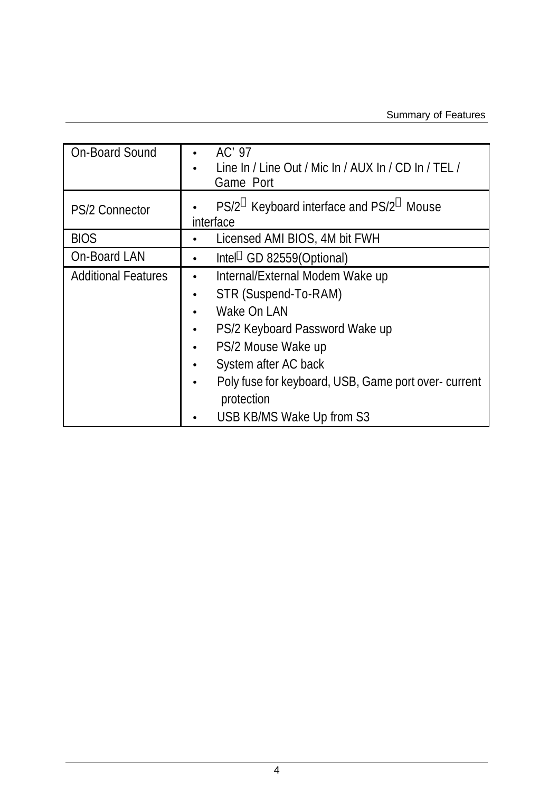| On-Board Sound             | AC' 97<br>Line In / Line Out / Mic In / AUX In / CD In / TEL /<br>Game Port   |
|----------------------------|-------------------------------------------------------------------------------|
| PS/2 Connector             | PS/2 <sup>®</sup> Keyboard interface and PS/2 <sup>®</sup> Mouse<br>interface |
| <b>BIOS</b>                | Licensed AMI BIOS, 4M bit FWH                                                 |
| On-Board LAN               | Intel <sup>®</sup> GD 82559(Optional)<br>٠                                    |
| <b>Additional Features</b> | Internal/External Modem Wake up<br>$\bullet$                                  |
|                            | STR (Suspend-To-RAM)                                                          |
|                            | Wake On LAN                                                                   |
|                            | PS/2 Keyboard Password Wake up                                                |
|                            | PS/2 Mouse Wake up                                                            |
|                            | System after AC back                                                          |
|                            | Poly fuse for keyboard, USB, Game port over- current<br>protection            |
|                            | USB KB/MS Wake Up from S3                                                     |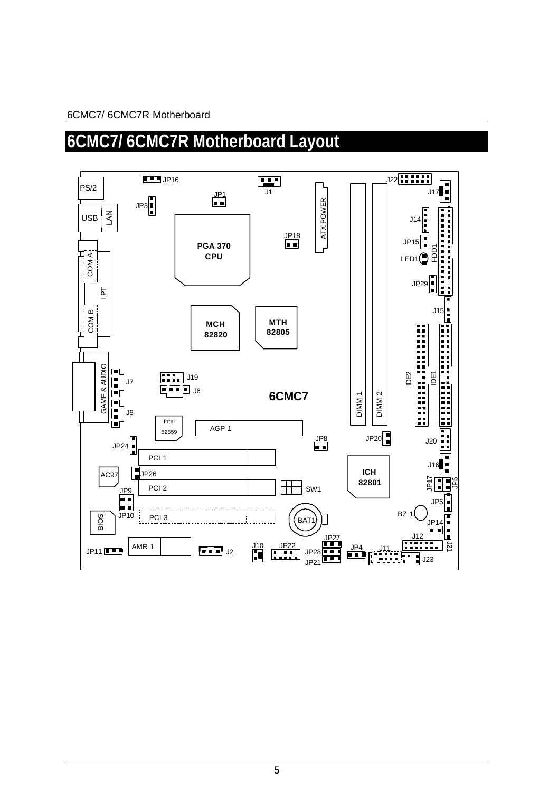# **6CMC7/ 6CMC7R Motherboard Layout**

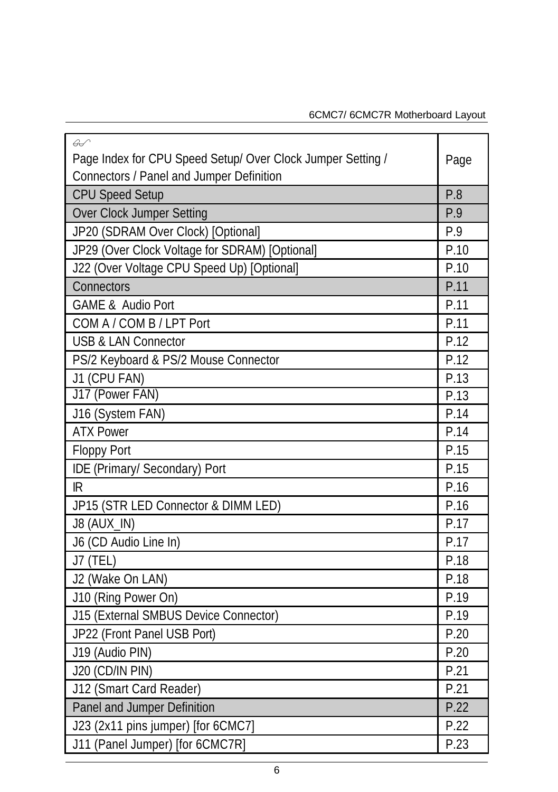### 6CMC7/ 6CMC7R Motherboard Layout

| $\curvearrowleft$                                           |      |  |
|-------------------------------------------------------------|------|--|
| Page Index for CPU Speed Setup/ Over Clock Jumper Setting / |      |  |
| Connectors / Panel and Jumper Definition                    |      |  |
| <b>CPU Speed Setup</b>                                      | P.8  |  |
| Over Clock Jumper Setting                                   | P.9  |  |
| JP20 (SDRAM Over Clock) [Optional]                          | P.9  |  |
| JP29 (Over Clock Voltage for SDRAM) [Optional]              | P.10 |  |
| J22 (Over Voltage CPU Speed Up) [Optional]                  | P.10 |  |
| Connectors                                                  | P.11 |  |
| <b>GAME &amp; Audio Port</b>                                | P.11 |  |
| COM A / COM B / LPT Port                                    | P.11 |  |
| <b>USB &amp; LAN Connector</b>                              | P.12 |  |
| PS/2 Keyboard & PS/2 Mouse Connector                        | P.12 |  |
| J1 (CPU FAN)                                                | P.13 |  |
| J17 (Power FAN)                                             | P.13 |  |
| J16 (System FAN)                                            | P.14 |  |
| <b>ATX Power</b>                                            | P.14 |  |
| <b>Floppy Port</b>                                          | P.15 |  |
| IDE (Primary/ Secondary) Port                               | P.15 |  |
| IR                                                          | P.16 |  |
| JP15 (STR LED Connector & DIMM LED)                         | P.16 |  |
| J8 (AUX_IN)                                                 | P.17 |  |
| J6 (CD Audio Line In)                                       | P.17 |  |
| J7 (TEL)                                                    | P.18 |  |
| J2 (Wake On LAN)                                            | P.18 |  |
| J10 (Ring Power On)                                         | P.19 |  |
| J15 (External SMBUS Device Connector)                       | P.19 |  |
| JP22 (Front Panel USB Port)                                 | P.20 |  |
| J19 (Audio PIN)                                             | P.20 |  |
| J20 (CD/IN PIN)                                             | P.21 |  |
| J12 (Smart Card Reader)                                     | P.21 |  |
| Panel and Jumper Definition                                 | P.22 |  |
| J23 (2x11 pins jumper) [for 6CMC7]                          | P.22 |  |
| J11 (Panel Jumper) [for 6CMC7R]                             | P.23 |  |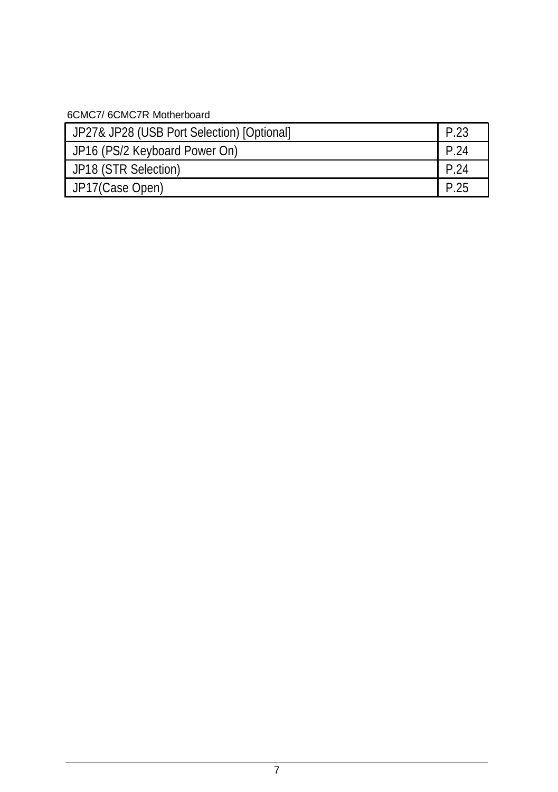| JP27& JP28 (USB Port Selection) [Optional] |      |
|--------------------------------------------|------|
| JP16 (PS/2 Keyboard Power On)              | P.24 |
| JP18 (STR Selection)                       | P.24 |
| JP17(Case Open)                            | P.25 |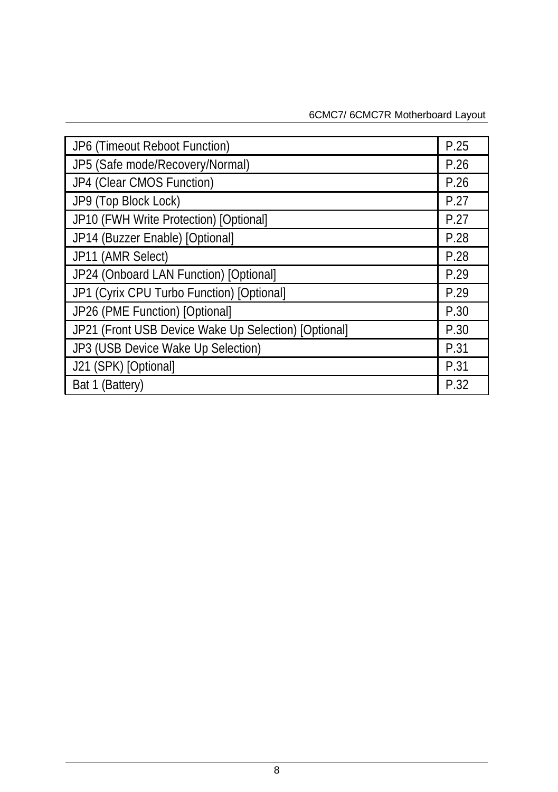### 6CMC7/ 6CMC7R Motherboard Layout

| JP6 (Timeout Reboot Function)                        | P.25 |
|------------------------------------------------------|------|
| JP5 (Safe mode/Recovery/Normal)                      | P.26 |
| JP4 (Clear CMOS Function)                            | P.26 |
| JP9 (Top Block Lock)                                 | P.27 |
| JP10 (FWH Write Protection) [Optional]               | P.27 |
| JP14 (Buzzer Enable) [Optional]                      | P.28 |
| JP11 (AMR Select)                                    | P.28 |
| JP24 (Onboard LAN Function) [Optional]               | P.29 |
| JP1 (Cyrix CPU Turbo Function) [Optional]            | P.29 |
| JP26 (PME Function) [Optional]                       | P.30 |
| JP21 (Front USB Device Wake Up Selection) [Optional] | P.30 |
| JP3 (USB Device Wake Up Selection)                   | P.31 |
| J21 (SPK) [Optional]                                 | P.31 |
| Bat 1 (Battery)                                      | P.32 |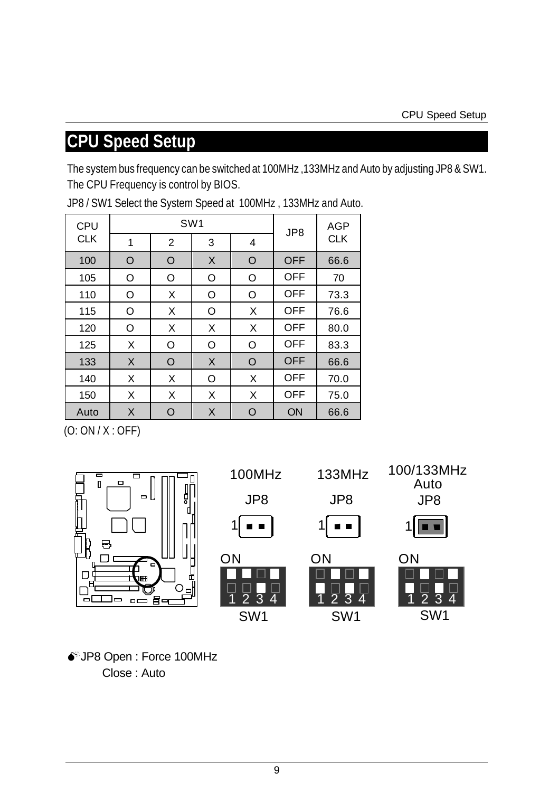# **CPU Speed Setup**

The system bus frequency can be switched at 100MHz ,133MHz and Auto by adjusting JP8 & SW1. The CPU Frequency is control by BIOS.

| CPU        |   | SW <sub>1</sub> | JP8 | <b>AGP</b> |            |            |
|------------|---|-----------------|-----|------------|------------|------------|
| <b>CLK</b> | 1 | $\overline{2}$  | 3   | 4          |            | <b>CLK</b> |
| 100        | O | $\circ$         | X   | O          | <b>OFF</b> | 66.6       |
| 105        | O | O               | O   | O          | <b>OFF</b> | 70         |
| 110        | O | X               | O   | O          | <b>OFF</b> | 73.3       |
| 115        | O | X               | O   | X          | <b>OFF</b> | 76.6       |
| 120        | O | X               | X   | X          | <b>OFF</b> | 80.0       |
| 125        | X | O               | O   | O          | <b>OFF</b> | 83.3       |
| 133        | X | O               | X   | O          | <b>OFF</b> | 66.6       |
| 140        | X | X               | O   | X          | <b>OFF</b> | 70.0       |
| 150        | X | X               | X   | X          | <b>OFF</b> | 75.0       |
| Auto       | X | O               | X   | $\Omega$   | ON         | 66.6       |

JP8 / SW1 Select the System Speed at 100MHz , 133MHz and Auto.

(O: ON / X : OFF)



MJP8 Open : Force 100MHz Close : Auto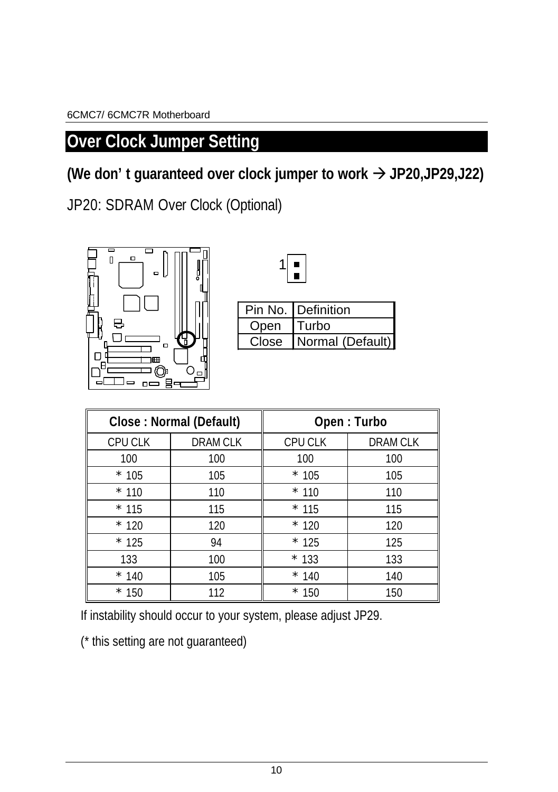### **Over Clock Jumper Setting**

### **(We don't guaranteed over clock jumper to work → JP20,JP29,J22)**

JP20: SDRAM Over Clock (Optional)



$$
1\boxed{\blacksquare}
$$

|       | Pin No. Definition |
|-------|--------------------|
| Open  | <b>Turbo</b>       |
| Close | Normal (Default)   |

| Close: Normal (Default) |          |                | Open: Turbo |
|-------------------------|----------|----------------|-------------|
| <b>CPU CLK</b>          | DRAM CLK | <b>CPU CLK</b> | DRAM CLK    |
| 100                     | 100      | 100            | 100         |
| $*105$                  | 105      | $*105$         | 105         |
| $*110$                  | 110      | $*110$         | 110         |
| $*115$                  | 115      | $*115$         | 115         |
| $*120$                  | 120      | $*120$         | 120         |
| $*125$                  | 94       | $*125$         | 125         |
| 133                     | 100      | $*133$         | 133         |
| $*140$                  | 105      | $*140$         | 140         |
| $*150$                  | 112      | $*150$         | 150         |

If instability should occur to your system, please adjust JP29.

(\* this setting are not guaranteed)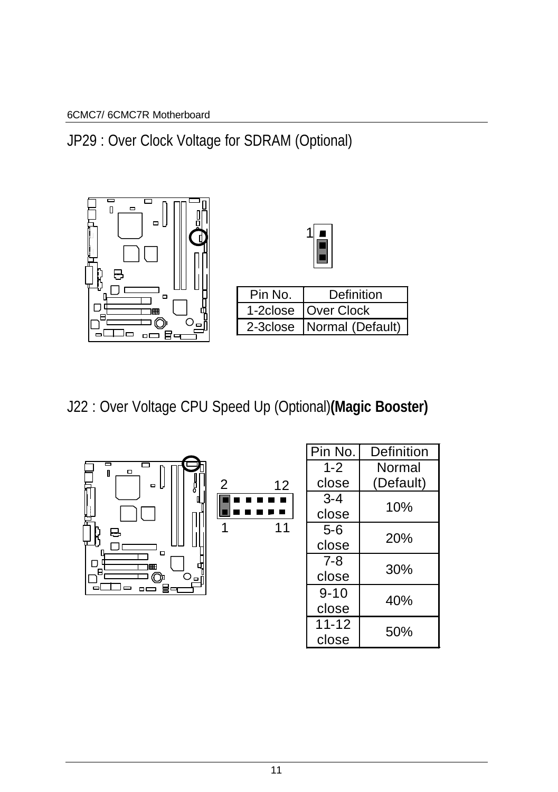JP29 : Over Clock Voltage for SDRAM (Optional)



| ٔ |
|---|
|---|

| Pin No. | Definition                |
|---------|---------------------------|
|         | 1-2close   Over Clock     |
|         | 2-3close Normal (Default) |

J22 : Over Voltage CPU Speed Up (Optional)**(Magic Booster)**



| 2              |  | 12 |
|----------------|--|----|
| <b>B::::::</b> |  |    |
|                |  |    |
|                |  | 11 |

| Pin No.   | Definition |
|-----------|------------|
| $1 - 2$   | Normal     |
| close     | (Default)  |
| $3 - 4$   | 10%        |
| close     |            |
| 5-6       | <b>20%</b> |
| close     |            |
| $7 - 8$   | 30%        |
| close     |            |
| $9 - 10$  | 40%        |
| close     |            |
| $11 - 12$ | 50%        |
| close     |            |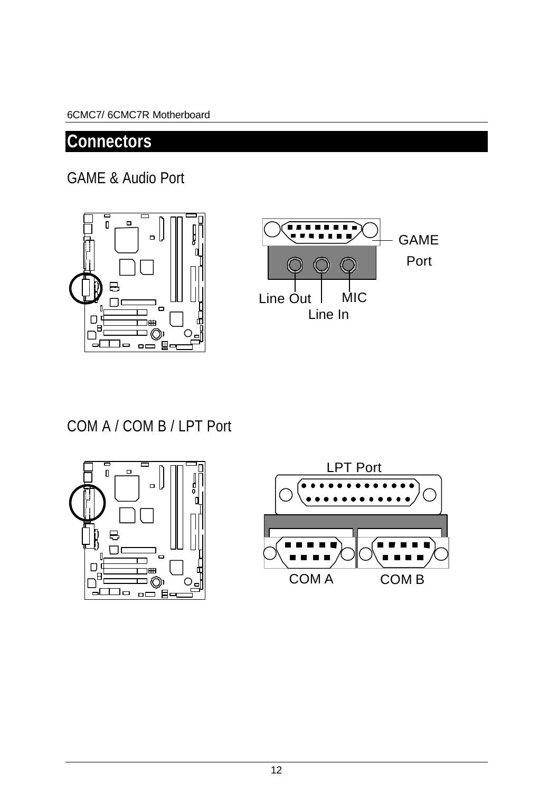### **Connectors**

GAME & Audio Port





COM A / COM B / LPT Port



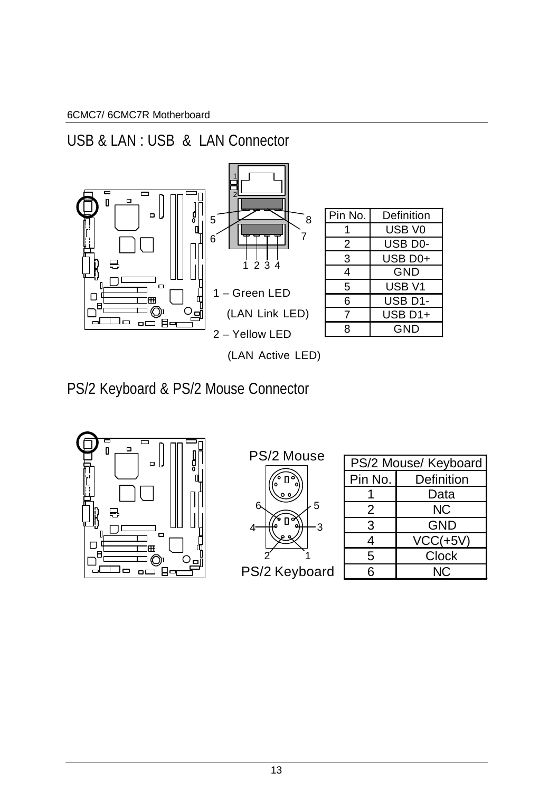### USB & LAN : USB & LAN Connector



(LAN Active LED)

PS/2 Keyboard & PS/2 Mouse Connector





| PS/2 Mouse/ Keyboard |            |  |
|----------------------|------------|--|
| Pin No.              | Definition |  |
|                      | Data       |  |
| 2                    | NC.        |  |
| 3                    | GND        |  |
| 4                    | $VCC(+5V)$ |  |
| 5                    | Clock      |  |
| ี่ค                  | NC.        |  |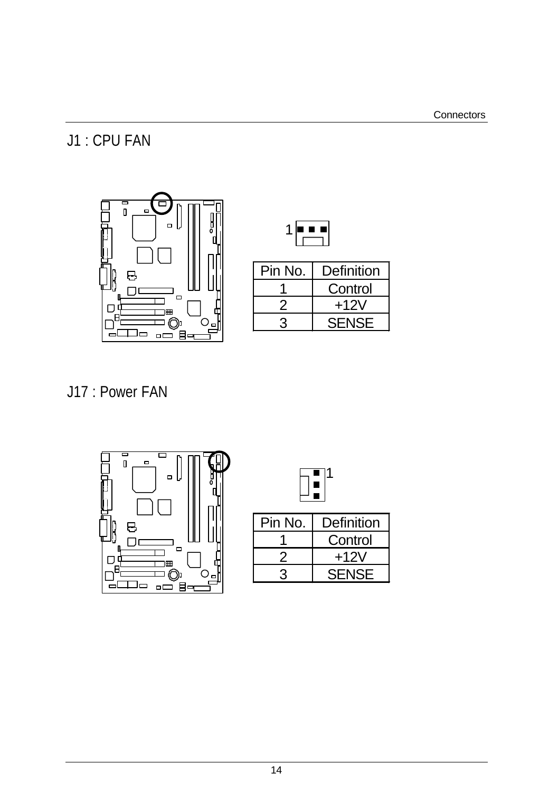### J1 : CPU FAN



| ш |  |
|---|--|
|   |  |
|   |  |

| Pin No. | <b>Definition</b> |
|---------|-------------------|
|         | Control           |
|         | $+12V$            |
|         | <b>SENSE</b>      |

### J17 : Power FAN



| Pin No. | Definition |
|---------|------------|
|         | Control    |
|         | $+12V$     |
| 2       | SENSE      |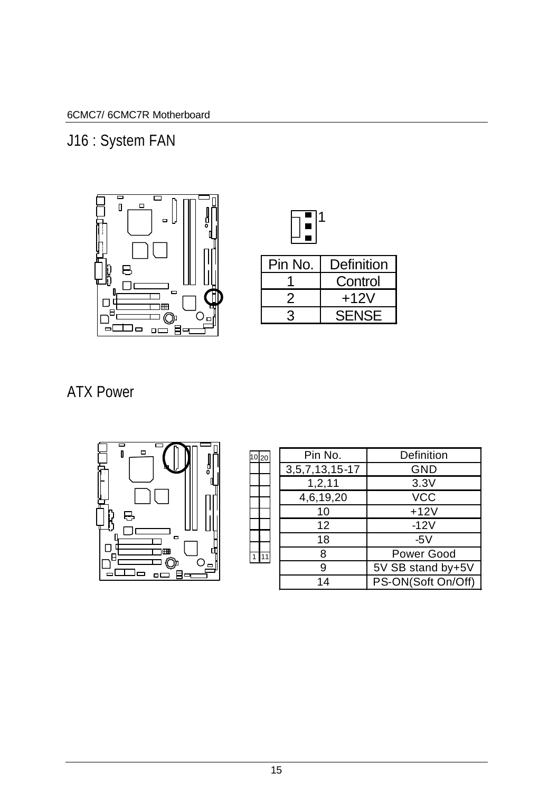J16 : System FAN



|--|--|--|--|

| Pin No. | Definition |
|---------|------------|
|         | Control    |
|         | +12V       |
|         | SENSE      |

### ATX Power



| 10 20 | Pin No.            | Definition         |
|-------|--------------------|--------------------|
|       | 3, 5, 7, 13, 15-17 | GND                |
|       | 1, 2, 11           | 3.3V               |
|       | 4,6,19,20          | <b>VCC</b>         |
|       | 10                 | $+12V$             |
|       | 12                 | $-12V$             |
|       | 18                 | $-5V$              |
| 1111  | 8                  | Power Good         |
|       | 9                  | 5V SB stand by+5V  |
|       | 14                 | PS-ON(Soft On/Off) |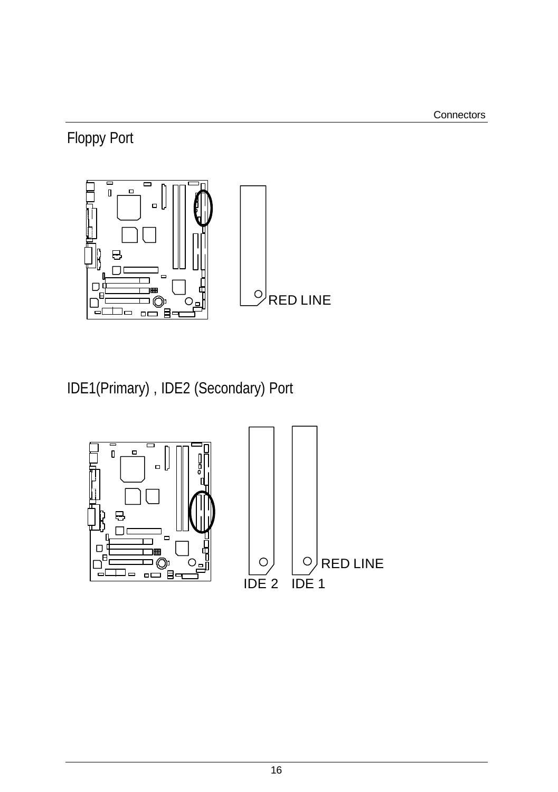**Connectors** 

Floppy Port



IDE1(Primary) , IDE2 (Secondary) Port

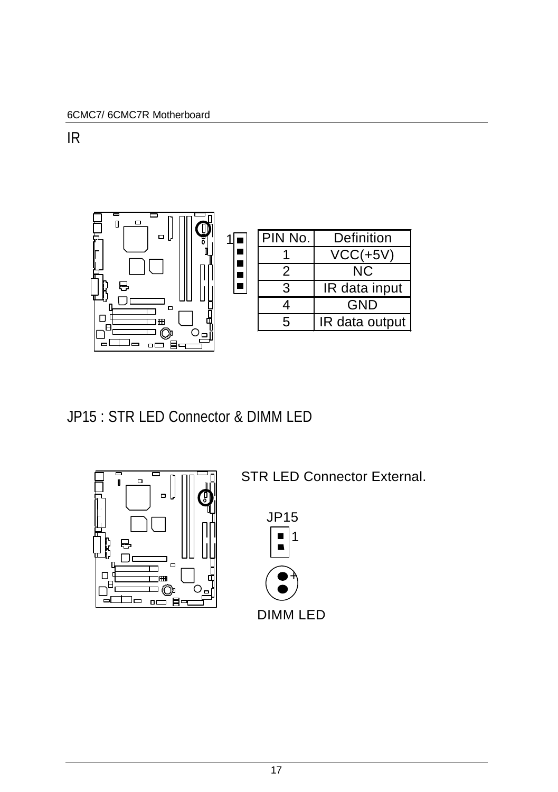IR



| PIN No. | Definition     |
|---------|----------------|
|         | $VCC(+5V)$     |
| 2       | NC.            |
| 3       | IR data input  |
|         | GND            |
| 5       | IR data output |
|         |                |

JP15 : STR LED Connector & DIMM LED



STR LED Connector External.

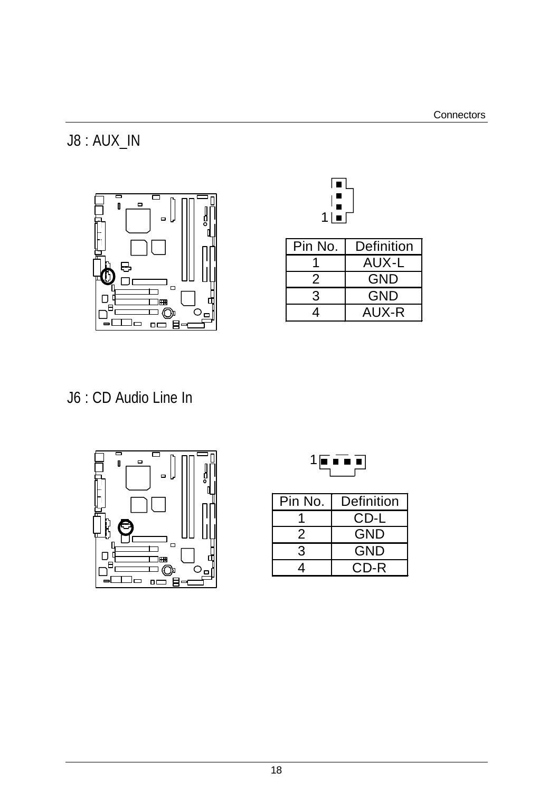### J8 : AUX\_IN





| Pin No. | Definition |
|---------|------------|
|         | AUX-L      |
| 2       | GND        |
| З       | GND        |
|         | AUX-R      |

### J6 : CD Audio Line In



$$
1\overline{E} = \overline{E}
$$

| Pin No. | Definition |
|---------|------------|
|         | CD-L       |
| 2       | GND        |
| З       | GND        |
|         | CD-R       |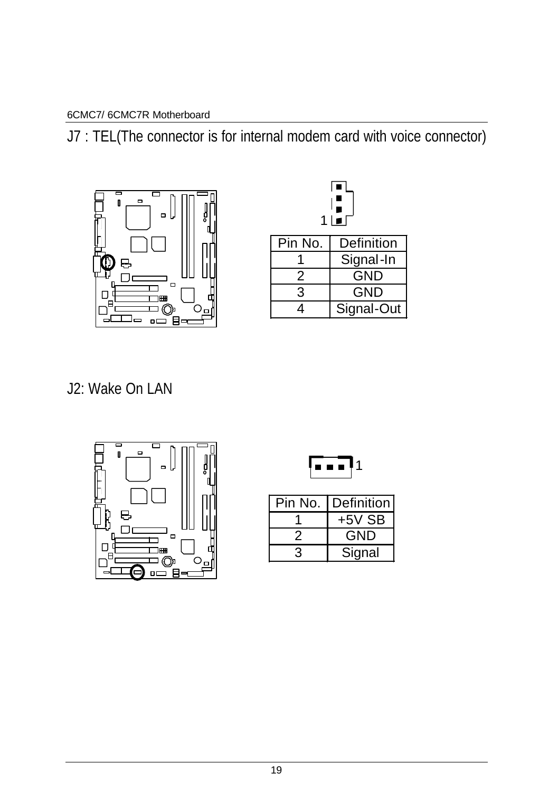J7 : TEL(The connector is for internal modem card with voice connector)





J2: Wake On LAN



 $\begin{array}{ccc} \bullet & \bullet & \bullet \end{array}$ 

| Pin No. | Definition |
|---------|------------|
|         | $+5V$ SB   |
|         | GND        |
|         | Signal     |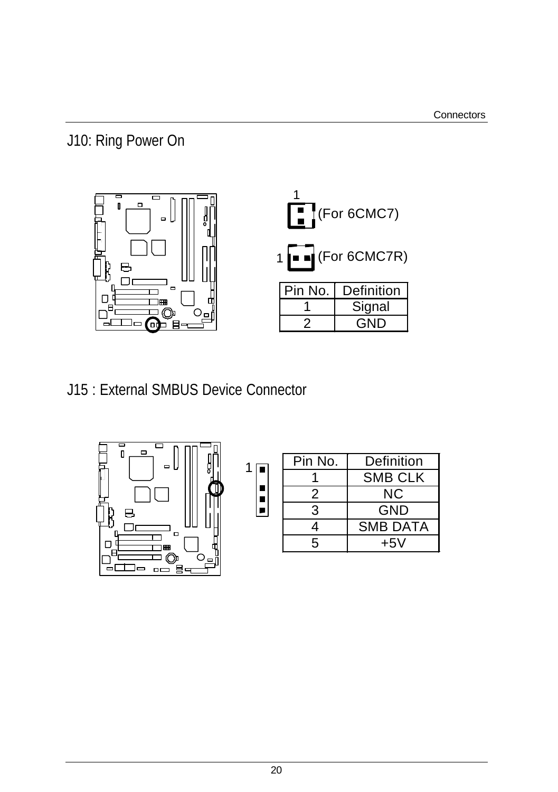J10: Ring Power On



| $\begin{bmatrix} \blacksquare \\ \blacksquare \end{bmatrix}$ (For 6CMC7) |  |                      |
|--------------------------------------------------------------------------|--|----------------------|
| $1 \bullet$ $\bullet$ (For 6CMC7R)                                       |  |                      |
|                                                                          |  | Pin No.   Definition |
|                                                                          |  | Signal               |
|                                                                          |  | GND                  |

J15 : External SMBUS Device Connector



| 7 | ÷.<br>ρ |
|---|---------|
|   |         |
|   |         |
|   |         |
|   |         |

| Pin No. | Definition      |
|---------|-----------------|
|         | <b>SMB CLK</b>  |
| 2       | NС              |
| 3       | GND             |
| 4       | <b>SMB DATA</b> |
| 5       | +5V             |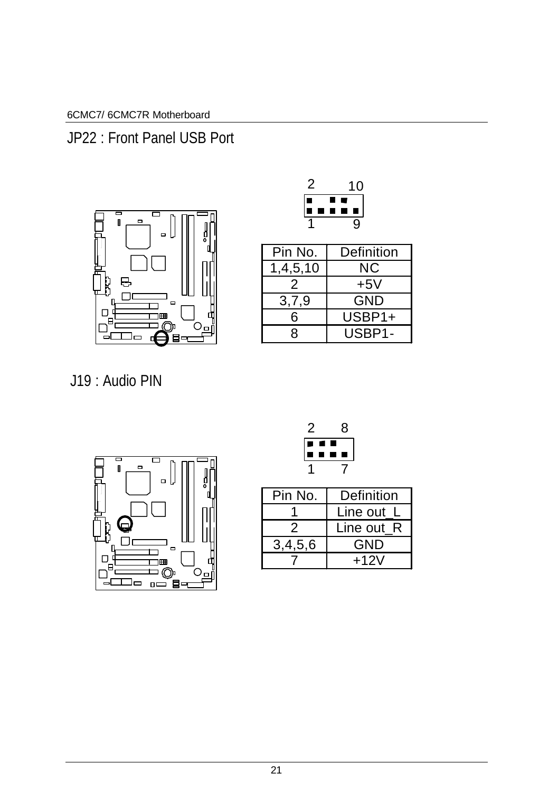JP22 : Front Panel USB Port



| <b>ر·</b> |   | 0 |  |
|-----------|---|---|--|
|           |   |   |  |
|           | щ |   |  |
|           |   |   |  |

| Pin No.  | Definition |
|----------|------------|
| 1,4,5,10 | NC.        |
| 2        | +5V        |
| 3,7,9    | GND        |
| 6        | USBP1+     |
| ႙        | USBP1-     |

J19 : Audio PIN



$$
\begin{array}{c}\n2 & 8 \\
\hline\n\text{...} \\
1 & 7\n\end{array}
$$

| Pin No. | Definition |
|---------|------------|
|         | Line out L |
|         | Line out R |
| 3,4,5,6 | GND        |
|         | $+12V$     |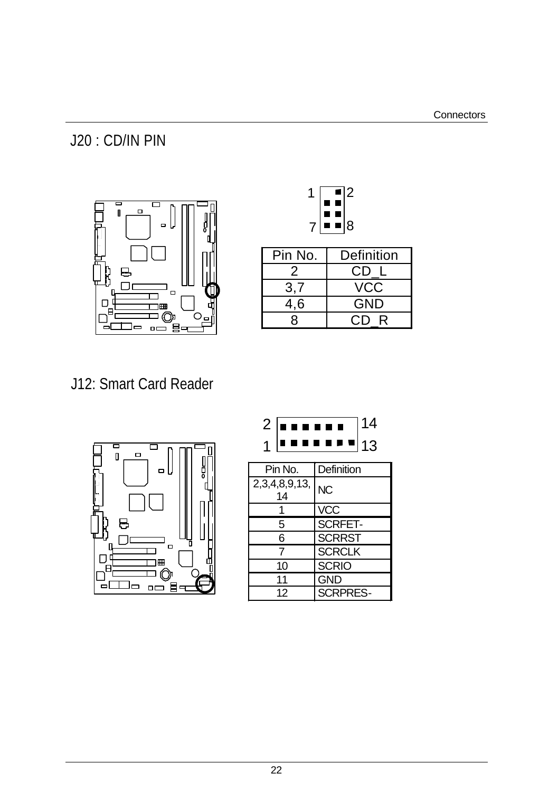### J20 : CD/IN PIN





| Pin No. | Definition |
|---------|------------|
| 2       | CD L       |
| 3,7     | VCC        |
| 4.6     | GND        |
| ႙       | CD R       |

J12: Smart Card Reader



|  |  | , , , , , , , <u>,</u> |   |  |
|--|--|------------------------|---|--|
|  |  |                        | . |  |

| Pin No.             | Definition      |
|---------------------|-----------------|
| 2,3,4,8,9,13,<br>14 | NC              |
|                     | <b>VCC</b>      |
| 5                   | SCRFET-         |
| 6                   | <b>SCRRST</b>   |
| 7                   | <b>SCRCLK</b>   |
| 10                  | <b>SCRIO</b>    |
| 11                  | <b>GND</b>      |
| 12                  | <b>SCRPRES-</b> |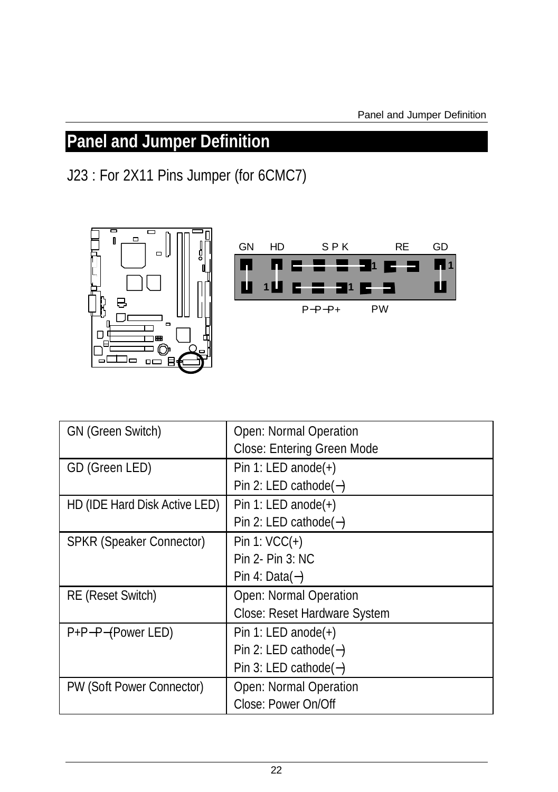# **Panel and Jumper Definition**

J23 : For 2X11 Pins Jumper (for 6CMC7)





| GN (Green Switch)             | Open: Normal Operation       |
|-------------------------------|------------------------------|
|                               | Close: Entering Green Mode   |
| GD (Green LED)                | Pin 1: LED anode $(+)$       |
|                               | Pin 2: LED cathode $(-)$     |
| HD (IDE Hard Disk Active LED) | Pin 1: LED anode $(+)$       |
|                               | Pin 2: LED cathode $(-)$     |
| SPKR (Speaker Connector)      | Pin 1: $VCC(+)$              |
|                               | Pin 2- Pin 3: NC             |
|                               | Pin 4: Data $(-)$            |
| RE (Reset Switch)             | Open: Normal Operation       |
|                               | Close: Reset Hardware System |
| $P+P-P-(Power LED)$           | Pin 1: LED anode $(+)$       |
|                               | Pin 2: LED cathode $(-)$     |
|                               | Pin 3: LED cathode $(-)$     |
| PW (Soft Power Connector)     | Open: Normal Operation       |
|                               | Close: Power On/Off          |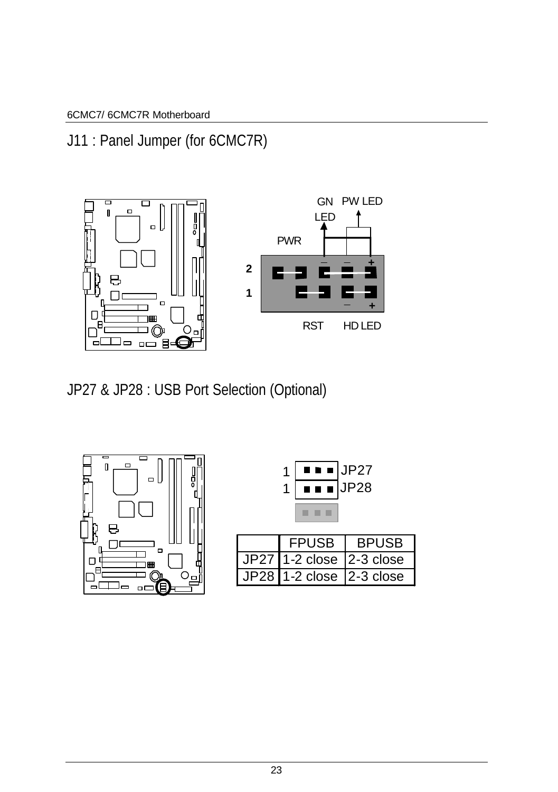J11 : Panel Jumper (for 6CMC7R)





JP27 & JP28 : USB Port Selection (Optional)



| I∎∎ JP27<br>п                      |  |
|------------------------------------|--|
| $\blacksquare$ $\blacksquare$ JP28 |  |
|                                    |  |
|                                    |  |

| <b>FPUSB</b>              | <b>BPUSB</b> |
|---------------------------|--------------|
| JP27 1-2 close 12-3 close |              |
| JP28 1-2 close 2-3 close  |              |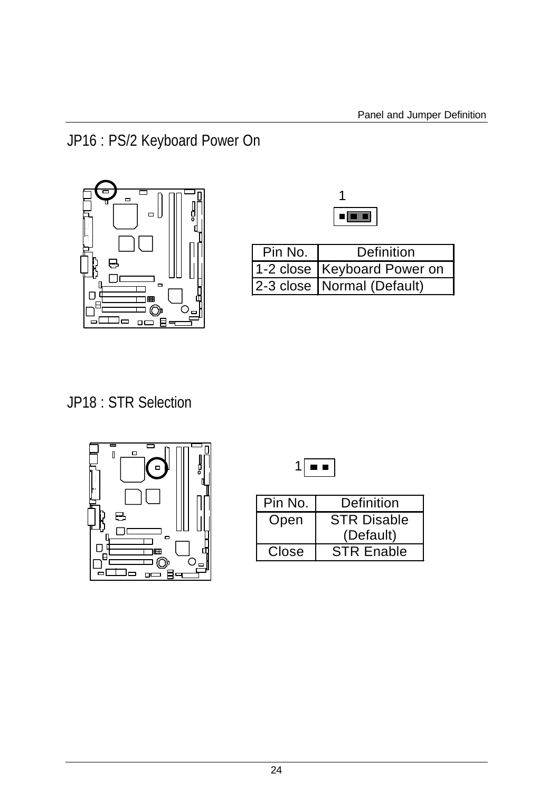# JP16 : PS/2 Keyboard Power On



| Pin No. | Definition                  |
|---------|-----------------------------|
|         | 1-2 close Keyboard Power on |
|         | 2-3 close Normal (Default)  |

JP18 : STR Selection



 $\blacksquare$   $\blacksquare$ 1

| Pin No. | Definition         |
|---------|--------------------|
| Open    | <b>STR Disable</b> |
|         | (Default)          |
| Close   | <b>STR Enable</b>  |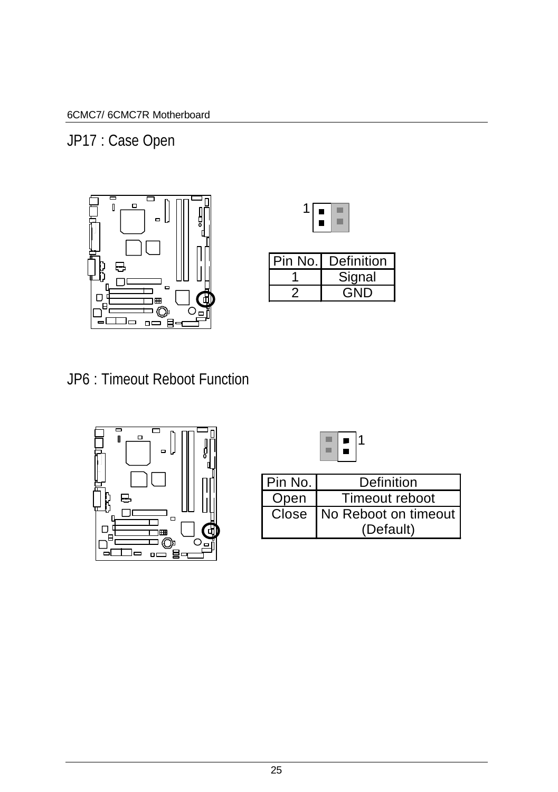JP17 : Case Open



| Pin No. Definition |
|--------------------|
| Signal             |
| GND)               |

JP6 : Timeout Reboot Function



|  | ۰.<br>. . |  |
|--|-----------|--|
|  |           |  |
|  |           |  |

| Pin No. | Definition                   |
|---------|------------------------------|
| Open    | Timeout reboot               |
|         | Close   No Reboot on timeout |
|         | (Default)                    |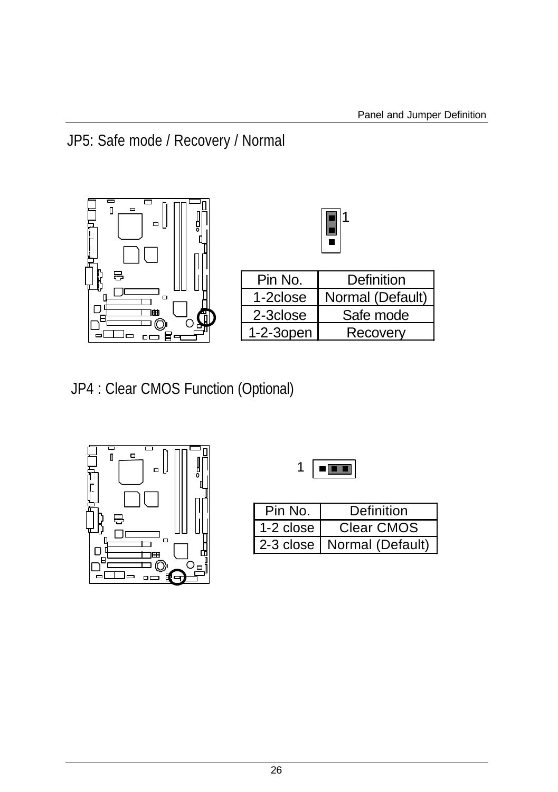### JP5: Safe mode / Recovery / Normal



| Pin No.      | Definition       |  |
|--------------|------------------|--|
| 1-2close     | Normal (Default) |  |
| 2-3close     | Safe mode        |  |
| $1-2-3$ open | Recovery         |  |

JP4 : Clear CMOS Function (Optional)



| Pin No.     | Definition                   |
|-------------|------------------------------|
| $1-2$ close | Clear CMOS                   |
|             | 2-3 close   Normal (Default) |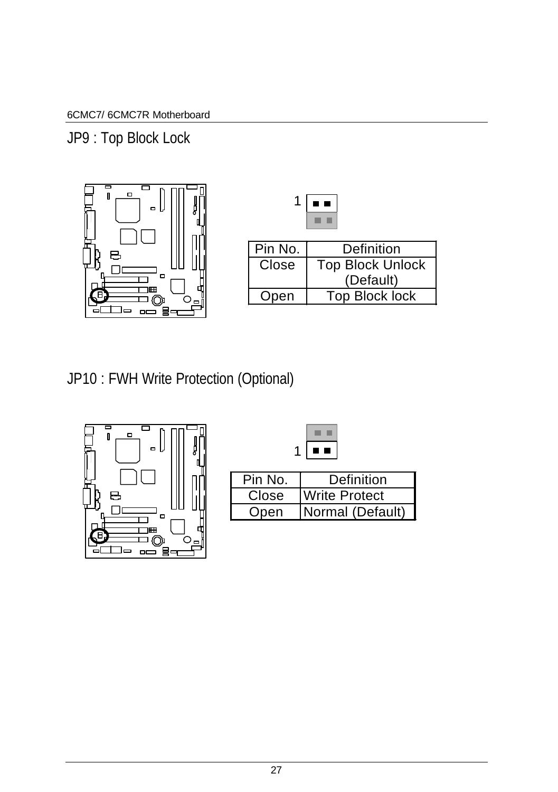JP9 : Top Block Lock



| Pin No. | Definition              |
|---------|-------------------------|
| Close   | <b>Top Block Unlock</b> |
|         | (Default)               |
| Open    | <b>Top Block lock</b>   |

JP10 : FWH Write Protection (Optional)





| Pin No. | Definition           |
|---------|----------------------|
| Close   | <b>Write Protect</b> |
| Open    | Normal (Default)     |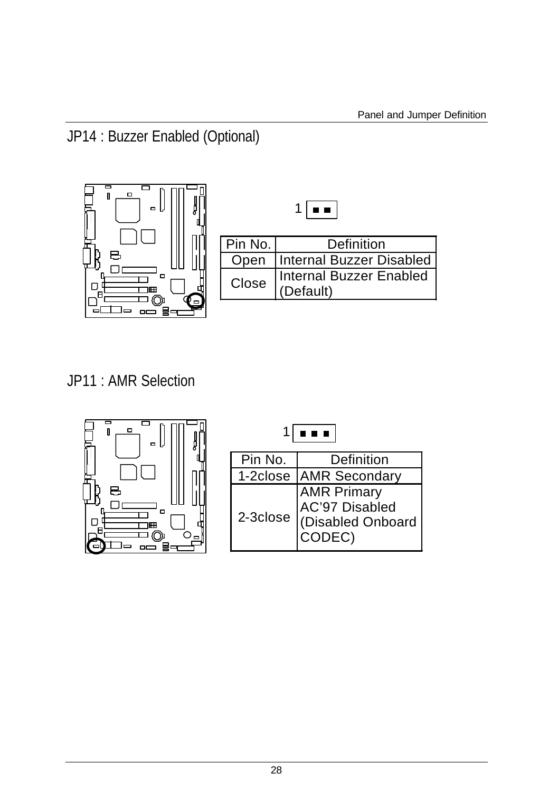JP14 : Buzzer Enabled (Optional)



| Pin No. | Definition                         |  |
|---------|------------------------------------|--|
| Open    | Internal Buzzer Disabled           |  |
| Close   | Internal Buzzer Enabled<br>efault) |  |

JP11 : AMR Selection



 $1$  $\sqrt{2}$ 

| Pin No.  | Definition                                                          |
|----------|---------------------------------------------------------------------|
| 1-2close | <b>AMR Secondary</b>                                                |
| 2-3close | <b>AMR Primary</b><br>AC'97 Disabled<br>(Disabled Onboard<br>CODEC) |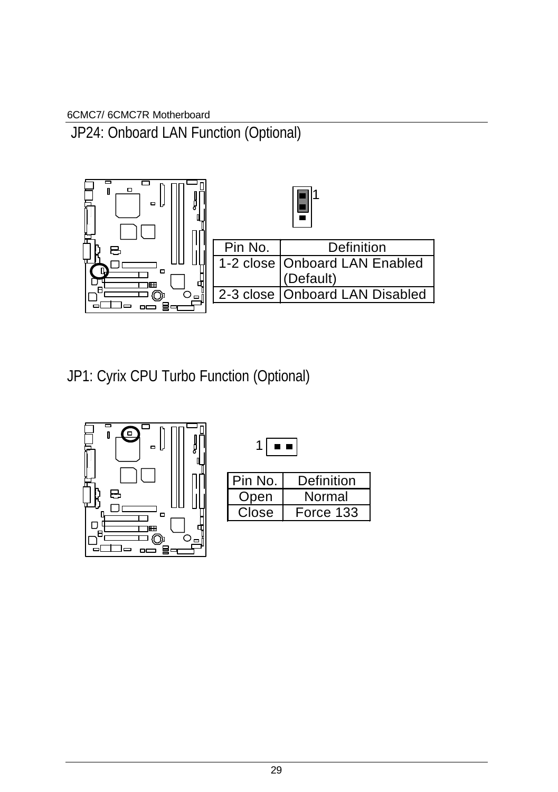# 6CMC7/ 6CMC7R Motherboard JP24: Onboard LAN Function (Optional)



JP1: Cyrix CPU Turbo Function (Optional)



1  $\blacksquare$ 

| Pin No. | Definition |
|---------|------------|
| Open    | Normal     |
| Close   | Force 133  |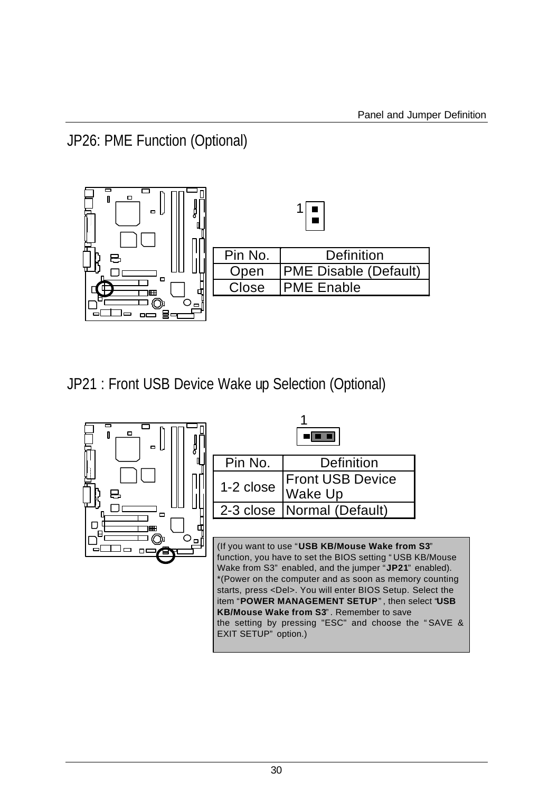JP26: PME Function (Optional)





JP21 : Front USB Device Wake up Selection (Optional)



| . .       |                              |  |  |  |  |
|-----------|------------------------------|--|--|--|--|
| Pin No.   | Definition                   |  |  |  |  |
| 1-2 close | <b>Front USB Device</b>      |  |  |  |  |
|           | <b>Wake Up</b>               |  |  |  |  |
|           | 2-3 close   Normal (Default) |  |  |  |  |

1

(If you want to use "**USB KB/Mouse Wake from S3**" function, you have to set the BIOS setting "USB KB/Mouse Wake from S3" enabled, and the jumper "**JP21**" enabled). \*(Power on the computer and as soon as memory counting starts, press <Del>. You will enter BIOS Setup. Select the item "**POWER MANAGEMENT SETUP**", then select "**USB KB/Mouse Wake from S3**". Remember to save the setting by pressing "ESC" and choose the "SAVE & EXIT SETUP" option.)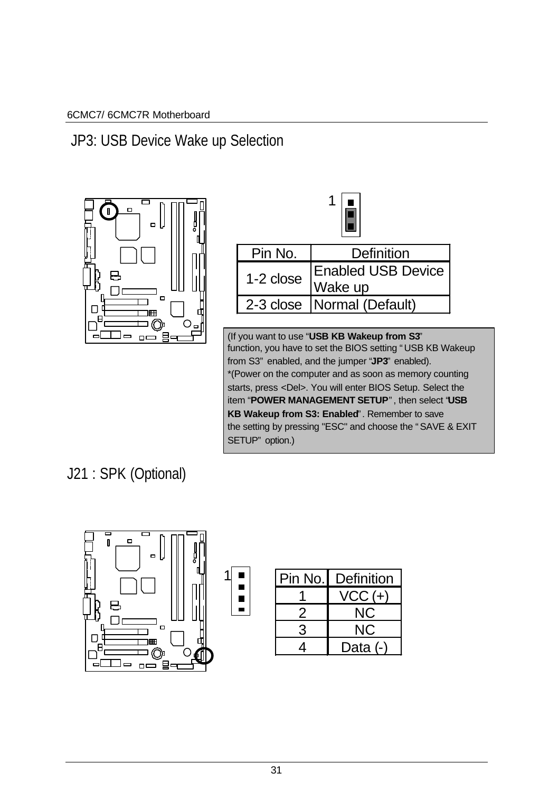# JP3: USB Device Wake up Selection



| Pin No.   | Definition                    |
|-----------|-------------------------------|
| 1-2 close | Enabled USB Device<br>Wake up |
|           | 2-3 close   Normal (Default)  |

 $\overline{1}$ 

┑

(If you want to use "**USB KB Wakeup from S3**" function, you have to set the BIOS setting "USB KB Wakeup from S3" enabled, and the jumper "**JP3**" enabled). \*(Power on the computer and as soon as memory counting starts, press <Del>. You will enter BIOS Setup. Select the item "**POWER MANAGEMENT SETUP**", then select "**USB KB Wakeup from S3: Enabled**". Remember to save the setting by pressing "ESC" and choose the "SAVE & EXIT SETUP" option.)

# J21 : SPK (Optional)



| 1 |   |  |
|---|---|--|
|   | ٠ |  |
|   |   |  |
|   |   |  |
|   |   |  |
|   |   |  |

|  | Pin No. Definition |
|--|--------------------|
|  | VCC (+)            |
|  |                    |
|  | NC.                |
|  | Data $(-)$         |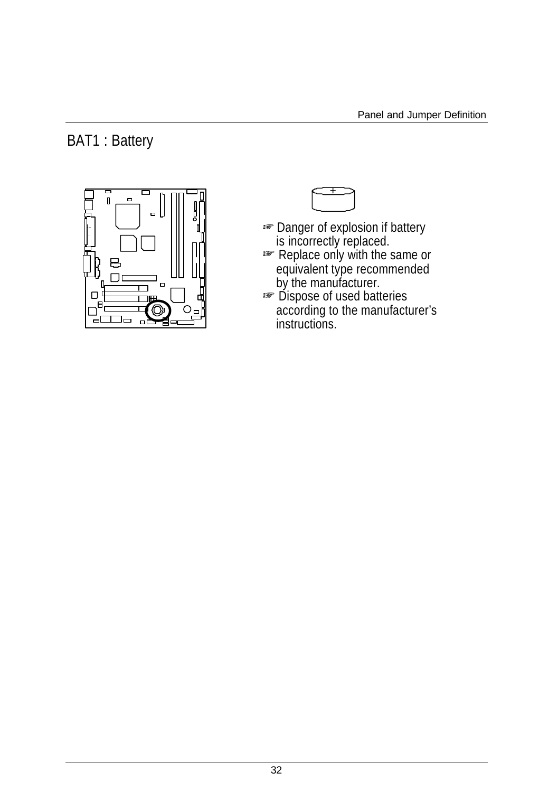# BAT1 : Battery





- **Explosion if battery Danger of explosion if battery** is incorrectly replaced.
- Replace only with the same or equivalent type recommended by the manufacturer.
- **EXECUTE:** Dispose of used batteries according to the manufacturer's instructions.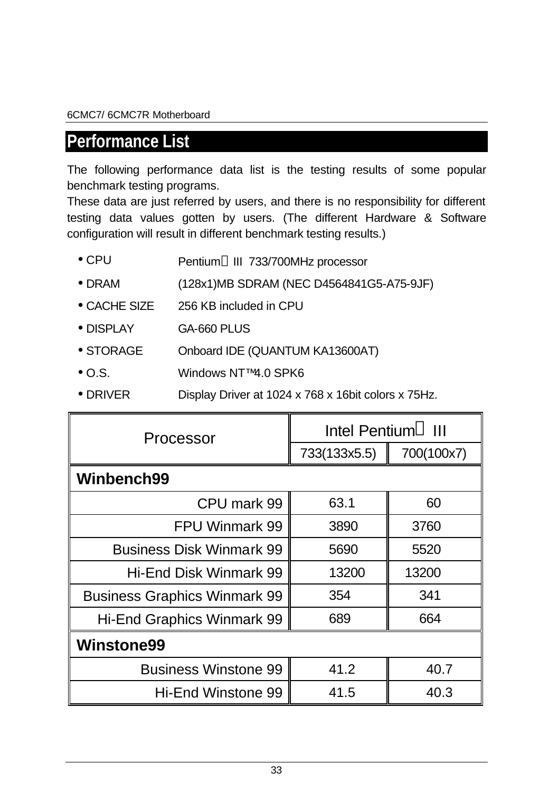# **Performance List**

The following performance data list is the testing results of some popular benchmark testing programs.

These data are just referred by users, and there is no responsibility for different testing data values gotten by users. (The different Hardware & Software configuration will result in different benchmark testing results.)

- CPU Pentium<sup>®</sup> III 733/700MHz processor
- DRAM (128x1)MB SDRAM (NEC D4564841G5-A75-9JF)
- CACHE SIZE 256 KB included in CPU
- DISPLAY GA-660 PLUS
- STORAGE Onboard IDE (QUANTUM KA13600AT)
- O.S. Windows NT™ 4.0 SPK6
- DRIVER Display Driver at 1024 x 768 x 16bit colors x 75Hz.

| Processor                           | Intel Pentium <sup>®</sup> III |            |  |  |
|-------------------------------------|--------------------------------|------------|--|--|
|                                     | 733(133x5.5)                   | 700(100x7) |  |  |
| Winbench99                          |                                |            |  |  |
| CPU mark 99                         | 63.1                           | 60         |  |  |
| FPU Winmark 99                      | 3890                           | 3760       |  |  |
| <b>Business Disk Winmark 99</b>     | 5690                           | 5520       |  |  |
| Hi-End Disk Winmark 99              | 13200                          | 13200      |  |  |
| <b>Business Graphics Winmark 99</b> | 354                            | 341        |  |  |
| Hi-End Graphics Winmark 99          | 689                            | 664        |  |  |
| Winstone99                          |                                |            |  |  |
| <b>Business Winstone 99</b>         | 41.2                           | 40.7       |  |  |
| Hi-End Winstone 99                  | 41.5                           | 40.3       |  |  |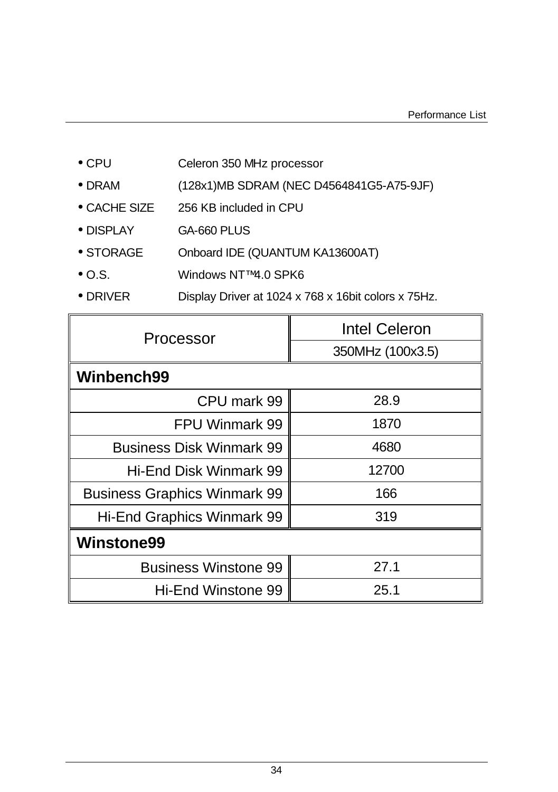- CPU Celeron 350 MHz processor
- DRAM (128x1)MB SDRAM (NEC D4564841G5-A75-9JF)
- CACHE SIZE 256 KB included in CPU
- DISPLAY GA-660 PLUS
- STORAGE Onboard IDE (QUANTUM KA13600AT)
- O.S. Windows NT™ 4.0 SPK6
- DRIVER Display Driver at 1024 x 768 x 16bit colors x 75Hz.

| Processor                           | Intel Celeron    |  |  |  |
|-------------------------------------|------------------|--|--|--|
|                                     | 350MHz (100x3.5) |  |  |  |
| Winbench99                          |                  |  |  |  |
| CPU mark 99                         | 28.9             |  |  |  |
| FPU Winmark 99                      | 1870             |  |  |  |
| <b>Business Disk Winmark 99</b>     | 4680             |  |  |  |
| Hi-End Disk Winmark 99              | 12700            |  |  |  |
| <b>Business Graphics Winmark 99</b> | 166              |  |  |  |
| Hi-End Graphics Winmark 99          | 319              |  |  |  |
| <b>Winstone99</b>                   |                  |  |  |  |
| <b>Business Winstone 99</b>         | 27.1             |  |  |  |
| Hi-End Winstone 99                  | 25.1             |  |  |  |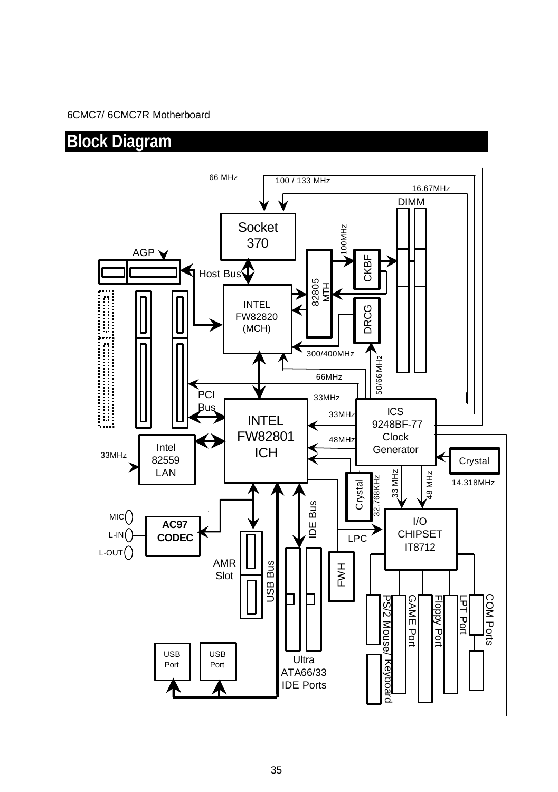# **Block Diagram**

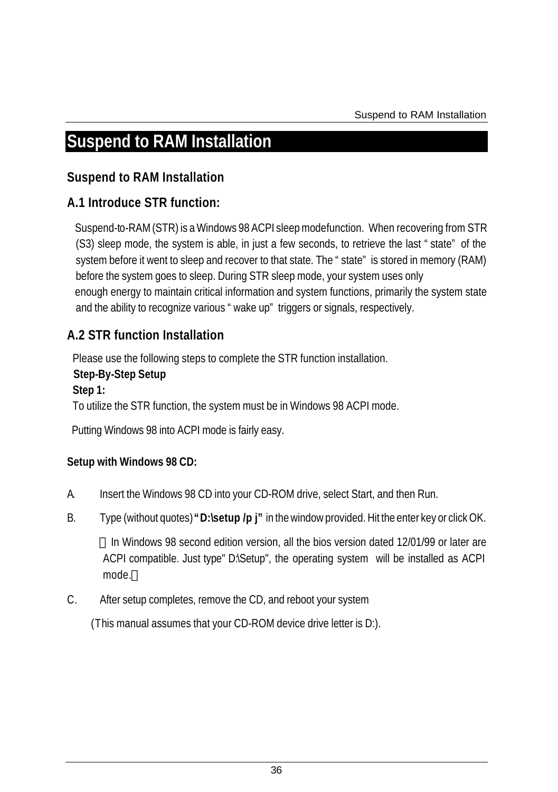# **Suspend to RAM Installation**

### **Suspend to RAM Installation**

### **A.1 Introduce STR function:**

Suspend-to-RAM (STR) is a Windows 98 ACPI sleep modefunction. When recovering from STR (S3) sleep mode, the system is able, in just a few seconds, to retrieve the last "state" of the system before it went to sleep and recover to that state. The "state" is stored in memory (RAM) before the system goes to sleep. During STR sleep mode, your system uses only enough energy to maintain critical information and system functions, primarily the system state and the ability to recognize various "wake up" triggers or signals, respectively.

## **A.2 STR function Installation**

Please use the following steps to complete the STR function installation.

# **Step-By-Step Setup**

### **Step 1:**

To utilize the STR function, the system must be in Windows 98 ACPI mode.

Putting Windows 98 into ACPI mode is fairly easy.

#### **Setup with Windows 98 CD:**

- A. Insert the Windows 98 CD into your CD-ROM drive, select Start, and then Run.
- B. Type (without quotes) **"D:\setup /p j"** in the window provided. Hit the enter key or click OK.

In Windows 98 second edition version, all the bios version dated 12/01/99 or later are ACPI compatible. Just type" D:\Setup", the operating system will be installed as ACPI mode.

C. After setup completes, remove the CD, and reboot your system

(This manual assumes that your CD-ROM device drive letter is D:).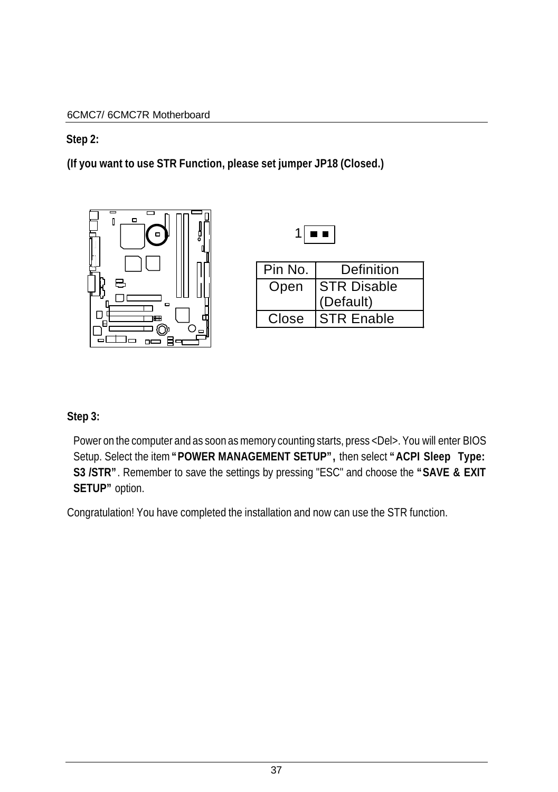#### **Step 2:**

**(If you want to use STR Function, please set jumper JP18 (Closed.)**



| . .     |                   |  |  |  |
|---------|-------------------|--|--|--|
| Pin No. | Definition        |  |  |  |
| Open    | STR Disable       |  |  |  |
|         | (Default)         |  |  |  |
| Close   | <b>STR Enable</b> |  |  |  |

#### **Step 3:**

Power on the computer and as soon as memory counting starts, press <Del>. You will enter BIOS Setup. Select the item **"POWER MANAGEMENT SETUP",** then select **"ACPI Sleep Type: S3 /STR"**. Remember to save the settings by pressing "ESC" and choose the **"SAVE & EXIT**  SETUP" option.

Congratulation! You have completed the installation and now can use the STR function.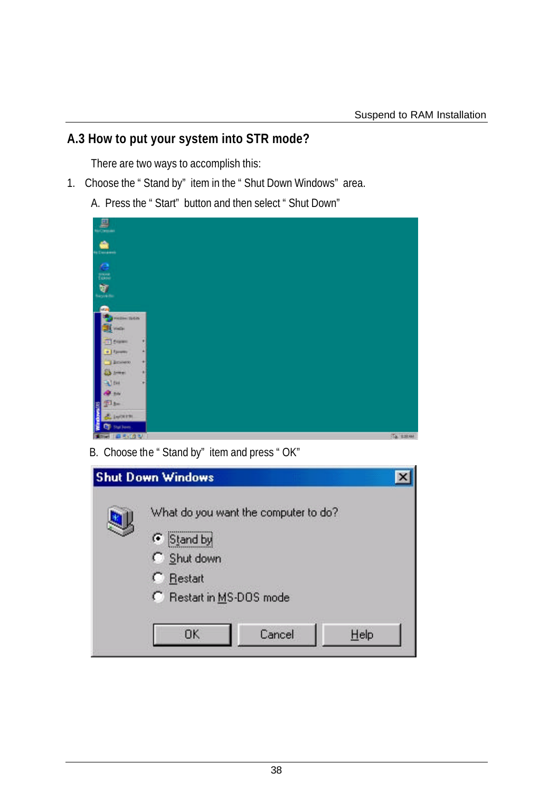### **A.3 How to put your system into STR mode?**

There are two ways to accomplish this:

- 1. Choose the "Stand by" item in the "Shut Down Windows" area.
	- A. Press the "Start" button and then select "Shut Down"

| 里<br><b>No Consuler</b>                                 |          |
|---------------------------------------------------------|----------|
| ٠<br><b>Fo Desarrow</b>                                 |          |
| e<br><b>Time</b>                                        |          |
| Ŵ<br><b>Novema</b><br><b>Contract</b>                   |          |
| <b>Division fields</b><br><b>Highway</b>                |          |
| TT Crawn<br>+1 Green                                    |          |
| <b>CONTROLS 1999</b><br><b>TECHNOL</b><br><b>States</b> |          |
| <b>AT DH</b><br><b>De mont</b><br>$F13-$                |          |
| В<br><b>CLIMBERS</b>                                    |          |
| <b>Co</b> Stations<br><b>Bowl &amp; SIGN 1</b>          | Па взяли |

B. Choose the "Stand by" item and press "OK"

| <b>Shut Down Windows</b>                                                 |                                                |      |
|--------------------------------------------------------------------------|------------------------------------------------|------|
| G Stand by<br>C Shut down<br>C Restart<br>C Restart in MS-DOS mode<br>ПK | What do you want the computer to do?<br>Cancel | Help |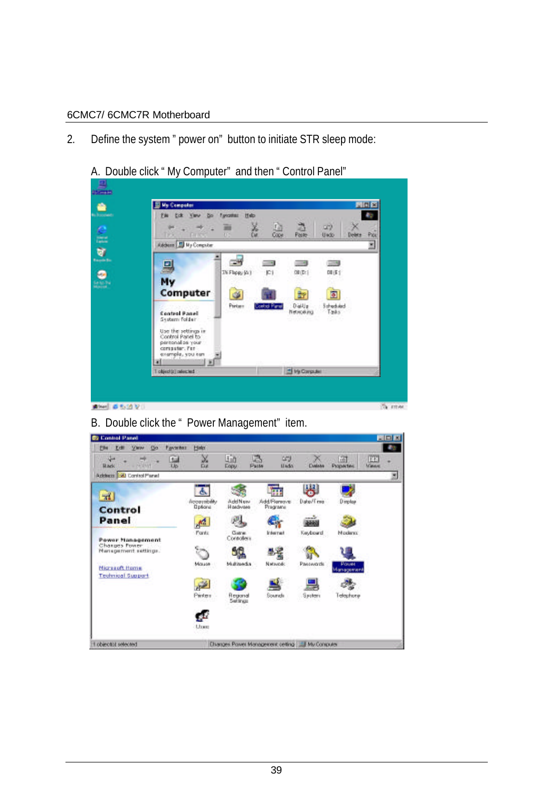2. Define the system "power on" button to initiate STR sleep mode:

| <b>My Compulse</b>                    |                          |                      |                       |                           | Moles          |
|---------------------------------------|--------------------------|----------------------|-----------------------|---------------------------|----------------|
| Edt Yarv<br>řм                        | tteb<br>Favoritez<br>Bo. |                      |                       |                           | ĉ              |
|                                       | ≡<br><b>UD</b>           | x<br>n<br>Čм<br>Cope | 2<br>Pare             | 52<br>Uwdo:               | Delete<br>Piot |
| Address TV My Computer                |                          |                      |                       |                           | Ξ              |
|                                       |                          | <b>Signal</b>        | $-1$                  | <b>HOME</b>               |                |
| 9                                     | TV Flippy [A]            | C                    | $00$ (D:1)            | D0(E)                     |                |
| My                                    |                          |                      |                       |                           |                |
| Computer                              |                          |                      | 数                     | 回                         |                |
|                                       |                          |                      |                       |                           |                |
| <b>Control Panel</b>                  | Perture                  | Control Parrel       | Diallie<br>Netroking. | <b>Scheduled</b><br>Tasks |                |
| Ssatemy folder                        |                          |                      |                       |                           |                |
| Use the settings in                   |                          |                      |                       |                           |                |
| Control Pariel to<br>pertonal se your |                          |                      |                       |                           |                |
| computer, Fer-<br>example, you can    |                          |                      |                       |                           |                |
|                                       |                          |                      |                       |                           |                |
| Tobject(c) rates:led                  |                          |                      | by Corpute)           |                           |                |
|                                       |                          |                      |                       |                           |                |

A. Double click "My Computer" and then "Control Panel"

B. Double click the " Power Management" item.

| <b>By Control Panel</b>                            |                 |                                              |                           |                                                   |                |                 |                                 | $   x$ |
|----------------------------------------------------|-----------------|----------------------------------------------|---------------------------|---------------------------------------------------|----------------|-----------------|---------------------------------|--------|
| PB# 2df<br><b>View</b><br>Co                       | <b>Favorher</b> | Halp                                         |                           |                                                   |                |                 |                                 |        |
| ц.<br>$-25.25$<br><b>Rack</b>                      | tul<br>Uo.      | X<br><b>Cut</b>                              | Lin<br><b>Dopu</b>        | 璐<br><b>LCU</b><br>Patte<br>$II = 50$             | <b>Cusinas</b> | 固<br>Properties | Œ<br><b><i><u>Viene</u></i></b> |        |
| Address [Sil] Control Planet                       |                 |                                              |                           |                                                   |                |                 |                                 |        |
| $\pi$<br>Control                                   |                 | A.<br><b>Accessibility</b><br><b>D</b> p6ond | Add New<br><b>Hadware</b> | Add Flamours<br>Pragrams                          | 閑<br>Date/Time | Director        |                                 |        |
| Panel                                              |                 | $\mathcal{F}^{\prime}$                       |                           | ×,                                                | 440            |                 |                                 |        |
| Power Hansgement<br>Changes Fower                  |                 | <b>Fords</b>                                 | Gane.<br>Contolers        | Internet                                          | Keyboard       | Moderat         |                                 |        |
| Management settings.                               |                 | Mouse                                        | Millenda                  | 통국<br>Nativod:                                    | Passwords      | Poset           |                                 |        |
| <b>Nicreaoft Itoms</b><br><b>Technical Support</b> |                 |                                              |                           |                                                   |                | Management      |                                 |        |
|                                                    |                 | <b>PROPERTY</b><br>Pinker                    | flogand<br>Settings       | <b>Sourida</b>                                    | Spoten         | Telephone       |                                 |        |
|                                                    |                 | Lines                                        |                           |                                                   |                |                 |                                 |        |
| chiecald selected                                  |                 |                                              |                           | Dianges Power Management cetting [11] My Computer |                |                 |                                 |        |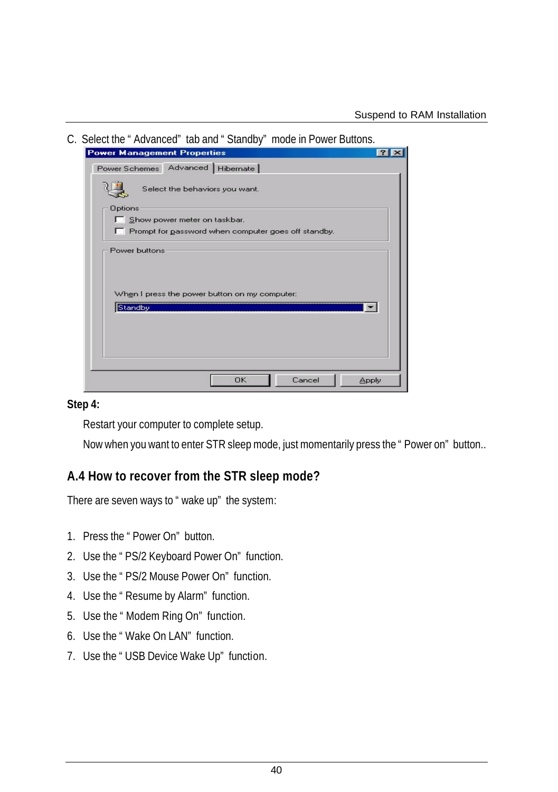C. Select the "Advanced" tab and "Standby" mode in Power Buttons.

| <b>Power Management Properties</b>                        |  |
|-----------------------------------------------------------|--|
| Power Schemes Advanced   Hibernate                        |  |
| Select the behaviors you want.                            |  |
| <b>Options</b>                                            |  |
| Show power meter on taskbar.                              |  |
| Prompt for password when computer goes off standby.<br>ra |  |
| Power buttons                                             |  |
|                                                           |  |
| When I press the power button on my computer:             |  |
| Standby                                                   |  |
|                                                           |  |
|                                                           |  |
|                                                           |  |
|                                                           |  |
|                                                           |  |
| <b>OK</b><br>Cancel<br>Apply                              |  |

#### **Step 4:**

Restart your computer to complete setup.

Now when you want to enter STR sleep mode, just momentarily press the "Power on" button..

#### **A.4 How to recover from the STR sleep mode?**

There are seven ways to "wake up" the system:

- 1. Press the "Power On" button.
- 2. Use the "PS/2 Keyboard Power On" function.
- 3. Use the "PS/2 Mouse Power On" function.
- 4. Use the "Resume by Alarm" function.
- 5. Use the "Modem Ring On" function.
- 6. Use the "Wake On LAN" function.
- 7. Use the "USB Device Wake Up" function.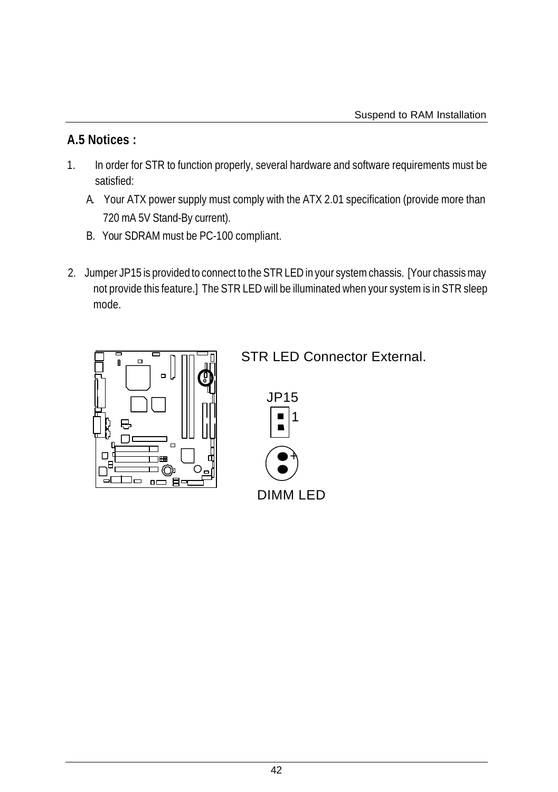### **A.5 Notices :**

- 1. In order for STR to function properly, several hardware and software requirements must be satisfied:
	- A. Your ATX power supply must comply with the ATX 2.01 specification (provide more than 720 mA 5V Stand-By current).
	- B. Your SDRAM must be PC-100 compliant.
- 2. Jumper JP15 is provided to connect to the STR LED in your system chassis. [Your chassis may not provide this feature.] The STR LED will be illuminated when your system is in STR sleep mode.



STR LED Connector External

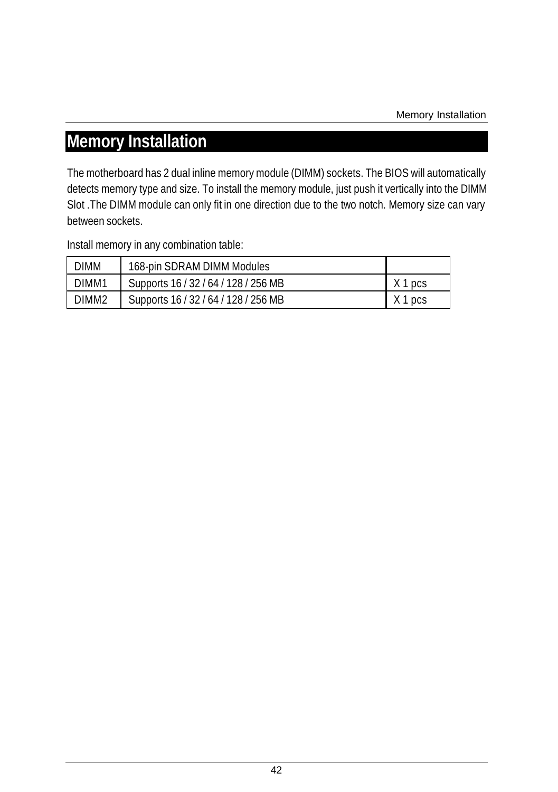# **Memory Installation**

The motherboard has 2 dual inline memory module (DIMM) sockets. The BIOS will automatically detects memory type and size. To install the memory module, just push it vertically into the DIMM Slot .The DIMM module can only fit in one direction due to the two notch. Memory size can vary between sockets.

Install memory in any combination table:

| DIMM              | 168-pin SDRAM DIMM Modules           |           |
|-------------------|--------------------------------------|-----------|
| DIMM1             | Supports 16 / 32 / 64 / 128 / 256 MB | 1 pcs     |
| DIMM <sub>2</sub> | Supports 16 / 32 / 64 / 128 / 256 MB | $X$ 1 pcs |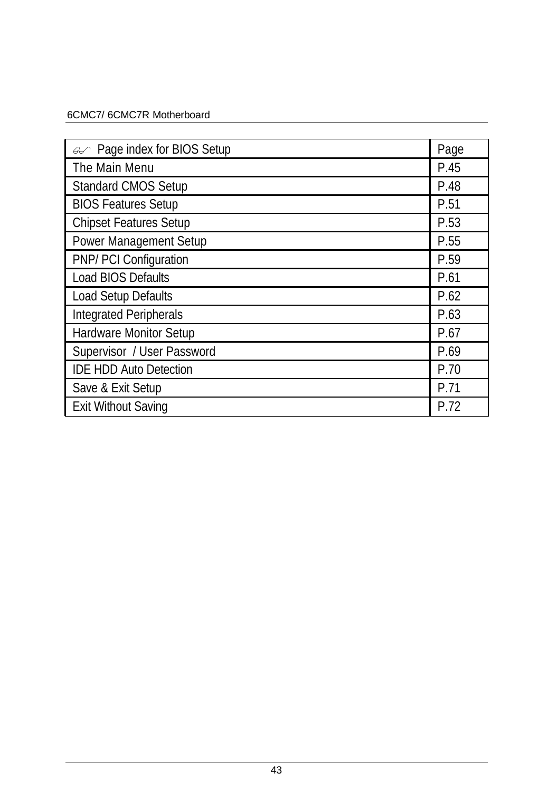| ⊕ Page index for BIOS Setup   | Page |
|-------------------------------|------|
| The Main Menu                 | P.45 |
| <b>Standard CMOS Setup</b>    | P.48 |
| <b>BIOS Features Setup</b>    | P.51 |
| <b>Chipset Features Setup</b> | P.53 |
| Power Management Setup        | P.55 |
| PNP/ PCI Configuration        | P.59 |
| Load BIOS Defaults            | P.61 |
| Load Setup Defaults           | P.62 |
| Integrated Peripherals        | P.63 |
| Hardware Monitor Setup        | P.67 |
| Supervisor / User Password    | P.69 |
| <b>IDE HDD Auto Detection</b> | P.70 |
| Save & Exit Setup             | P.71 |
| <b>Exit Without Saving</b>    | P.72 |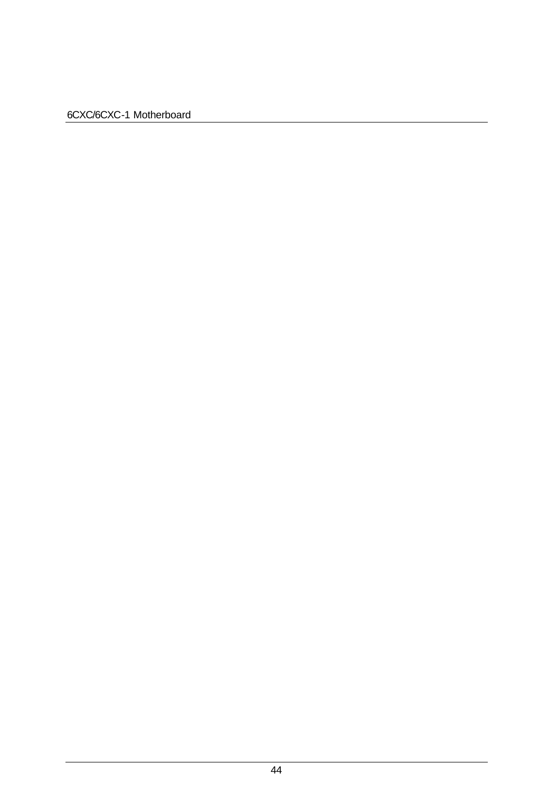6CXC/6CXC-1 Motherboard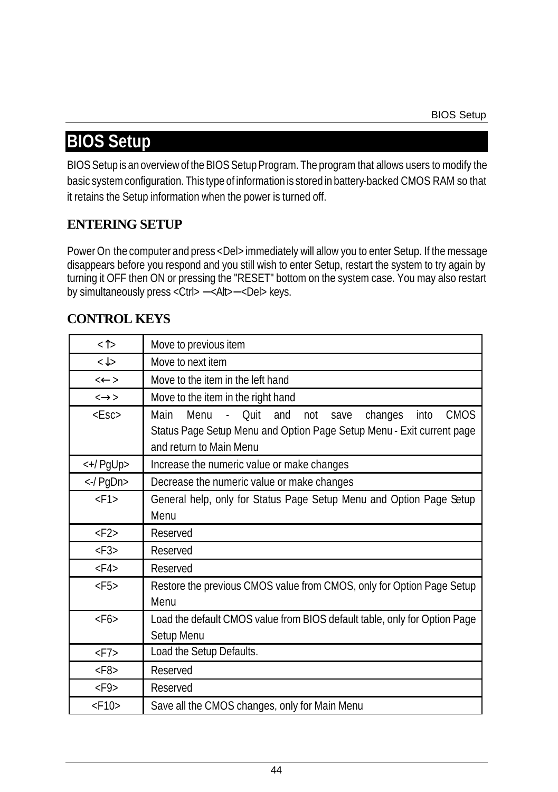# **BIOS Setup**

BIOS Setup is an overview of the BIOS Setup Program. The program that allows users to modify the basic system configuration. This type of information is stored in battery-backed CMOS RAM so that it retains the Setup information when the power is turned off.

### **ENTERING SETUP**

Power On the computer and press <Del> immediately will allow you to enter Setup. If the message disappears before you respond and you still wish to enter Setup, restart the system to try again by turning it OFF then ON or pressing the "RESET" bottom on the system case. You may also restart by simultaneously press <Ctrl> − <Alt>− <Del> keys.

### **CONTROL KEYS**

| $\langle \uparrow \rangle$ | Move to previous item                                                          |  |
|----------------------------|--------------------------------------------------------------------------------|--|
| حبك                        | Move to next item                                                              |  |
| $\leftarrow$               | Move to the item in the left hand                                              |  |
| $\iff$                     | Move to the item in the right hand                                             |  |
| $\langle$ Esc>             | Menu<br>- Quit<br>and<br><b>CMOS</b><br>Main<br>not<br>changes<br>into<br>save |  |
|                            | Status Page Setup Menu and Option Page Setup Menu - Exit current page          |  |
|                            | and return to Main Menu                                                        |  |
| <+/ PqUp>                  | Increase the numeric value or make changes                                     |  |
| <-/ PgDn>                  | Decrease the numeric value or make changes                                     |  |
| $<$ F1>                    | General help, only for Status Page Setup Menu and Option Page Setup            |  |
|                            | Menu                                                                           |  |
| $\langle$ F2>              | Reserved                                                                       |  |
| $\langle$ F3>              | Reserved                                                                       |  |
| $<$ F4>                    | Reserved                                                                       |  |
| $<$ F5>                    | Restore the previous CMOS value from CMOS, only for Option Page Setup          |  |
|                            | Menu                                                                           |  |
| $<$ F6>                    | Load the default CMOS value from BIOS default table, only for Option Page      |  |
|                            | Setup Menu                                                                     |  |
| $\langle$ F7>              | Load the Setup Defaults.                                                       |  |
| $<$ F8>                    | Reserved                                                                       |  |
| $\langle$ F9>              | Reserved                                                                       |  |
| $<$ F10 $>$                | Save all the CMOS changes, only for Main Menu                                  |  |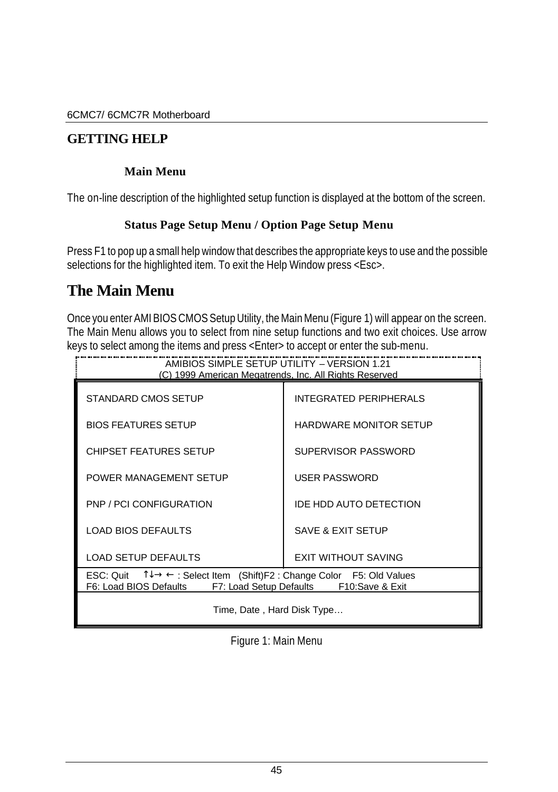#### **GETTING HELP**

#### **Main Menu**

The on-line description of the highlighted setup function is displayed at the bottom of the screen.

#### **Status Page Setup Menu / Option Page Setup Menu**

Press F1 to pop up a small help window that describes the appropriate keys to use and the possible selections for the highlighted item. To exit the Help Window press <Esc>.

### **The Main Menu**

Once you enter AMI BIOS CMOS Setup Utility, the Main Menu (Figure 1) will appear on the screen. The Main Menu allows you to select from nine setup functions and two exit choices. Use arrow keys to select among the items and press <Enter> to accept or enter the sub-menu.

| AMIBIOS SIMPLE SETUP UTILITY - VERSION 1.21<br>(C) 1999 American Megatrends, Inc. All Rights Reserved                                                                   |                               |  |
|-------------------------------------------------------------------------------------------------------------------------------------------------------------------------|-------------------------------|--|
| <b>STANDARD CMOS SETUP</b>                                                                                                                                              | <b>INTEGRATED PERIPHERALS</b> |  |
| <b>BIOS FEATURES SETUP</b>                                                                                                                                              | <b>HARDWARE MONITOR SETUP</b> |  |
| <b>CHIPSET FEATURES SETUP</b>                                                                                                                                           | SUPERVISOR PASSWORD           |  |
| POWER MANAGEMENT SETUP                                                                                                                                                  | <b>USER PASSWORD</b>          |  |
| <b>PNP / PCI CONFIGURATION</b>                                                                                                                                          | <b>IDE HDD AUTO DETECTION</b> |  |
| <b>LOAD BIOS DEFAULTS</b>                                                                                                                                               | <b>SAVE &amp; EXIT SETUP</b>  |  |
| <b>LOAD SETUP DEFAULTS</b>                                                                                                                                              | <b>EXIT WITHOUT SAVING</b>    |  |
| ESC: Quit $\hat{I} \cup \rightarrow \leftarrow$ : Select Item (Shift)F2: Change Color F5: Old Values<br>F6: Load BIOS Defaults F7: Load Setup Defaults F10: Save & Exit |                               |  |
| Time, Date, Hard Disk Type                                                                                                                                              |                               |  |

Figure 1: Main Menu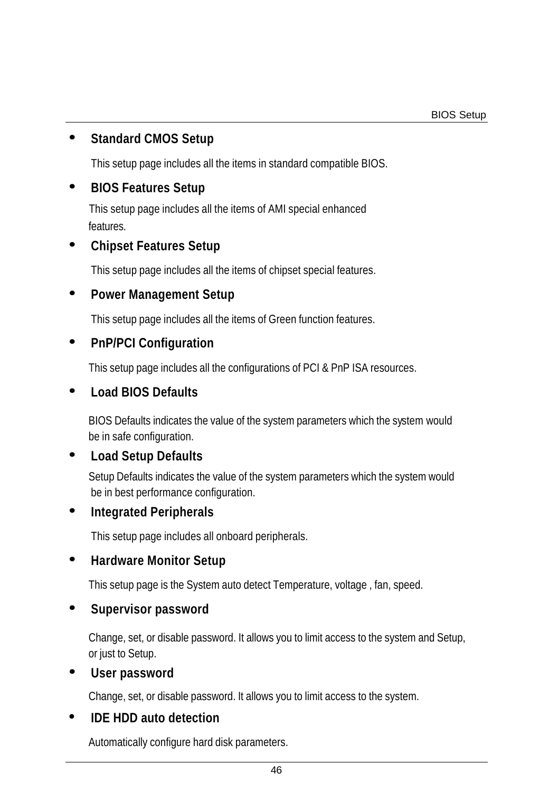#### **· Standard CMOS Setup**

This setup page includes all the items in standard compatible BIOS.

#### **· BIOS Features Setup**

 This setup page includes all the items of AMI special enhanced features.

#### **· Chipset Features Setup**

This setup page includes all the items of chipset special features.

#### **· Power Management Setup**

This setup page includes all the items of Green function features.

#### **· PnP/PCI Configuration**

This setup page includes all the configurations of PCI & PnP ISA resources.

#### **· Load BIOS Defaults**

 BIOS Defaults indicates the value of the system parameters which the system would be in safe configuration.

#### **· Load Setup Defaults**

 Setup Defaults indicates the value of the system parameters which the system would be in best performance configuration.

#### **· Integrated Peripherals**

This setup page includes all onboard peripherals.

#### **· Hardware Monitor Setup**

This setup page is the System auto detect Temperature, voltage , fan, speed.

#### **· Supervisor password**

 Change, set, or disable password. It allows you to limit access to the system and Setup, or just to Setup.

#### **· User password**

Change, set, or disable password. It allows you to limit access to the system.

### • **IDE HDD auto detection**

Automatically configure hard disk parameters.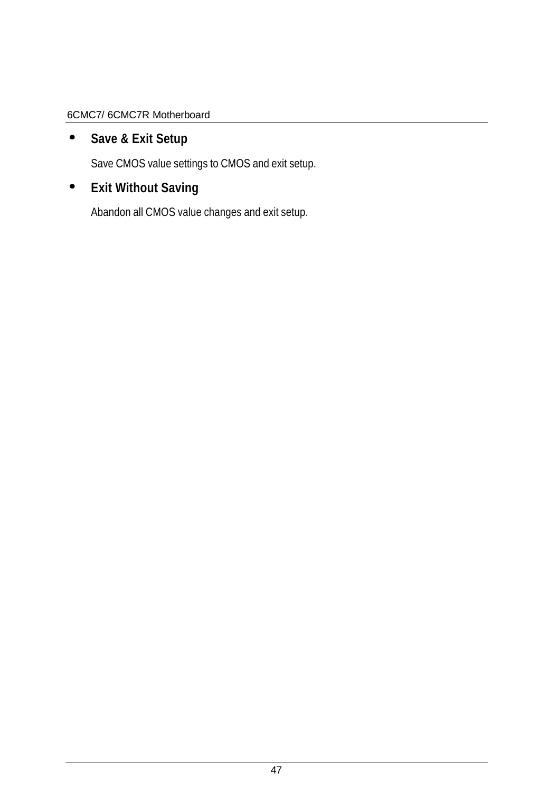### **· Save & Exit Setup**

Save CMOS value settings to CMOS and exit setup.

### **· Exit Without Saving**

Abandon all CMOS value changes and exit setup.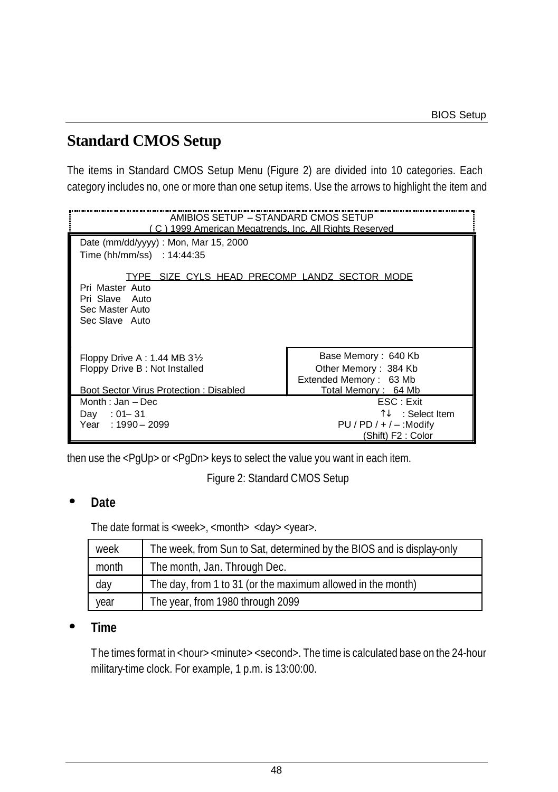# **Standard CMOS Setup**

The items in Standard CMOS Setup Menu (Figure 2) are divided into 10 categories. Each category includes no, one or more than one setup items. Use the arrows to highlight the item and

| AMIBIOS SETUP – STANDARD CMOS SETUP<br>(C) 1999 American Megatrends, Inc. All Rights Reserved                           |                                                 |
|-------------------------------------------------------------------------------------------------------------------------|-------------------------------------------------|
| Date (mm/dd/yyyy) : Mon, Mar 15, 2000                                                                                   |                                                 |
| Time (hh/mm/ss) : 14:44:35                                                                                              |                                                 |
| TYPE SIZE CYLS HEAD PRECOMP LANDZ SECTOR MODE<br>Pri Master Auto<br>Pri Slave Auto<br>Sec Master Auto<br>Sec Slave Auto |                                                 |
| Floppy Drive A : 1.44 MB 3\%                                                                                            | Base Memory: 640 Kb                             |
| Floppy Drive B: Not Installed                                                                                           | Other Memory: 384 Kb                            |
| Boot Sector Virus Protection: Disabled                                                                                  | Extended Memory: 63 Mb<br>Total Memory: 64 Mb   |
| Month: Jan - Dec                                                                                                        | ESC: Exit                                       |
| Day : $01 - 31$                                                                                                         | $\uparrow\downarrow$ : Select Item              |
| Year : 1990 - 2099                                                                                                      | $PU / PD / + / -$ : Modify<br>(Shift) F2: Color |

then use the <PgUp> or <PgDn> keys to select the value you want in each item.

Figure 2: Standard CMOS Setup

#### **· Date**

The date format is <week>, <month> <day> <year>.

| week  | The week, from Sun to Sat, determined by the BIOS and is display-only |
|-------|-----------------------------------------------------------------------|
| month | The month, Jan. Through Dec.                                          |
| day   | The day, from 1 to 31 (or the maximum allowed in the month)           |
| vear  | The year, from 1980 through 2099                                      |

#### **· Time**

The times format in <hour> <minute> <second>. The time is calculated base on the 24-hour military-time clock. For example, 1 p.m. is 13:00:00.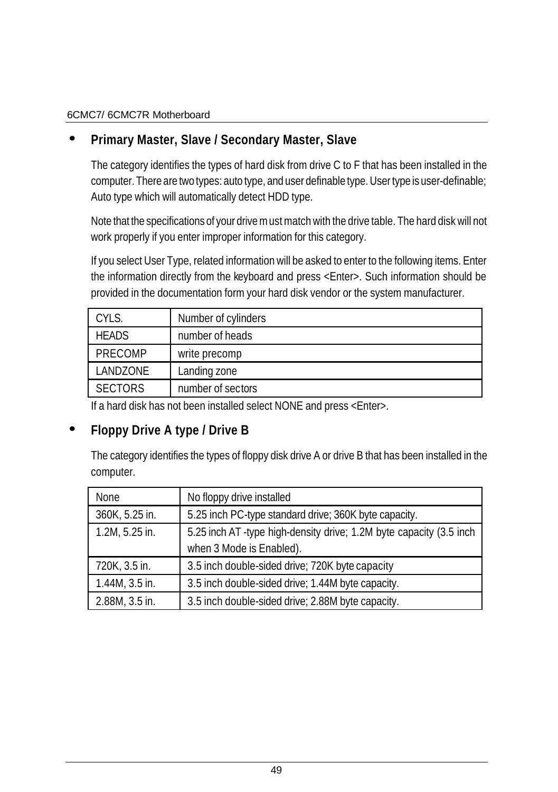#### **· Primary Master, Slave / Secondary Master, Slave**

The category identifies the types of hard disk from drive C to F that has been installed in the computer. There are two types: auto type, and user definable type. User type is user-definable; Auto type which will automatically detect HDD type.

Note that the specifications of your drive must match with the drive table. The hard disk will not work properly if you enter improper information for this category.

If you select User Type, related information will be asked to enter to the following items. Enter the information directly from the keyboard and press <Enter>. Such information should be provided in the documentation form your hard disk vendor or the system manufacturer.

| CYLS.          | Number of cylinders |  |
|----------------|---------------------|--|
| <b>HEADS</b>   | number of heads     |  |
| PRECOMP        | write precomp       |  |
| LANDZONE       | Landing zone        |  |
| <b>SECTORS</b> | number of sectors   |  |

If a hard disk has not been installed select NONE and press <Enter>.

### **· Floppy Drive A type / Drive B**

The category identifies the types of floppy disk drive A or drive B that has been installed in the computer.

| None           | No floppy drive installed                                           |  |
|----------------|---------------------------------------------------------------------|--|
| 360K, 5.25 in. | 5.25 inch PC-type standard drive; 360K byte capacity.               |  |
| 1.2M, 5.25 in. | 5.25 inch AT -type high-density drive; 1.2M byte capacity (3.5 inch |  |
|                | when 3 Mode is Enabled).                                            |  |
| 720K, 3.5 in.  | 3.5 inch double-sided drive; 720K byte capacity                     |  |
| 1.44M, 3.5 in. | 3.5 inch double-sided drive; 1.44M byte capacity.                   |  |
| 2.88M, 3.5 in. | 3.5 inch double-sided drive; 2.88M byte capacity.                   |  |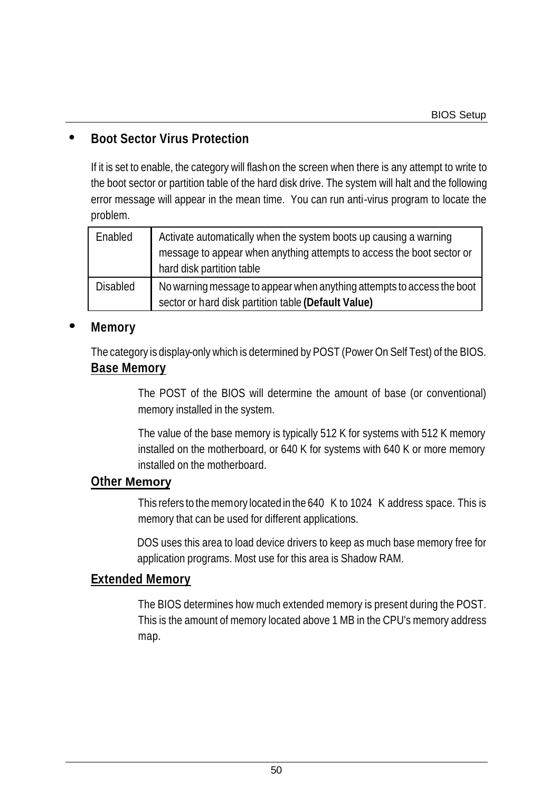### • **Boot Sector Virus Protection**

If it is set to enable, the category will flash on the screen when there is any attempt to write to the boot sector or partition table of the hard disk drive. The system will halt and the following error message will appear in the mean time. You can run anti-virus program to locate the problem.

| Enabled         | Activate automatically when the system boots up causing a warning<br>message to appear when anything attempts to access the boot sector or<br>hard disk partition table |
|-----------------|-------------------------------------------------------------------------------------------------------------------------------------------------------------------------|
| <b>Disabled</b> | No warning message to appear when anything attempts to access the boot<br>sector or hard disk partition table (Default Value)                                           |

#### **· Memory**

The category is display-only which is determined by POST (Power On Self Test) of the BIOS. **Base Memory**

> The POST of the BIOS will determine the amount of base (or conventional) memory installed in the system.

> The value of the base memory is typically 512 K for systems with 512 K memory installed on the motherboard, or 640 K for systems with 640 K or more memory installed on the motherboard.

#### **Other Memory**

This refers to the memory located in the 640 K to 1024 K address space. This is memory that can be used for different applications.

DOS uses this area to load device drivers to keep as much base memory free for application programs. Most use for this area is Shadow RAM.

#### **Extended Memory**

The BIOS determines how much extended memory is present during the POST. This is the amount of memory located above 1 MB in the CPU's memory address map.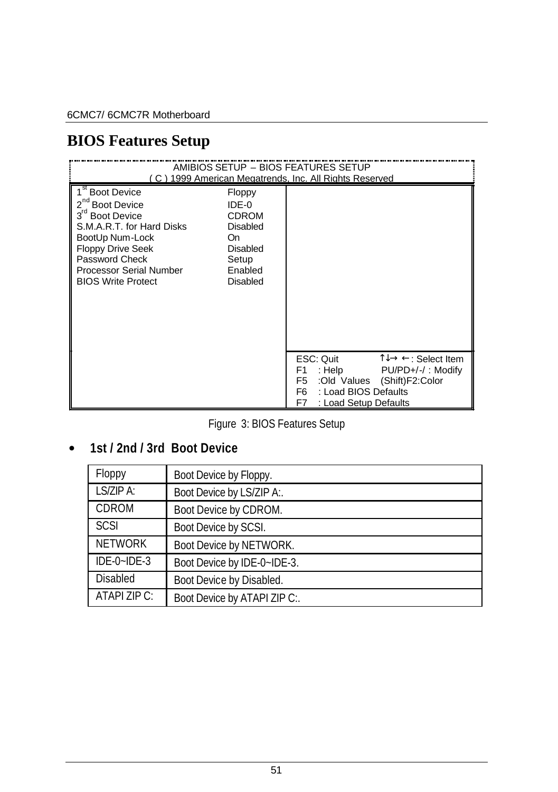# **BIOS Features Setup**

|                                                                                                                                                                                                                                                        |                                                                                                  | AMIBIOS SETUP - BIOS FEATURES SETUP<br>(C) 1999 American Megatrends, Inc. All Rights Reserved                                                                                                                    |
|--------------------------------------------------------------------------------------------------------------------------------------------------------------------------------------------------------------------------------------------------------|--------------------------------------------------------------------------------------------------|------------------------------------------------------------------------------------------------------------------------------------------------------------------------------------------------------------------|
| 1 <sup>st</sup> Boot Device<br>2 <sup>nd</sup> Boot Device<br>3 <sup>rd</sup> Boot Device<br>S.M.A.R.T. for Hard Disks<br>BootUp Num-Lock<br><b>Floppy Drive Seek</b><br>Password Check<br><b>Processor Serial Number</b><br><b>BIOS Write Protect</b> | Floppy<br>$IDE-0$<br><b>CDROM</b><br>Disabled<br>On.<br>Disabled<br>Setup<br>Enabled<br>Disabled |                                                                                                                                                                                                                  |
|                                                                                                                                                                                                                                                        |                                                                                                  | $\uparrow \downarrow \rightarrow \leftarrow$ : Select Item<br>ESC: Quit<br>: Help<br>PU/PD+/-/: Modify<br>F1<br>F5 : Old Values (Shift) F2: Color<br>: Load BIOS Defaults<br>F6 F<br>F7<br>: Load Setup Defaults |

Figure 3: BIOS Features Setup

# • **1st / 2nd / 3rd Boot Device**

| Floppy         | Boot Device by Floppy.       |
|----------------|------------------------------|
| LS/ZIP A:      | Boot Device by LS/ZIP A:.    |
| CDROM          | Boot Device by CDROM.        |
| SCSI           | Boot Device by SCSI.         |
| <b>NETWORK</b> | Boot Device by NETWORK.      |
| $IDE-0-IDE-3$  | Boot Device by IDE-0~IDE-3.  |
| Disabled       | Boot Device by Disabled.     |
| ATAPI ZIP C:   | Boot Device by ATAPI ZIP C:. |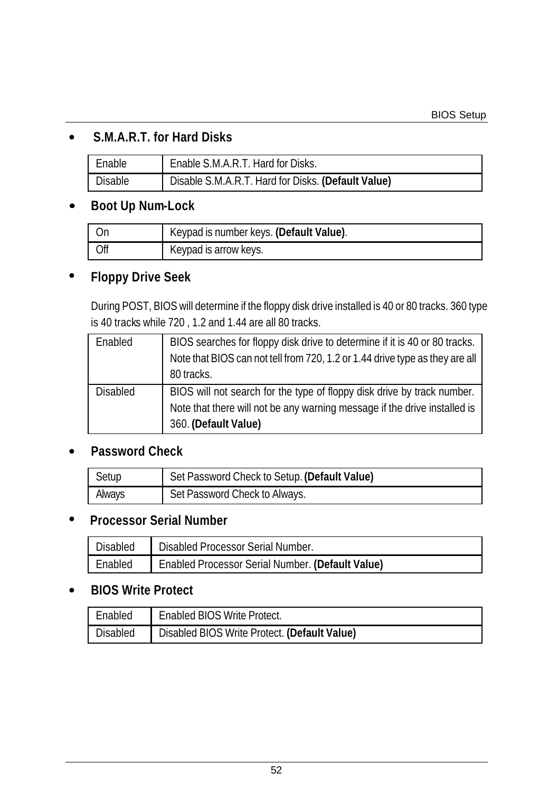# • **S.M.A.R.T. for Hard Disks**

| Enable  | Enable S.M.A.R.T. Hard for Disks.                  |
|---------|----------------------------------------------------|
| Disable | Disable S.M.A.R.T. Hard for Disks. (Default Value) |

#### **· Boot Up Num-Lock**

|     | Keypad is number keys. (Default Value). |
|-----|-----------------------------------------|
| Off | Keypad is arrow keys.                   |

### • **Floppy Drive Seek**

During POST, BIOS will determine if the floppy disk drive installed is 40 or 80 tracks. 360 type is 40 tracks while 720 , 1.2 and 1.44 are all 80 tracks.

| Enabled  | BIOS searches for floppy disk drive to determine if it is 40 or 80 tracks.<br>Note that BIOS can not tell from 720, 1.2 or 1.44 drive type as they are all |
|----------|------------------------------------------------------------------------------------------------------------------------------------------------------------|
|          | 80 tracks.                                                                                                                                                 |
| Disabled | BIOS will not search for the type of floppy disk drive by track number.                                                                                    |
|          | Note that there will not be any warning message if the drive installed is                                                                                  |
|          | 360. (Default Value)                                                                                                                                       |

## • **Password Check**

| Setup  | Set Password Check to Setup. (Default Value) |
|--------|----------------------------------------------|
| Always | Set Password Check to Always.                |

### • **Processor Serial Number**

| Disabled | Disabled Processor Serial Number.                |
|----------|--------------------------------------------------|
| Enabled  | Enabled Processor Serial Number. (Default Value) |

### • **BIOS Write Protect**

| Enabled  | Enabled BIOS Write Protect.                  |
|----------|----------------------------------------------|
| Disabled | Disabled BIOS Write Protect. (Default Value) |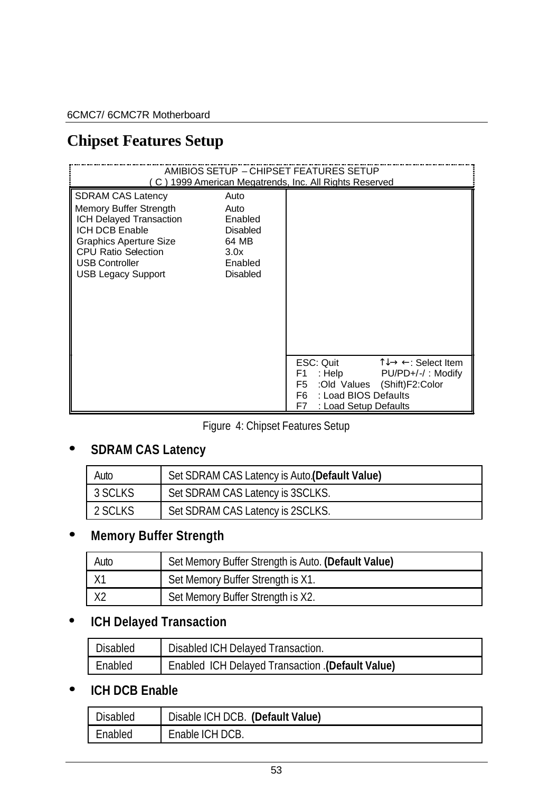# **Chipset Features Setup**

|                                                                                                                                                                                                                      |                                                                             | AMIBIOS SETUP - CHIPSET FEATURES SETUP<br>(C) 1999 American Megatrends, Inc. All Rights Reserved                                                                                                                     |
|----------------------------------------------------------------------------------------------------------------------------------------------------------------------------------------------------------------------|-----------------------------------------------------------------------------|----------------------------------------------------------------------------------------------------------------------------------------------------------------------------------------------------------------------|
| <b>SDRAM CAS Latency</b><br>Memory Buffer Strength<br>ICH Delayed Transaction<br><b>ICH DCB Enable</b><br>Graphics Aperture Size<br><b>CPU Ratio Selection</b><br><b>USB Controller</b><br><b>USB Legacy Support</b> | Auto<br>Auto<br>Enabled<br>Disabled<br>64 MB<br>3.0x<br>Enabled<br>Disabled |                                                                                                                                                                                                                      |
|                                                                                                                                                                                                                      |                                                                             | $\uparrow \downarrow \rightarrow \leftarrow$ : Select Item<br>ESC: Quit<br>PU/PD+/-/: Modify<br>: Help<br>F1.<br>:Old Values<br>(Shift)F2:Color<br>F5.<br>: Load BIOS Defaults<br>F6.<br>F7<br>: Load Setup Defaults |

Figure 4: Chipset Features Setup

### **· SDRAM CAS Latency**

| Auto    | Set SDRAM CAS Latency is Auto.(Default Value) |
|---------|-----------------------------------------------|
| 3 SCLKS | Set SDRAM CAS Latency is 3SCLKS.              |
| 2 SCLKS | Set SDRAM CAS Latency is 2SCLKS.              |

### **· Memory Buffer Strength**

| Auto | Set Memory Buffer Strength is Auto. (Default Value) |
|------|-----------------------------------------------------|
|      | Set Memory Buffer Strength is X1.                   |
|      | Set Memory Buffer Strength is X2.                   |

### • **ICH Delayed Transaction**

| Disabled | Disabled ICH Delayed Transaction.                |
|----------|--------------------------------------------------|
| Enabled  | Enabled ICH Delayed Transaction .(Default Value) |

### **· ICH DCB Enable**

| Disabled | Disable ICH DCB. (Default Value) |
|----------|----------------------------------|
| Enabled  | Enable ICH DCB.                  |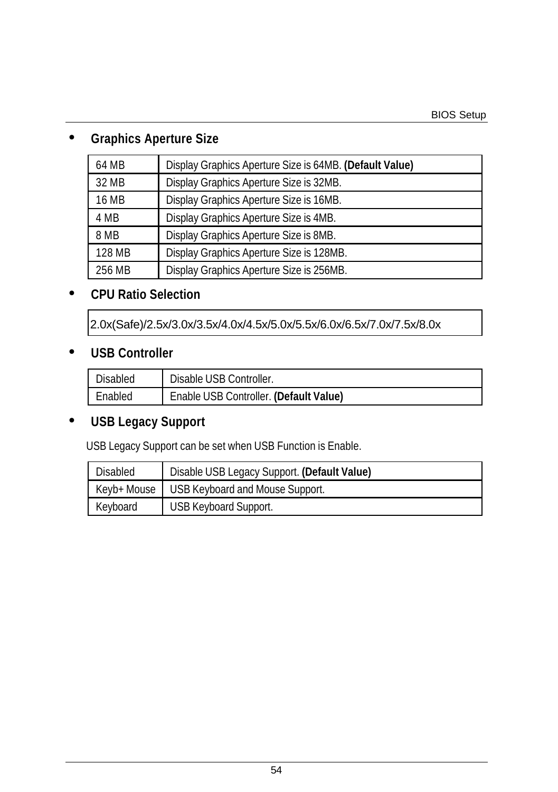# • **Graphics Aperture Size**

| 64 MB  | Display Graphics Aperture Size is 64MB. (Default Value) |
|--------|---------------------------------------------------------|
| 32 MB  | Display Graphics Aperture Size is 32MB.                 |
| 16 MB  | Display Graphics Aperture Size is 16MB.                 |
| 4 MB   | Display Graphics Aperture Size is 4MB.                  |
| 8 MB   | Display Graphics Aperture Size is 8MB.                  |
| 128 MB | Display Graphics Aperture Size is 128MB.                |
| 256 MB | Display Graphics Aperture Size is 256MB.                |

### • **CPU Ratio Selection**

2.0x(Safe)/2.5x/3.0x/3.5x/4.0x/4.5x/5.0x/5.5x/6.0x/6.5x/7.0x/7.5x/8.0x

### • **USB Controller**

| Disabled | Disable USB Controller.                |
|----------|----------------------------------------|
| Enabled  | Enable USB Controller. (Default Value) |

### • **USB Legacy Support**

USB Legacy Support can be set when USB Function is Enable.

| Disabled | Disable USB Legacy Support. (Default Value)   |  |
|----------|-----------------------------------------------|--|
|          | Keyb+ Mouse   USB Keyboard and Mouse Support. |  |
| Keyboard | USB Keyboard Support.                         |  |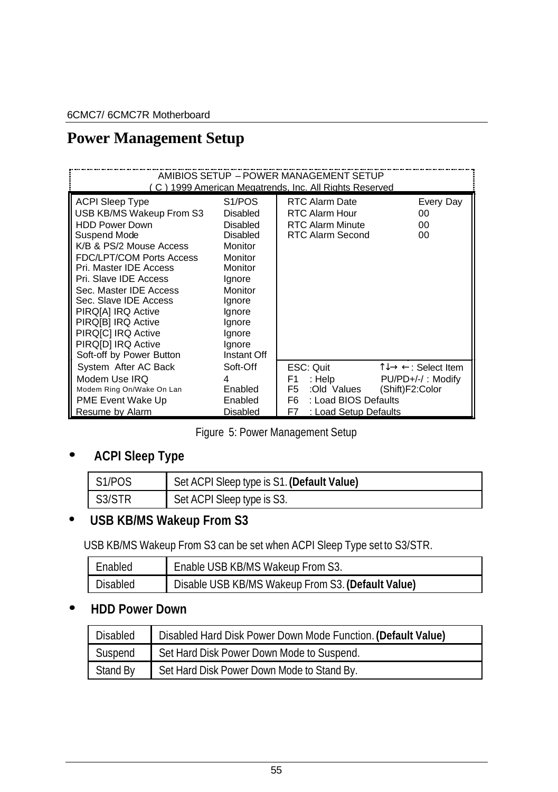# **Power Management Setup**

| AMIBIOS SETUP - POWER MANAGEMENT SETUP<br>(C) 1999 American Megatrends, Inc. All Rights Reserved                                                                                                                                                                                                                                                                                                                                                                                                                           |  |                                                                                                                                                                                                                    |
|----------------------------------------------------------------------------------------------------------------------------------------------------------------------------------------------------------------------------------------------------------------------------------------------------------------------------------------------------------------------------------------------------------------------------------------------------------------------------------------------------------------------------|--|--------------------------------------------------------------------------------------------------------------------------------------------------------------------------------------------------------------------|
| S <sub>1</sub> /POS<br><b>ACPI Sleep Type</b><br>USB KB/MS Wakeup From S3<br>Disabled<br><b>HDD Power Down</b><br><b>Disabled</b><br>Suspend Mode<br>Disabled<br>K/B & PS/2 Mouse Access<br>Monitor<br>FDC/LPT/COM Ports Access<br>Monitor<br>Pri. Master IDE Access<br>Monitor<br>Pri. Slave IDE Access<br>lgnore<br>Sec. Master IDE Access<br>Monitor<br>Sec. Slave IDE Access<br>lgnore<br>PIRQ[A] IRQ Active<br>lgnore<br>PIRQ[B] IRQ Active<br>lgnore<br>PIRQ[C] IRQ Active<br>lgnore<br>PIRQ[D] IRQ Active<br>lgnore |  | RTC Alarm Date<br>Every Day<br>RTC Alarm Hour<br>00 <sup>1</sup><br>RTC Alarm Minute<br>00<br>RTC Alarm Second<br>$00 \,$                                                                                          |
| Soft-off by Power Button<br>Instant Off<br>System After AC Back<br>Soft-Off<br>Modem Use IRQ<br>4<br>Modem Ring On/Wake On Lan<br>Enabled<br>PME Event Wake Up<br>Enabled<br>Disabled<br>Resume by Alarm                                                                                                                                                                                                                                                                                                                   |  | $\uparrow \downarrow \rightarrow \leftarrow$ : Select Item<br>ESC: Quit<br>PU/PD+/-/: Modify<br>: Help<br>F1<br>:Old Values<br>F5<br>(Shift)F2:Color<br>: Load BIOS Defaults<br>F6.<br>: Load Setup Defaults<br>F7 |

Figure 5: Power Management Setup

### **· ACPI Sleep Type**

| S <sub>1/POS</sub> | Set ACPI Sleep type is S1. (Default Value) |
|--------------------|--------------------------------------------|
| I S3/STR           | Set ACPI Sleep type is S3.                 |

### • **USB KB/MS Wakeup From S3**

USB KB/MS Wakeup From S3 can be set when ACPI Sleep Type set to S3/STR.

| Enabled  | Enable USB KB/MS Wakeup From S3.                  |
|----------|---------------------------------------------------|
| Disabled | Disable USB KB/MS Wakeup From S3. (Default Value) |

### **· HDD Power Down**

| Disabled | Disabled Hard Disk Power Down Mode Function. (Default Value) |
|----------|--------------------------------------------------------------|
| Suspend  | Set Hard Disk Power Down Mode to Suspend.                    |
| Stand By | Set Hard Disk Power Down Mode to Stand By.                   |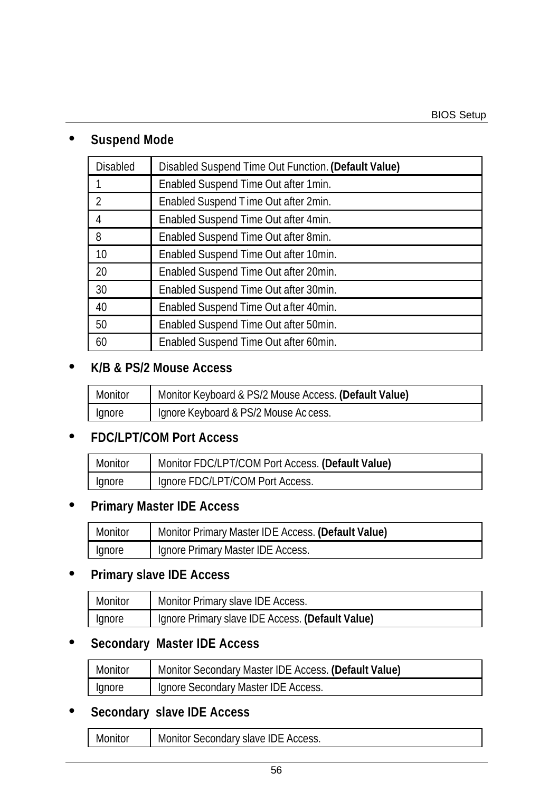## • **Suspend Mode**

| Disabled       | Disabled Suspend Time Out Function. (Default Value) |
|----------------|-----------------------------------------------------|
|                | Enabled Suspend Time Out after 1 min.               |
| $\overline{2}$ | Enabled Suspend Time Out after 2min.                |
|                | Enabled Suspend Time Out after 4min.                |
| 8              | Enabled Suspend Time Out after 8min.                |
| 10             | Enabled Suspend Time Out after 10min.               |
| 20             | Enabled Suspend Time Out after 20min.               |
| 30             | Enabled Suspend Time Out after 30min.               |
| 40             | Enabled Suspend Time Out after 40min.               |
| 50             | Enabled Suspend Time Out after 50min.               |
| 60             | Enabled Suspend Time Out after 60min.               |

### • **K/B & PS/2 Mouse Access**

| Monitor | Monitor Keyboard & PS/2 Mouse Access. (Default Value) |
|---------|-------------------------------------------------------|
| Ignore  | Ignore Keyboard & PS/2 Mouse Access.                  |

### • **FDC/LPT/COM Port Access**

| Monitor | Monitor FDC/LPT/COM Port Access. (Default Value) |
|---------|--------------------------------------------------|
| lgnore  | lanore FDC/LPT/COM Port Access.                  |

### • **Primary Master IDE Access**

| Monitor | Monitor Primary Master IDE Access. (Default Value) |
|---------|----------------------------------------------------|
| Ignore  | I Ignore Primary Master IDE Access.                |

### • **Primary slave IDE Access**

| Monitor | Monitor Primary slave IDE Access.                |
|---------|--------------------------------------------------|
| Ignore  | Ignore Primary slave IDE Access. (Default Value) |

## • **Secondary Master IDE Access**

| Monitor | Monitor Secondary Master IDE Access. (Default Value) |
|---------|------------------------------------------------------|
| Ignore  | Ignore Secondary Master IDE Access.                  |

# • **Secondary slave IDE Access**

|  | M | Arress<br>Monitor Secondary slave IDE, |
|--|---|----------------------------------------|
|--|---|----------------------------------------|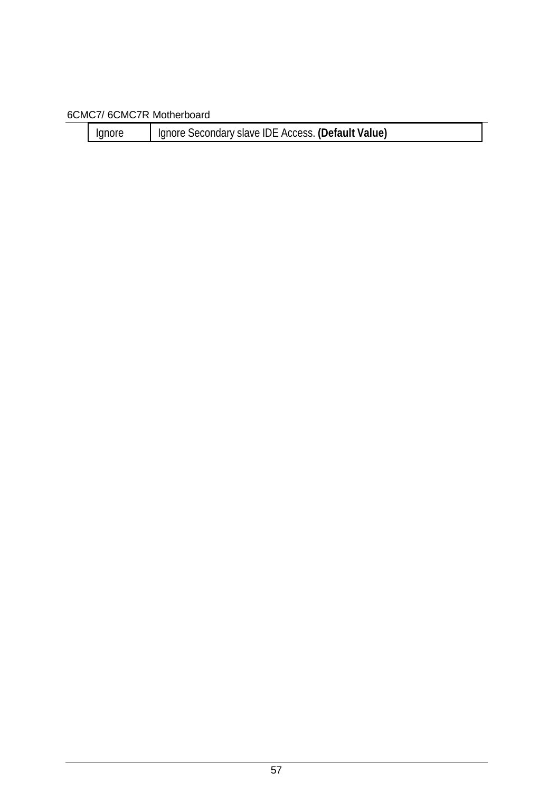Ignore Ignore Secondary slave IDE Access. **(Default Value)**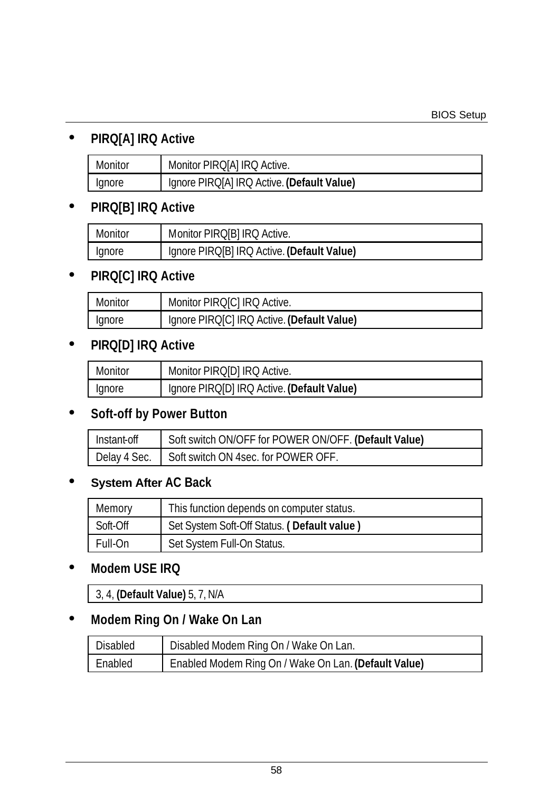### • **PIRQ[A] IRQ Active**

| Monitor | Monitor PIRQ[A] IRQ Active.                |  |
|---------|--------------------------------------------|--|
| Ignore  | Ignore PIRQ[A] IRQ Active. (Default Value) |  |

#### • **PIRQ[B] IRQ Active**

| Monitor | Monitor PIRQ[B] IRQ Active.                |  |
|---------|--------------------------------------------|--|
| Ignore  | Ignore PIRQ[B] IRQ Active. (Default Value) |  |

### • **PIRQ[C] IRQ Active**

| Monitor | Monitor PIRQ[C] IRQ Active.                |  |
|---------|--------------------------------------------|--|
| Ignore  | Ignore PIRQ[C] IRQ Active. (Default Value) |  |

### • **PIRQ[D] IRQ Active**

| Monitor | Monitor PIRQ[D] IRQ Active.                |  |
|---------|--------------------------------------------|--|
| Ignore  | Ignore PIRQ[D] IRQ Active. (Default Value) |  |

### • **Soft-off by Power Button**

| Instant-off | Soft switch ON/OFF for POWER ON/OFF. (Default Value) |  |
|-------------|------------------------------------------------------|--|
|             | Delay 4 Sec. Soft switch ON 4 sec. for POWER OFF.    |  |

#### • **System After AC Back**

| Memory   | This function depends on computer status.   |  |
|----------|---------------------------------------------|--|
| Soft-Off | Set System Soft-Off Status. (Default value) |  |
| Full-On  | Set System Full-On Status.                  |  |

### • **Modem USE IRQ**

3, 4, **(Default Value)** 5, 7, N/A

### • **Modem Ring On / Wake On Lan**

| Disabled | Disabled Modem Ring On / Wake On Lan.                |  |
|----------|------------------------------------------------------|--|
| Enabled  | Enabled Modem Ring On / Wake On Lan. (Default Value) |  |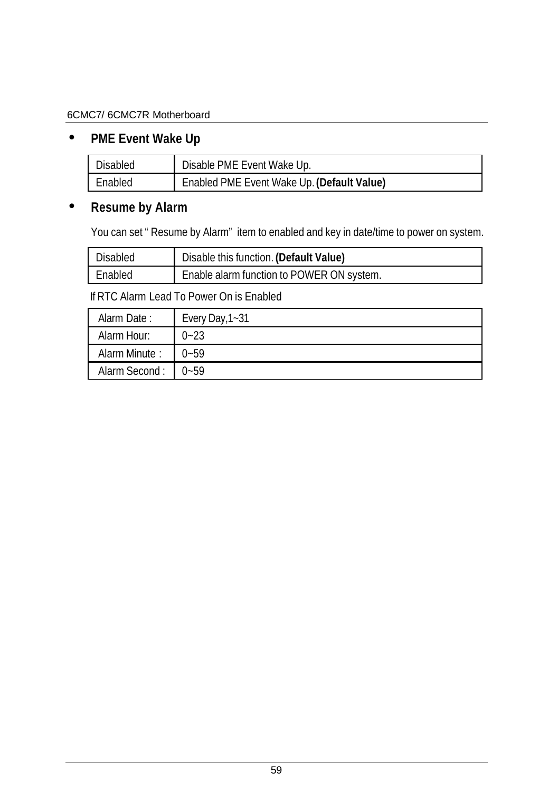### • **PME Event Wake Up**

| Disabled | Disable PME Event Wake Up.                 |  |
|----------|--------------------------------------------|--|
| Enabled  | Enabled PME Event Wake Up. (Default Value) |  |

### • **Resume by Alarm**

You can set "Resume by Alarm" item to enabled and key in date/time to power on system.

| Disabled | Disable this function. (Default Value)    |
|----------|-------------------------------------------|
| Enabled  | Enable alarm function to POWER ON system. |

If RTC Alarm Lead To Power On is Enabled

| Alarm Date:   | Every Day, $1 - 31$ |  |
|---------------|---------------------|--|
| Alarm Hour:   | $0 - 23$            |  |
| Alarm Minute: | $0 - 59$            |  |
| Alarm Second: | $0 - 59$            |  |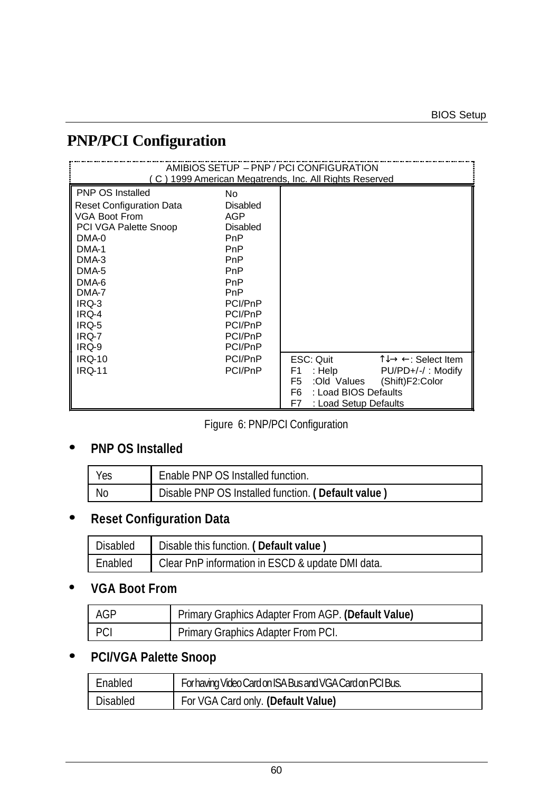# **PNP/PCI Configuration**

|                                                                                                                                                                                                    |                                                                                                                                            | AMIBIOS SETUP - PNP / PCI CONFIGURATION<br>(C) 1999 American Megatrends, Inc. All Rights Reserved                                                                                                                 |
|----------------------------------------------------------------------------------------------------------------------------------------------------------------------------------------------------|--------------------------------------------------------------------------------------------------------------------------------------------|-------------------------------------------------------------------------------------------------------------------------------------------------------------------------------------------------------------------|
| PNP OS Installed<br><b>Reset Configuration Data</b><br>VGA Boot From<br>PCI VGA Palette Snoop<br>DMA-0<br>DMA-1<br>$DMA-3$<br>DMA-5<br>DMA-6<br>DMA-7<br>IRQ-3<br>IRQ-4<br>IRQ-5<br>IRQ-7<br>IRQ-9 | No.<br><b>Disabled</b><br>AGP<br>Disabled<br>PnP<br>PnP<br>PnP<br>PnP<br>PnP<br>PnP<br>PCI/PnP<br>PCI/PnP<br>PCI/PnP<br>PCI/PnP<br>PCI/PnP |                                                                                                                                                                                                                   |
| <b>IRO-10</b><br><b>IRQ-11</b>                                                                                                                                                                     | PCI/PnP<br>PCI/PnP                                                                                                                         | $\uparrow \downarrow \rightarrow \leftarrow$ : Select Item<br>ESC: Quit<br>: Help<br>PU/PD+/-/: Modify<br>F1<br>(Shift)F2:Color<br>F5<br>:Old Values<br>F6<br>: Load BIOS Defaults<br>F7<br>: Load Setup Defaults |

#### Figure 6: PNP/PCI Configuration

### **· PNP OS Installed**

| Yes            | Enable PNP OS Installed function.                  |
|----------------|----------------------------------------------------|
| N <sub>0</sub> | Disable PNP OS Installed function. (Default value) |

### **· Reset Configuration Data**

| Disabled | Disable this function. (Default value)           |
|----------|--------------------------------------------------|
| Enabled  | Clear PnP information in ESCD & update DMI data. |

### • **VGA Boot From**

| I AGP | Primary Graphics Adapter From AGP. (Default Value) |
|-------|----------------------------------------------------|
| PCl   | Primary Graphics Adapter From PCI.                 |

### **· PCI/VGA Palette Snoop**

| Enabled  | For having Video Card on ISA Bus and VGA Card on PCI Bus. |
|----------|-----------------------------------------------------------|
| Disabled | For VGA Card only. (Default Value)                        |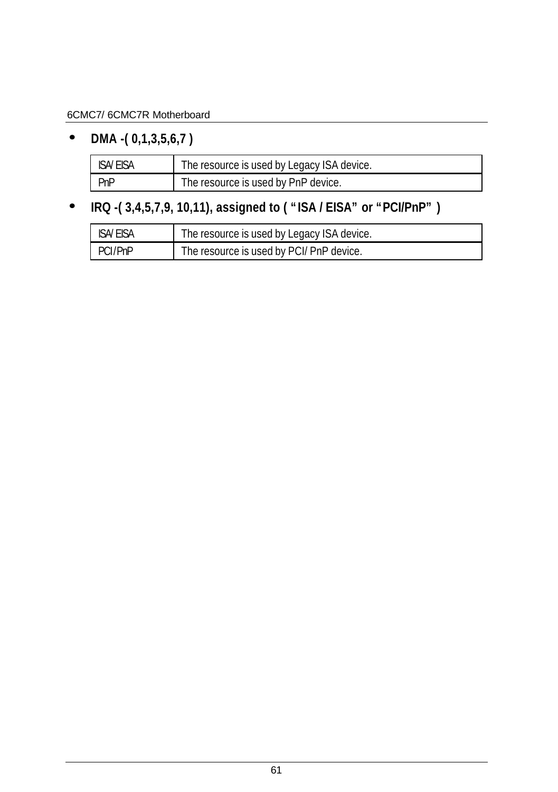## **· DMA -( 0,1,3,5,6,7 )**

| ISA/ FISA | The resource is used by Legacy ISA device. |
|-----------|--------------------------------------------|
| PnP       | The resource is used by PnP device.        |

## **· IRQ -( 3,4,5,7,9, 10,11), assigned to ( "ISA / EISA" or "PCI/PnP" )**

| <b>ISAY FISA</b> | The resource is used by Legacy ISA device. |
|------------------|--------------------------------------------|
| PCI/PnP          | The resource is used by PCI/ PnP device.   |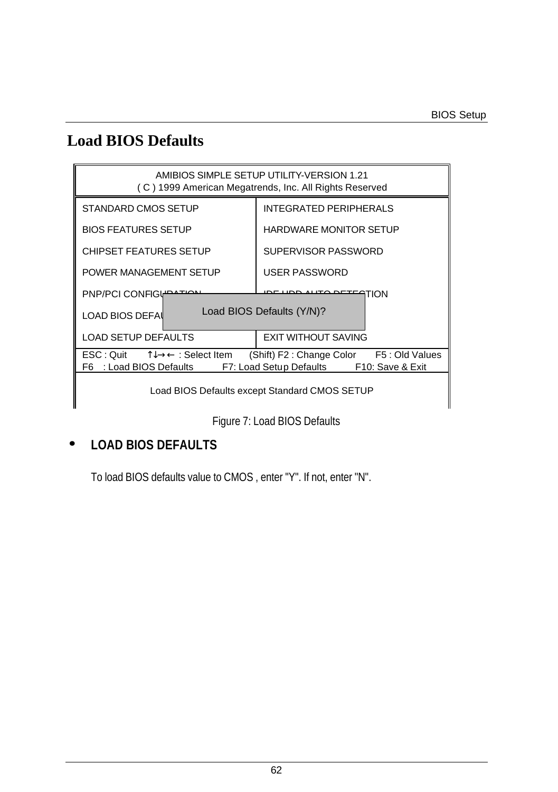## **Load BIOS Defaults**

| AMIBIOS SIMPLE SETUP UTILITY-VERSION 1.21<br>(C) 1999 American Megatrends, Inc. All Rights Reserved                                                                                                                               |                               |  |
|-----------------------------------------------------------------------------------------------------------------------------------------------------------------------------------------------------------------------------------|-------------------------------|--|
| STANDARD CMOS SETUP                                                                                                                                                                                                               | INTEGRATED PERIPHERALS        |  |
| <b>BIOS FEATURES SETUP</b>                                                                                                                                                                                                        | <b>HARDWARE MONITOR SETUP</b> |  |
| <b>CHIPSET FEATURES SETUP</b>                                                                                                                                                                                                     | SUPERVISOR PASSWORD           |  |
| POWER MANAGEMENT SETUP                                                                                                                                                                                                            | USER PASSWORD                 |  |
| <b>PNP/PCI CONFIGURATION</b>                                                                                                                                                                                                      | <b>IDE UDD AUTO DETEGTION</b> |  |
| <b>LOAD BIOS DEFAI</b>                                                                                                                                                                                                            | Load BIOS Defaults (Y/N)?     |  |
| <b>LOAD SETUP DEFAULTS</b>                                                                                                                                                                                                        | EXIT WITHOUT SAVING           |  |
| $\mathsf{ESC}:\mathsf{Quit} \qquad \uparrow \downarrow \rightarrow \leftarrow : \mathsf{Select}\ \mathsf{Item}$<br>(Shift) F2: Change Color F5: Old Values<br>F6 : Load BIOS Defaults<br>F7: Load Setup Defaults F10: Save & Exit |                               |  |
| Load BIOS Defaults except Standard CMOS SETUP                                                                                                                                                                                     |                               |  |

Figure 7: Load BIOS Defaults

## **· LOAD BIOS DEFAULTS**

To load BIOS defaults value to CMOS , enter "Y". If not, enter "N".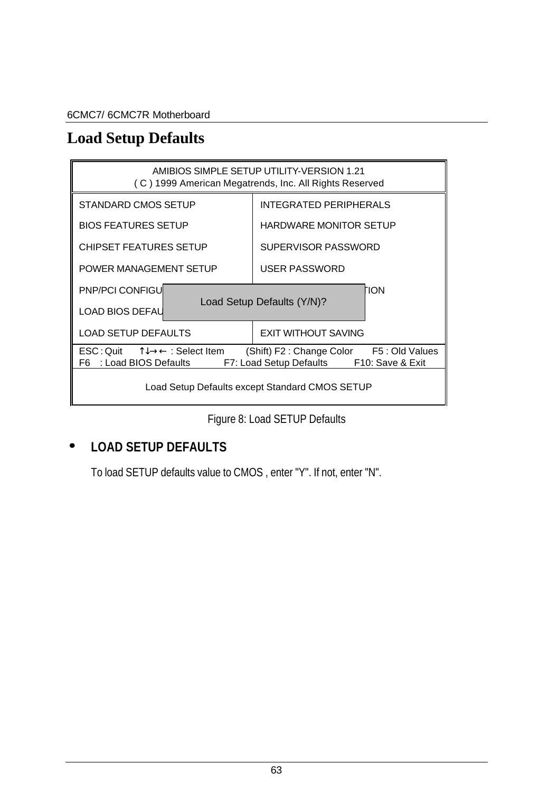## **Load Setup Defaults**



Figure 8: Load SETUP Defaults

#### **· LOAD SETUP DEFAULTS**

To load SETUP defaults value to CMOS , enter "Y". If not, enter "N".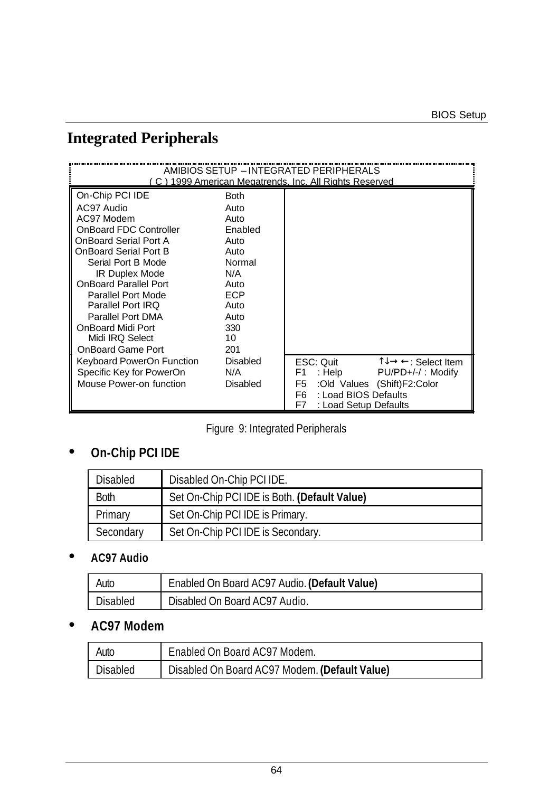## **Integrated Peripherals**

| AMIBIOS SETUP - INTEGRATED PERIPHERALS<br>(C) 1999 American Megatrends, Inc. All Rights Reserved                                                                                                                                                                                                                                           |                                                                                                                            |                                                                                                                                                                                                                              |
|--------------------------------------------------------------------------------------------------------------------------------------------------------------------------------------------------------------------------------------------------------------------------------------------------------------------------------------------|----------------------------------------------------------------------------------------------------------------------------|------------------------------------------------------------------------------------------------------------------------------------------------------------------------------------------------------------------------------|
| On-Chip PCI IDE<br>AC97 Audio<br>AC97 Modem<br><b>OnBoard FDC Controller</b><br>OnBoard Serial Port A<br>OnBoard Serial Port B<br>Serial Port B Mode<br><b>IR Duplex Mode</b><br>OnBoard Parallel Port<br>Parallel Port Mode<br>Parallel Port IRO<br>Parallel Port DMA<br>OnBoard Midi Port<br>Midi IRQ Select<br><b>OnBoard Game Port</b> | <b>Both</b><br>Auto<br>Auto<br>Enabled<br>Auto<br>Auto<br>Normal<br>N/A<br>Auto<br>ECP<br>Auto<br>Auto<br>330<br>10<br>201 |                                                                                                                                                                                                                              |
| Keyboard PowerOn Function<br>Specific Key for PowerOn<br>Mouse Power-on function                                                                                                                                                                                                                                                           | <b>Disabled</b><br>N/A<br>Disabled                                                                                         | $\uparrow \downarrow \rightarrow \leftarrow$ : Select Item<br>ESC: Quit<br>: Help<br>PU/PD+/-/: Modify<br>F1.<br>F <sub>5</sub><br>:Old Values (Shift)F2:Color<br>: Load BIOS Defaults<br>F6.<br>F7<br>: Load Setup Defaults |

Figure 9: Integrated Peripherals

## • **On-Chip PCI IDE**

| Disabled    | Disabled On-Chip PCI IDE.                    |
|-------------|----------------------------------------------|
| <b>Both</b> | Set On-Chip PCI IDE is Both. (Default Value) |
| Primary     | Set On-Chip PCI IDE is Primary.              |
| Secondary   | Set On-Chip PCI IDE is Secondary.            |

#### • **AC97 Audio**

| Auto     | Enabled On Board AC97 Audio. (Default Value) |
|----------|----------------------------------------------|
| Disabled | Disabled On Board AC97 Audio.                |

## • **AC97 Modem**

| Auto     | Enabled On Board AC97 Modem.                  |
|----------|-----------------------------------------------|
| Disabled | Disabled On Board AC97 Modem. (Default Value) |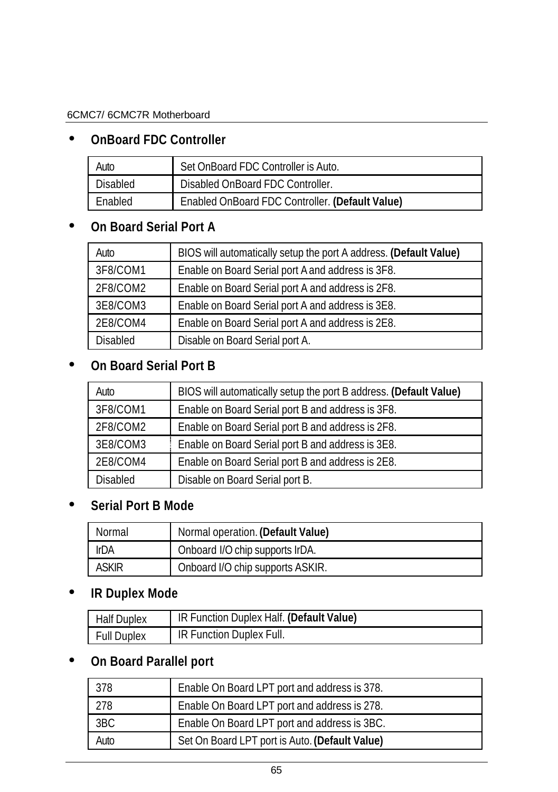#### • **OnBoard FDC Controller**

| Auto     | Set OnBoard FDC Controller is Auto.             |
|----------|-------------------------------------------------|
| Disabled | Disabled OnBoard FDC Controller.                |
| Enabled  | Enabled OnBoard FDC Controller. (Default Value) |

#### • **On Board Serial Port A**

| Auto     | BIOS will automatically setup the port A address. (Default Value) |
|----------|-------------------------------------------------------------------|
| 3F8/COM1 | Enable on Board Serial port A and address is 3F8.                 |
| 2F8/COM2 | Enable on Board Serial port A and address is 2F8.                 |
| 3E8/COM3 | Enable on Board Serial port A and address is 3E8.                 |
| 2E8/COM4 | Enable on Board Serial port A and address is 2E8.                 |
| Disabled | Disable on Board Serial port A.                                   |

## • **On Board Serial Port B**

| Auto     | BIOS will automatically setup the port B address. (Default Value) |
|----------|-------------------------------------------------------------------|
| 3F8/COM1 | Enable on Board Serial port B and address is 3F8.                 |
| 2F8/COM2 | Enable on Board Serial port B and address is 2F8.                 |
| 3E8/COM3 | Enable on Board Serial port B and address is 3E8.                 |
| 2E8/COM4 | Enable on Board Serial port B and address is 2E8.                 |
| Disabled | Disable on Board Serial port B.                                   |

#### • **Serial Port B Mode**

| Normal       | Normal operation. (Default Value) |
|--------------|-----------------------------------|
| <b>IrDA</b>  | Onboard I/O chip supports IrDA.   |
| <b>ASKIR</b> | Onboard I/O chip supports ASKIR.  |

### • **IR Duplex Mode**

| <b>Half Duplex</b> | IR Function Duplex Half. (Default Value) |
|--------------------|------------------------------------------|
| <b>Full Duplex</b> | IR Function Duplex Full.                 |

## • **On Board Parallel port**

| 378  | Enable On Board LPT port and address is 378.   |
|------|------------------------------------------------|
| 278  | Enable On Board LPT port and address is 278.   |
| 3BC  | Enable On Board LPT port and address is 3BC.   |
| Auto | Set On Board LPT port is Auto. (Default Value) |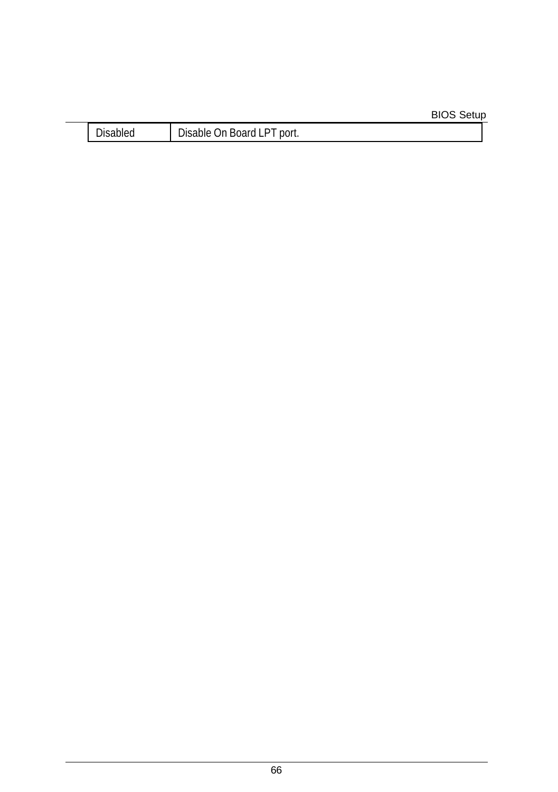BIOS Setup

|  | Jisabled | Disable On Board LPT port. |
|--|----------|----------------------------|
|--|----------|----------------------------|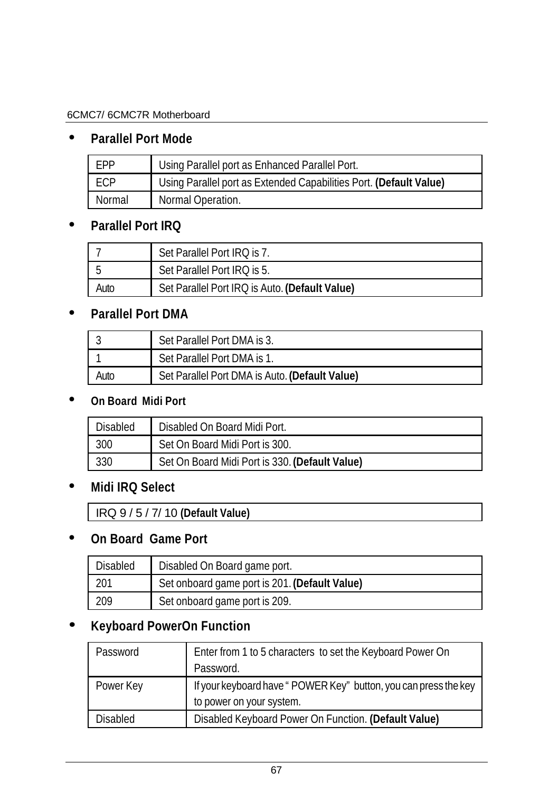#### • **Parallel Port Mode**

| FPP    | Using Parallel port as Enhanced Parallel Port.                     |
|--------|--------------------------------------------------------------------|
| ECP    | Using Parallel port as Extended Capabilities Port. (Default Value) |
| Normal | Normal Operation.                                                  |

#### • **Parallel Port IRQ**

|      | Set Parallel Port IRQ is 7.                    |
|------|------------------------------------------------|
|      | Set Parallel Port IRQ is 5.                    |
| Auto | Set Parallel Port IRQ is Auto. (Default Value) |

## • **Parallel Port DMA**

|      | Set Parallel Port DMA is 3.                    |
|------|------------------------------------------------|
|      | Set Parallel Port DMA is 1.                    |
| Auto | Set Parallel Port DMA is Auto. (Default Value) |

#### • **On Board Midi Port**

| Disabled | Disabled On Board Midi Port.                   |
|----------|------------------------------------------------|
| 300      | Set On Board Midi Port is 300.                 |
| 330      | Set On Board Midi Port is 330. (Default Value) |

#### • **Midi IRQ Select**

IRQ 9 / 5 / 7/ 10 **(Default Value)**

### • **On Board Game Port**

| Disabled | Disabled On Board game port.                  |
|----------|-----------------------------------------------|
| 201      | Set onboard game port is 201. (Default Value) |
| 209      | Set onboard game port is 209.                 |

## **· Keyboard PowerOn Function**

| Password  | Enter from 1 to 5 characters to set the Keyboard Power On<br>Password.                      |
|-----------|---------------------------------------------------------------------------------------------|
| Power Key | If your keyboard have "POWER Key" button, you can press the key<br>to power on your system. |
| Disabled  | Disabled Keyboard Power On Function. (Default Value)                                        |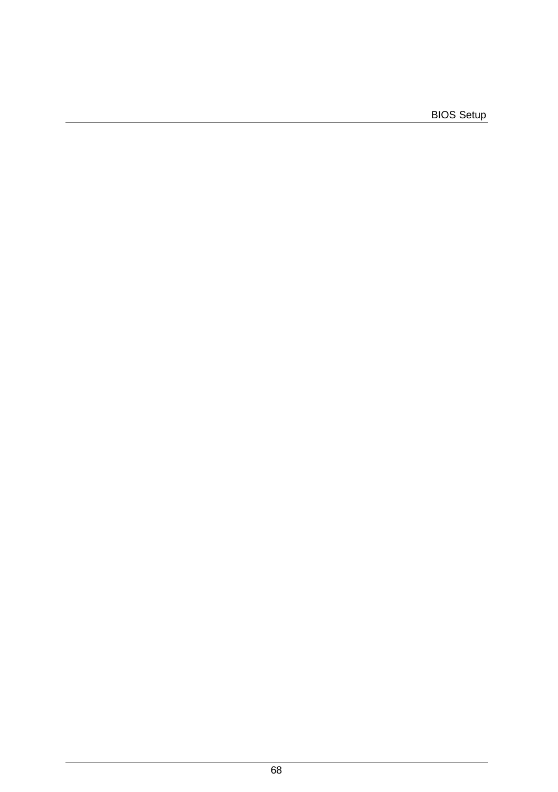BIOS Setup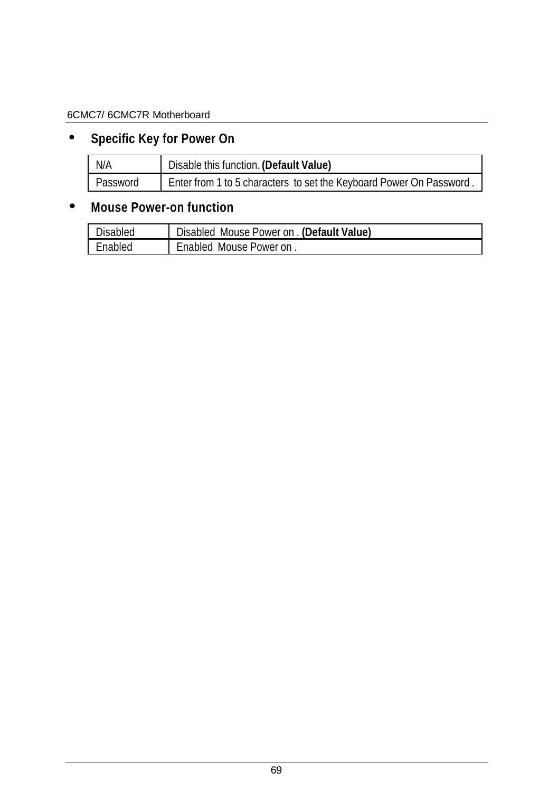## • **Specific Key for Power On**

| N/A      | Disable this function. (Default Value)                              |  |
|----------|---------------------------------------------------------------------|--|
| Password | Enter from 1 to 5 characters to set the Keyboard Power On Password. |  |

### **· Mouse Power-on function**

| Disabled | Disabled Mouse Power on . (Default Value) |
|----------|-------------------------------------------|
| Enabled  | Enabled Mouse Power on                    |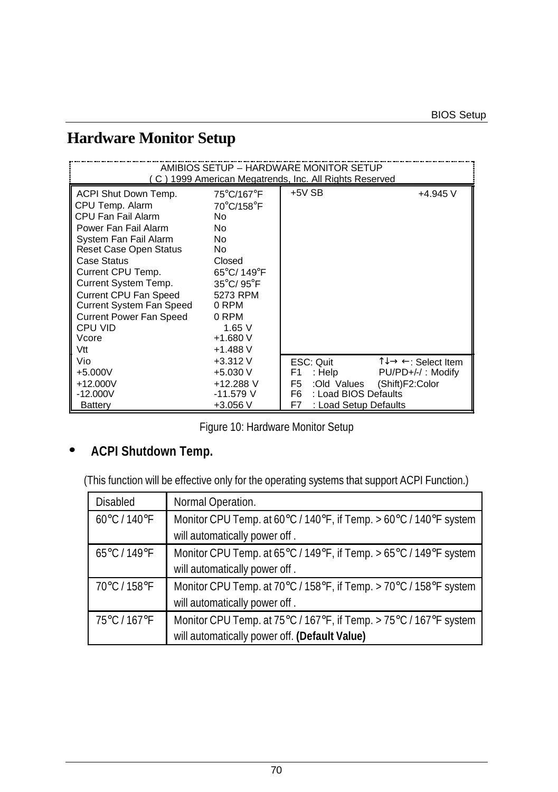## **Hardware Monitor Setup**

| AMIBIOS SETUP - HARDWARE MONITOR SETUP<br>(C) 1999 American Megatrends, Inc. All Rights Reserved                                                                                                                                                                                                                              |                                                                                                                                                                                                     |                                                                                                                                                                                                                 |
|-------------------------------------------------------------------------------------------------------------------------------------------------------------------------------------------------------------------------------------------------------------------------------------------------------------------------------|-----------------------------------------------------------------------------------------------------------------------------------------------------------------------------------------------------|-----------------------------------------------------------------------------------------------------------------------------------------------------------------------------------------------------------------|
| ACPI Shut Down Temp.<br>CPU Temp. Alarm<br>CPU Fan Fail Alarm<br>Power Fan Fail Alarm<br>System Fan Fail Alarm<br>Reset Case Open Status<br>Case Status<br>Current CPU Temp.<br>Current System Temp.<br>Current CPU Fan Speed<br><b>Current System Fan Speed</b><br><b>Current Power Fan Speed</b><br>CPU VID<br>Vcore<br>Vtt | 75°C/167°F<br>70°C/158°F<br>No.<br>No.<br>No<br>No.<br>Closed<br>$65^{\circ}$ C/149 $^{\circ}$ F<br>$35^{\circ}$ C/95 $^{\circ}$ F<br>5273 RPM<br>0 RPM<br>0 RPM<br>1.65V<br>$+1.680V$<br>$+1.488V$ | $+5V$ SB<br>$+4.945$ V                                                                                                                                                                                          |
| Vio<br>$+5.000V$<br>$+12.000V$<br>$-12.000V$<br>Battery                                                                                                                                                                                                                                                                       | $+3.312V$<br>$+5.030V$<br>$+12.288$ V<br>$-11.579$ V<br>$+3.056$ V                                                                                                                                  | $\uparrow \downarrow \rightarrow \leftarrow$ : Select Item<br>ESC: Quit<br>PU/PD+/-/: Modify<br>: Help<br>F1.<br>F5<br>:Old Values<br>(Shift)F2:Color<br>F6 : Load BIOS Defaults<br>: Load Setup Defaults<br>F7 |

Figure 10: Hardware Monitor Setup

### **· ACPI Shutdown Temp.**

(This function will be effective only for the operating systems that support ACPI Function.)

| Disabled                          | Normal Operation.                                                 |  |
|-----------------------------------|-------------------------------------------------------------------|--|
| 60°C / 140°F                      | Monitor CPU Temp. at 60°C / 140°F, if Temp. > 60°C / 140°F system |  |
|                                   | will automatically power off.                                     |  |
| $65^{\circ}$ C / 149 $^{\circ}$ F | Monitor CPU Temp. at 65°C / 149°F, if Temp. > 65°C / 149°F system |  |
|                                   | will automatically power off.                                     |  |
| 70°C / 158°F                      | Monitor CPU Temp. at 70°C / 158°F, if Temp. > 70°C / 158°F system |  |
|                                   | will automatically power off.                                     |  |
| 75°C/167°F                        | Monitor CPU Temp. at 75°C / 167°F, if Temp. > 75°C / 167°F system |  |
|                                   | will automatically power off. (Default Value)                     |  |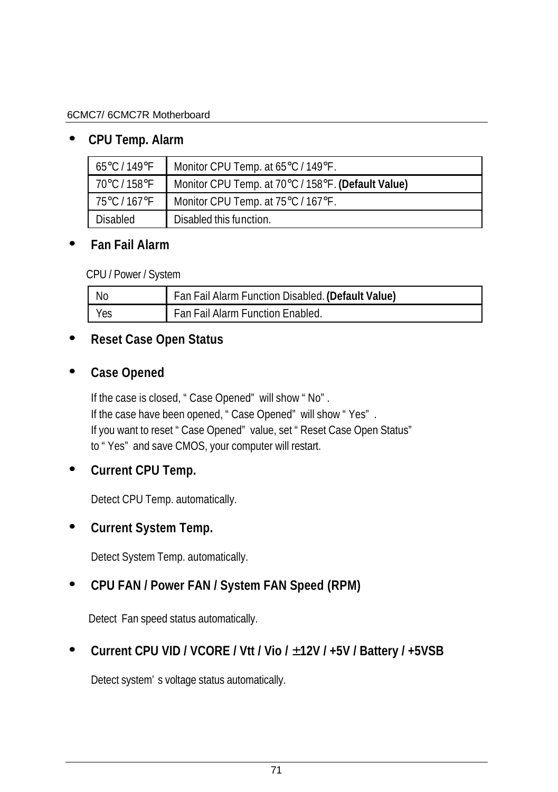#### **· CPU Temp. Alarm**

| $65^{\circ}$ C / 149°F | Monitor CPU Temp. at 65°C / 149°F.                 |
|------------------------|----------------------------------------------------|
| 70°C/158°F             | Monitor CPU Temp. at 70°C / 158°F. (Default Value) |
| 75°C/167°F             | Monitor CPU Temp. at 75°C / 167°F.                 |
| Disabled               | Disabled this function.                            |

#### **· Fan Fail Alarm**

CPU / Power / System

| No  | Fan Fail Alarm Function Disabled. (Default Value) |
|-----|---------------------------------------------------|
| Yes | Fan Fail Alarm Function Enabled.                  |

#### **· Reset Case Open Status**

#### **· Case Opened**

If the case is closed, "Case Opened" will show "No". If the case have been opened, "Case Opened" will show "Yes" . If you want to reset "Case Opened" value, set "Reset Case Open Status" to "Yes" and save CMOS, your computer will restart.

#### **· Current CPU Temp.**

Detect CPU Temp. automatically.

#### **· Current System Temp.**

Detect System Temp. automatically.

#### **· CPU FAN / Power FAN / System FAN Speed (RPM)**

Detect Fan speed status automatically.

#### **· Current CPU VID / VCORE / Vtt / Vio / ± 12V / +5V / Battery / +5VSB**

Detect system's voltage status automatically.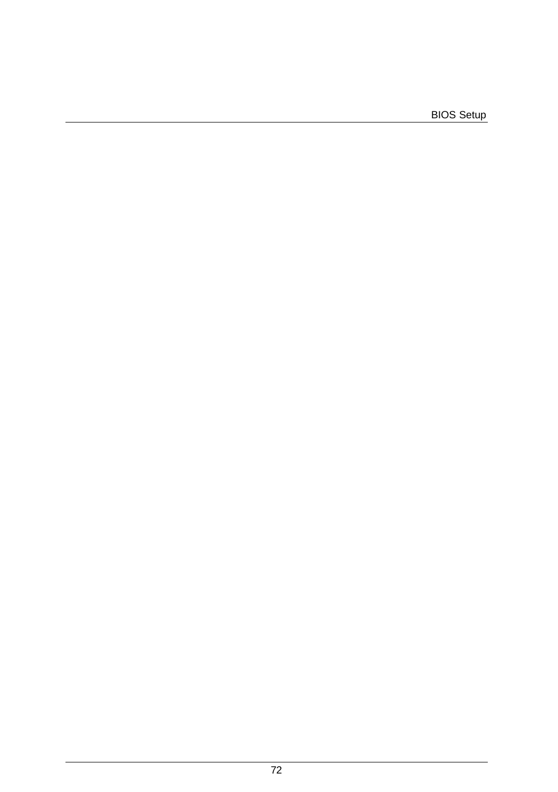BIOS Setup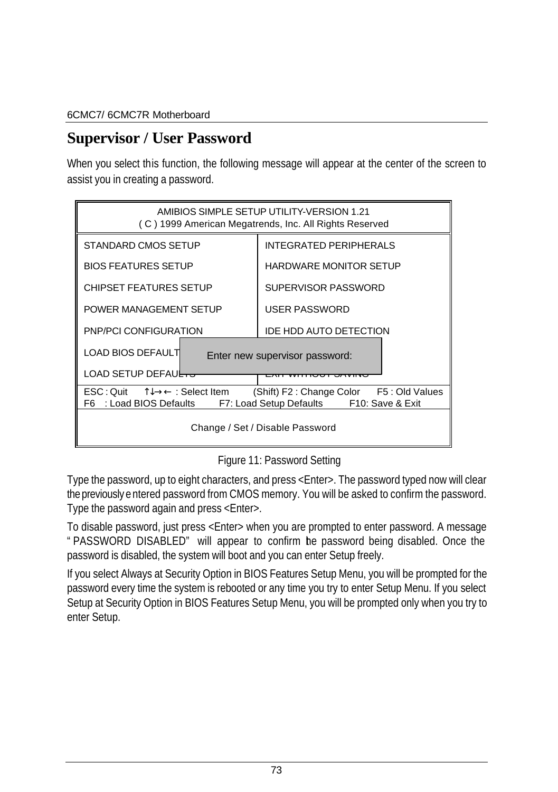## **Supervisor / User Password**

When you select this function, the following message will appear at the center of the screen to assist you in creating a password.

| AMIBIOS SIMPLE SETUP UTILITY-VERSION 1.21<br>(C) 1999 American Megatrends, Inc. All Rights Reserved                                                                                                                                  |                               |  |
|--------------------------------------------------------------------------------------------------------------------------------------------------------------------------------------------------------------------------------------|-------------------------------|--|
| STANDARD CMOS SETUP                                                                                                                                                                                                                  | INTEGRATED PERIPHERALS        |  |
| <b>BIOS FEATURES SETUP</b>                                                                                                                                                                                                           | <b>HARDWARE MONITOR SETUP</b> |  |
| <b>CHIPSET FEATURES SETUP</b>                                                                                                                                                                                                        | SUPERVISOR PASSWORD           |  |
| POWER MANAGEMENT SETUP                                                                                                                                                                                                               | USER PASSWORD                 |  |
| PNP/PCI CONFIGURATION                                                                                                                                                                                                                | <b>IDE HDD AUTO DETECTION</b> |  |
| <b>LOAD BIOS DEFAULT</b><br>Enter new supervisor password:                                                                                                                                                                           |                               |  |
| LOAD SETUP DEFAUL<br>                                                                                                                                                                                                                |                               |  |
| $\mathsf{ESC}:\mathsf{Quit} \quad \uparrow \downarrow \rightarrow \leftarrow : \mathsf{Select}\ \mathsf{Item}$<br>(Shift) F2: Change Color F5: Old Values<br>: Load BIOS Defaults<br>F7: Load Setup Defaults F10: Save & Exit<br>F6. |                               |  |
| Change / Set / Disable Password                                                                                                                                                                                                      |                               |  |

Figure 11: Password Setting

Type the password, up to eight characters, and press <Enter>. The password typed now will clear the previously e ntered password from CMOS memory. You will be asked to confirm the password. Type the password again and press <Enter>.

To disable password, just press <Enter> when you are prompted to enter password. A message "PASSWORD DISABLED" will appear to confirm the password being disabled. Once the password is disabled, the system will boot and you can enter Setup freely.

If you select Always at Security Option in BIOS Features Setup Menu, you will be prompted for the password every time the system is rebooted or any time you try to enter Setup Menu. If you select Setup at Security Option in BIOS Features Setup Menu, you will be prompted only when you try to enter Setup.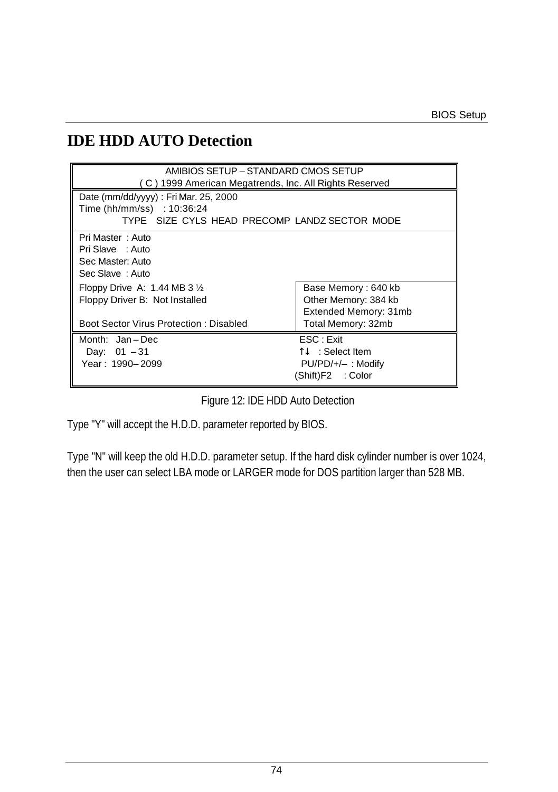## **IDE HDD AUTO Detection**

| AMIBIOS SETUP - STANDARD CMOS SETUP                    |                       |  |
|--------------------------------------------------------|-----------------------|--|
| (C) 1999 American Megatrends, Inc. All Rights Reserved |                       |  |
| Date (mm/dd/yyyy) : Fri Mar. 25, 2000                  |                       |  |
| Time (hh/mm/ss) : 10:36:24                             |                       |  |
| TYPE SIZE CYLS HEAD PRECOMP LANDZ SECTOR MODE          |                       |  |
| Pri Master: Auto                                       |                       |  |
| Pri Slave : Auto                                       |                       |  |
| Sec Master: Auto                                       |                       |  |
| Sec Slave: Auto                                        |                       |  |
| Floppy Drive A: $1.44$ MB 3 $\frac{1}{2}$              | Base Memory: 640 kb   |  |
| Floppy Driver B: Not Installed                         | Other Memory: 384 kb  |  |
|                                                        | Extended Memory: 31mb |  |
| Boot Sector Virus Protection: Disabled                 | Total Memory: 32mb    |  |
| Month: Jan-Dec                                         | ESC: Exit             |  |
| Day: $01 - 31$                                         | ੀ↓ · Select Item      |  |
| Year: 1990-2099                                        | PU/PD/+/-: Modify     |  |
|                                                        | (Shift)F2 : Color     |  |

Figure 12: IDE HDD Auto Detection

Type "Y" will accept the H.D.D. parameter reported by BIOS.

Type "N" will keep the old H.D.D. parameter setup. If the hard disk cylinder number is over 1024, then the user can select LBA mode or LARGER mode for DOS partition larger than 528 MB.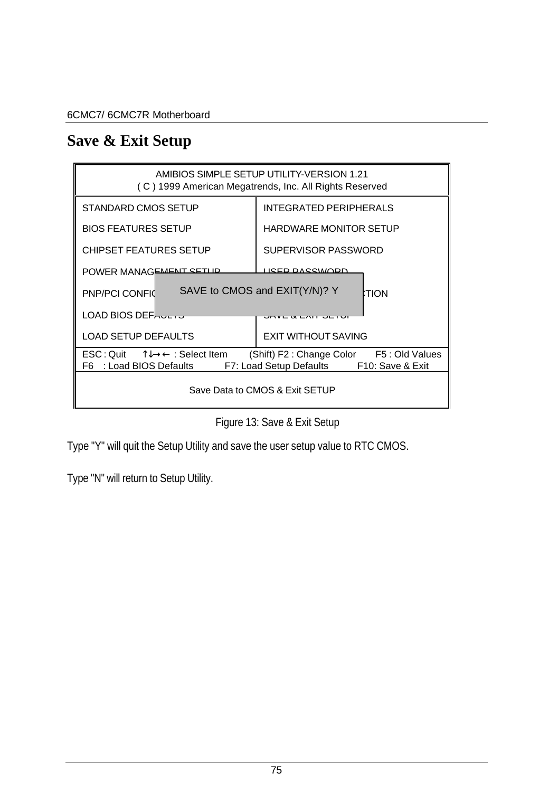## **Save & Exit Setup**



Figure 13: Save & Exit Setup

Type "Y" will quit the Setup Utility and save the user setup value to RTC CMOS.

Type "N" will return to Setup Utility.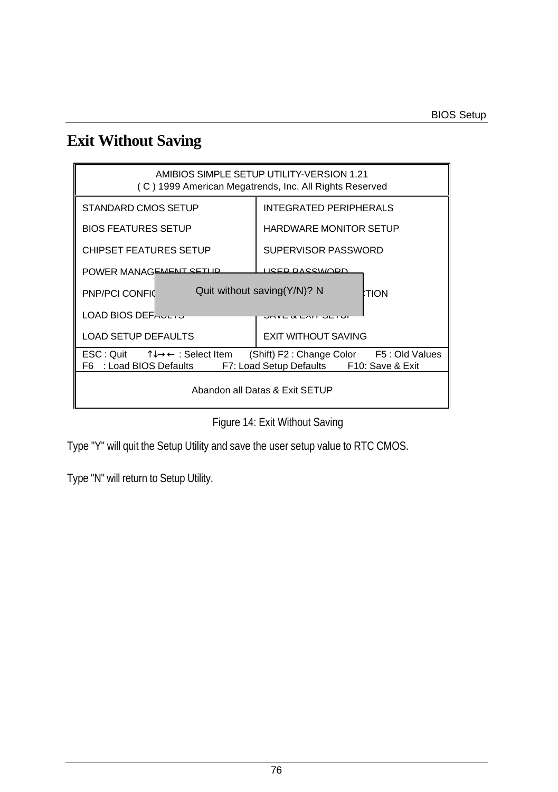## **Exit Without Saving**

| AMIBIOS SIMPLE SETUP UTILITY-VERSION 1.21<br>(C) 1999 American Megatrends, Inc. All Rights Reserved                                                                         |                                       |  |
|-----------------------------------------------------------------------------------------------------------------------------------------------------------------------------|---------------------------------------|--|
| <b>STANDARD CMOS SETUP</b>                                                                                                                                                  | <b>INTEGRATED PERIPHERALS</b>         |  |
| <b>BIOS FEATURES SETUP</b>                                                                                                                                                  | <b>HARDWARE MONITOR SETUP</b>         |  |
| <b>CHIPSET FEATURES SETUP</b>                                                                                                                                               | SUPERVISOR PASSWORD                   |  |
| POWER MANAGEMENT SETUP                                                                                                                                                      | <b>LICED DACCIMODD</b>                |  |
| <b>PNP/PCI CONFID</b>                                                                                                                                                       | Quit without saving (Y/N)? N<br>:TION |  |
| $LOAD$ BIOS DEF $\overline{b}$                                                                                                                                              |                                       |  |
| <b>LOAD SETUP DEFAULTS</b>                                                                                                                                                  | EXIT WITHOUT SAVING                   |  |
| ESC: Quit $\uparrow \downarrow \to \leftarrow$ : Select Item (Shift) F2: Change Color F5: Old Values<br>F7: Load Setup Defaults F10: Save & Exit<br>F6 : Load BIOS Defaults |                                       |  |
| Abandon all Datas & Exit SETUP                                                                                                                                              |                                       |  |

Figure 14: Exit Without Saving

Type "Y" will quit the Setup Utility and save the user setup value to RTC CMOS.

Type "N" will return to Setup Utility.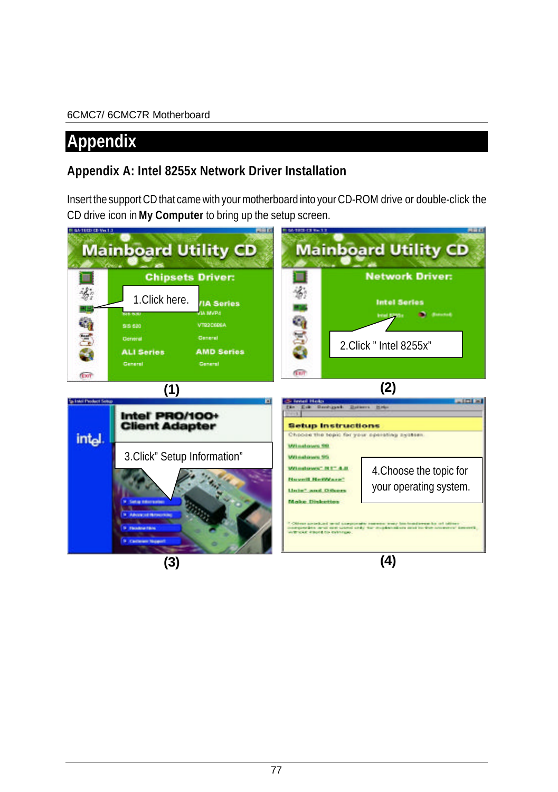## **Appendix**

### **Appendix A: Intel 8255x Network Driver Installation**

Insert the support CD that came with your motherboard into your CD-ROM drive or double-click the CD drive icon in **My Computer** to bring up the setup screen.

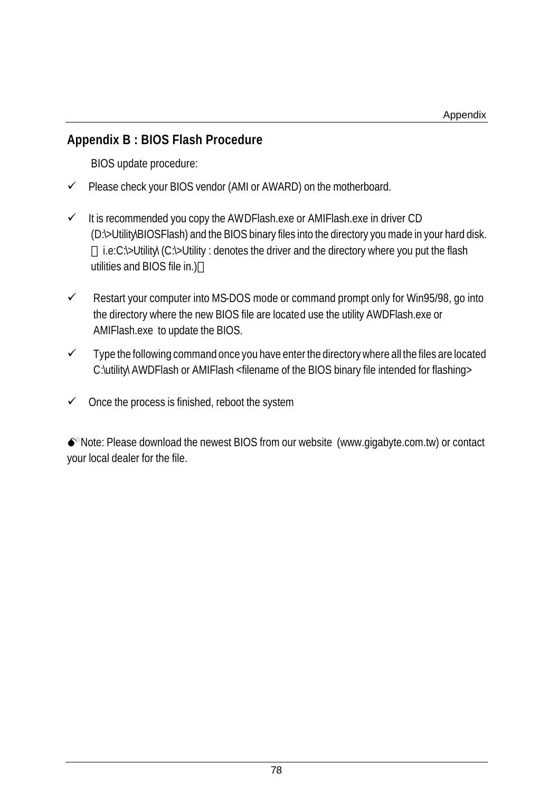#### **Appendix B : BIOS Flash Procedure**

BIOS update procedure:

- $\checkmark$  Please check your BIOS vendor (AMI or AWARD) on the motherboard.
- $\checkmark$  It is recommended you copy the AWDFlash.exe or AMIFlash.exe in driver CD (D:\>Utility\BIOSFlash) and the BIOS binary files into the directory you made in your hard disk. i.e:C:\>Utility\ (C:\>Utility: denotes the driver and the directory where you put the flash utilities and BIOS file in.)
- $\checkmark$  Restart your computer into MS-DOS mode or command prompt only for Win95/98, go into the directory where the new BIOS file are located use the utility AWDFlash.exe or AMIFlash.exe to update the BIOS.
- $\checkmark$  Type the following command once you have enter the directory where all the files are located C:\utility\ AWDFlash or AMIFlash <filename of the BIOS binary file intended for flashing>
- $\checkmark$  Once the process is finished, reboot the system

 $\bullet^*$  Note: Please download the newest BIOS from our website (www.gigabyte.com.tw) or contact your local dealer for the file.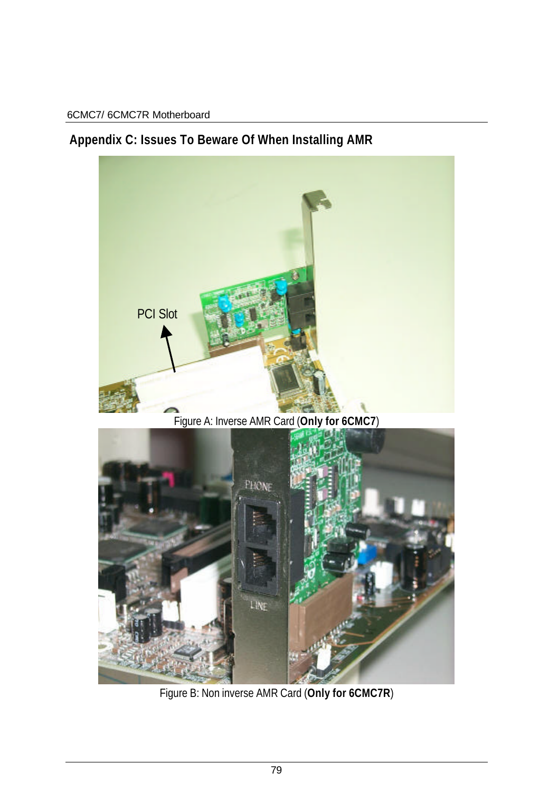## **Appendix C: Issues To Beware Of When Installing AMR**



Figure A: Inverse AMR Card (**Only for 6CMC7**)



Figure B: Non inverse AMR Card (**Only for 6CMC7R**)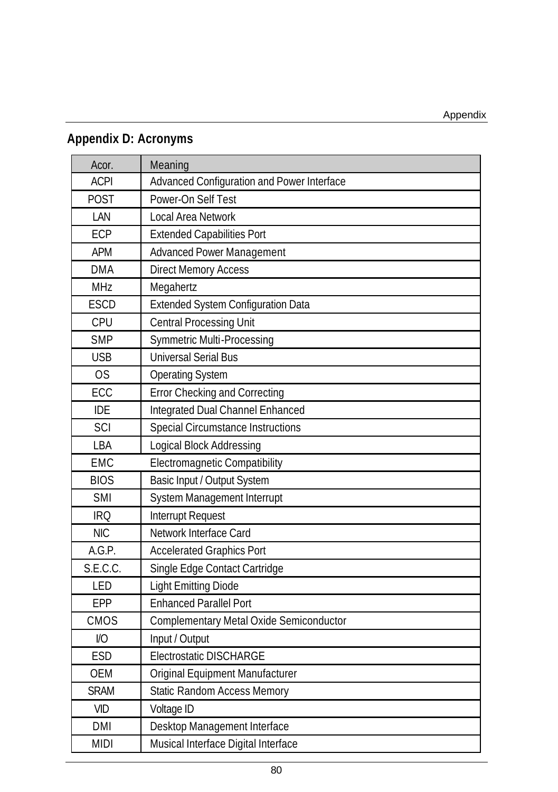# **Appendix D: Acronyms**

| Acor.       | Meaning                                    |
|-------------|--------------------------------------------|
| <b>ACPI</b> | Advanced Configuration and Power Interface |
| <b>POST</b> | Power-On Self Test                         |
| LAN         | Local Area Network                         |
| ECP         | <b>Extended Capabilities Port</b>          |
| <b>APM</b>  | Advanced Power Management                  |
| DMA         | <b>Direct Memory Access</b>                |
| MHz         | Megahertz                                  |
| <b>ESCD</b> | Extended System Configuration Data         |
| CPU         | Central Processing Unit                    |
| <b>SMP</b>  | <b>Symmetric Multi-Processing</b>          |
| <b>USB</b>  | <b>Universal Serial Bus</b>                |
| 0S          | <b>Operating System</b>                    |
| ECC         | <b>Error Checking and Correcting</b>       |
| <b>IDE</b>  | Integrated Dual Channel Enhanced           |
| SCI         | <b>Special Circumstance Instructions</b>   |
| LBA         | Logical Block Addressing                   |
| <b>EMC</b>  | Electromagnetic Compatibility              |
| <b>BIOS</b> | Basic Input / Output System                |
| <b>SMI</b>  | System Management Interrupt                |
| <b>IRQ</b>  | Interrupt Request                          |
| <b>NIC</b>  | Network Interface Card                     |
| A.G.P.      | <b>Accelerated Graphics Port</b>           |
| S.E.C.C.    | Single Edge Contact Cartridge              |
| LED         | <b>Light Emitting Diode</b>                |
| EPP         | <b>Enhanced Parallel Port</b>              |
| CMOS        | Complementary Metal Oxide Semiconductor    |
| 1/0         | Input / Output                             |
| <b>ESD</b>  | Electrostatic DISCHARGE                    |
| <b>OEM</b>  | Original Equipment Manufacturer            |
| <b>SRAM</b> | Static Random Access Memory                |
| <b>VID</b>  | Voltage ID                                 |
| <b>DMI</b>  | Desktop Management Interface               |
| <b>MIDI</b> | Musical Interface Digital Interface        |